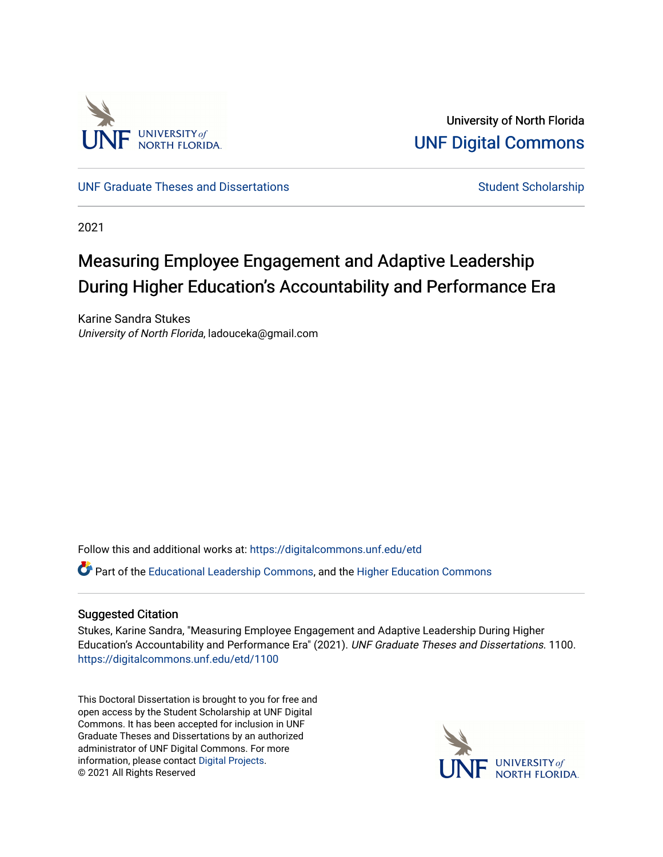

University of North Florida [UNF Digital Commons](https://digitalcommons.unf.edu/) 

[UNF Graduate Theses and Dissertations](https://digitalcommons.unf.edu/etd) [Student Scholarship](https://digitalcommons.unf.edu/student_scholars) Student Scholarship

2021

# Measuring Employee Engagement and Adaptive Leadership During Higher Education's Accountability and Performance Era

Karine Sandra Stukes University of North Florida, ladouceka@gmail.com

Follow this and additional works at: [https://digitalcommons.unf.edu/etd](https://digitalcommons.unf.edu/etd?utm_source=digitalcommons.unf.edu%2Fetd%2F1100&utm_medium=PDF&utm_campaign=PDFCoverPages) 

Part of the [Educational Leadership Commons,](http://network.bepress.com/hgg/discipline/1230?utm_source=digitalcommons.unf.edu%2Fetd%2F1100&utm_medium=PDF&utm_campaign=PDFCoverPages) and the [Higher Education Commons](http://network.bepress.com/hgg/discipline/1245?utm_source=digitalcommons.unf.edu%2Fetd%2F1100&utm_medium=PDF&utm_campaign=PDFCoverPages)

### Suggested Citation

Stukes, Karine Sandra, "Measuring Employee Engagement and Adaptive Leadership During Higher Education's Accountability and Performance Era" (2021). UNF Graduate Theses and Dissertations. 1100. [https://digitalcommons.unf.edu/etd/1100](https://digitalcommons.unf.edu/etd/1100?utm_source=digitalcommons.unf.edu%2Fetd%2F1100&utm_medium=PDF&utm_campaign=PDFCoverPages) 

This Doctoral Dissertation is brought to you for free and open access by the Student Scholarship at UNF Digital Commons. It has been accepted for inclusion in UNF Graduate Theses and Dissertations by an authorized administrator of UNF Digital Commons. For more information, please contact [Digital Projects](mailto:lib-digital@unf.edu). © 2021 All Rights Reserved

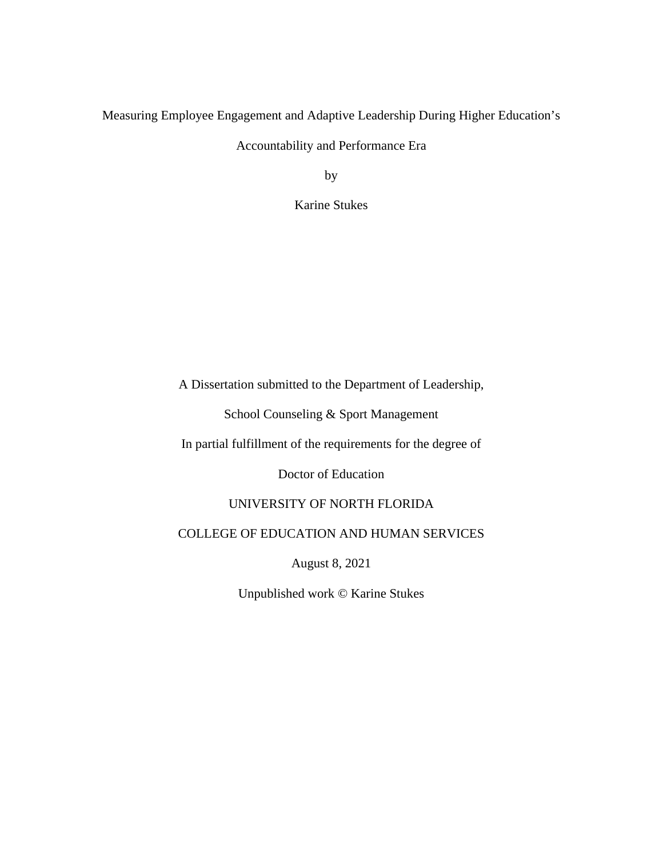Measuring Employee Engagement and Adaptive Leadership During Higher Education's

Accountability and Performance Era

by

Karine Stukes

A Dissertation submitted to the Department of Leadership,

School Counseling & Sport Management

In partial fulfillment of the requirements for the degree of

Doctor of Education

## UNIVERSITY OF NORTH FLORIDA

## COLLEGE OF EDUCATION AND HUMAN SERVICES

August 8, 2021

Unpublished work © Karine Stukes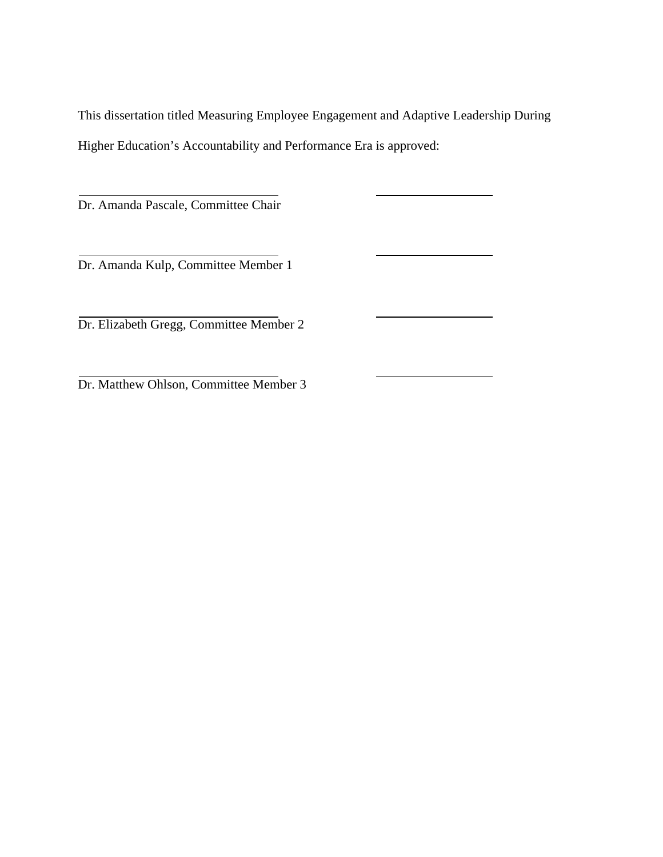This dissertation titled Measuring Employee Engagement and Adaptive Leadership During Higher Education's Accountability and Performance Era is approved:

Dr. Amanda Pascale, Committee Chair

Dr. Amanda Kulp, Committee Member 1

Dr. Elizabeth Gregg, Committee Member 2

Dr. Matthew Ohlson, Committee Member 3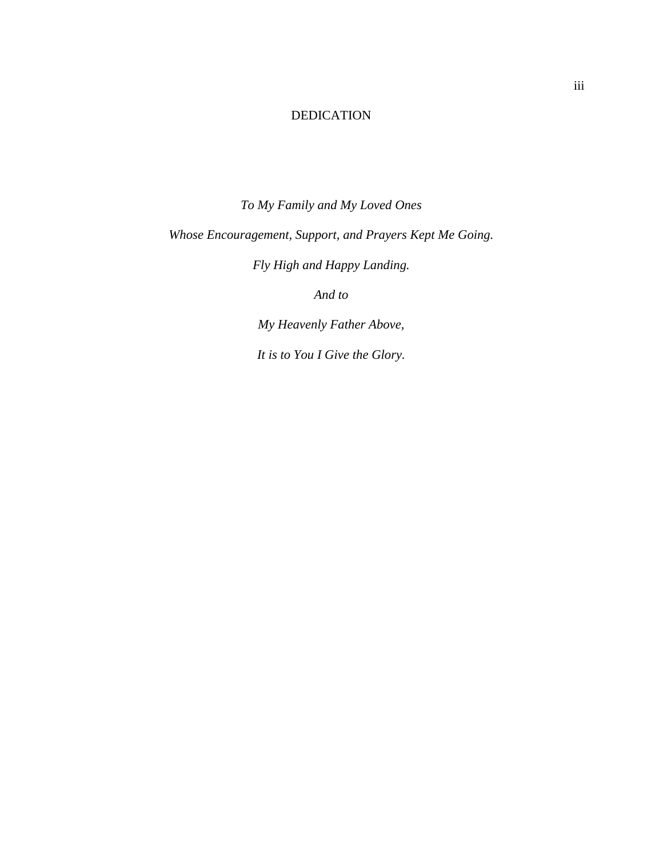## DEDICATION

<span id="page-3-0"></span>*To My Family and My Loved Ones Whose Encouragement, Support, and Prayers Kept Me Going. Fly High and Happy Landing.* 

*And to* 

*My Heavenly Father Above,* 

*It is to You I Give the Glory.*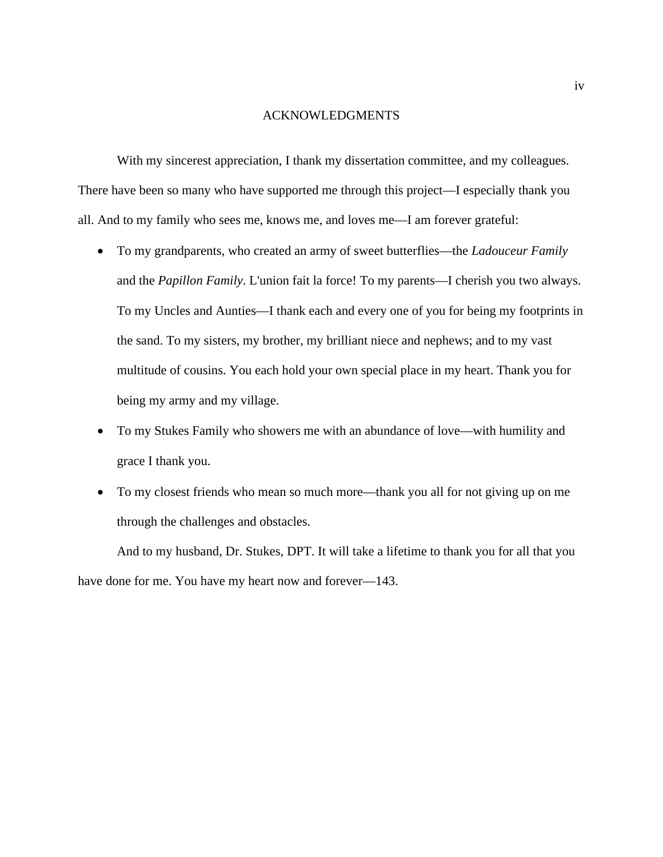#### ACKNOWLEDGMENTS

<span id="page-4-0"></span>With my sincerest appreciation, I thank my dissertation committee, and my colleagues. There have been so many who have supported me through this project—I especially thank you all. And to my family who sees me, knows me, and loves me—I am forever grateful:

- To my grandparents, who created an army of sweet butterflies—the *Ladouceur Family* and the *Papillon Family*. L'union fait la force! To my parents—I cherish you two always. To my Uncles and Aunties—I thank each and every one of you for being my footprints in the sand. To my sisters, my brother, my brilliant niece and nephews; and to my vast multitude of cousins. You each hold your own special place in my heart. Thank you for being my army and my village.
- To my Stukes Family who showers me with an abundance of love—with humility and grace I thank you.
- To my closest friends who mean so much more—thank you all for not giving up on me through the challenges and obstacles.

And to my husband, Dr. Stukes, DPT. It will take a lifetime to thank you for all that you have done for me. You have my heart now and forever—143.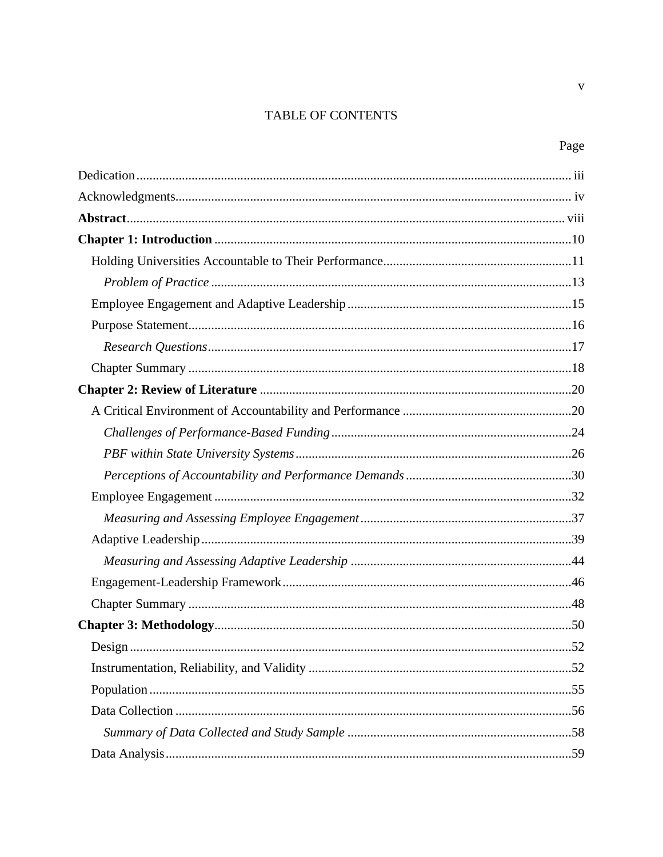# TABLE OF CONTENTS

 $\mathbf{V}$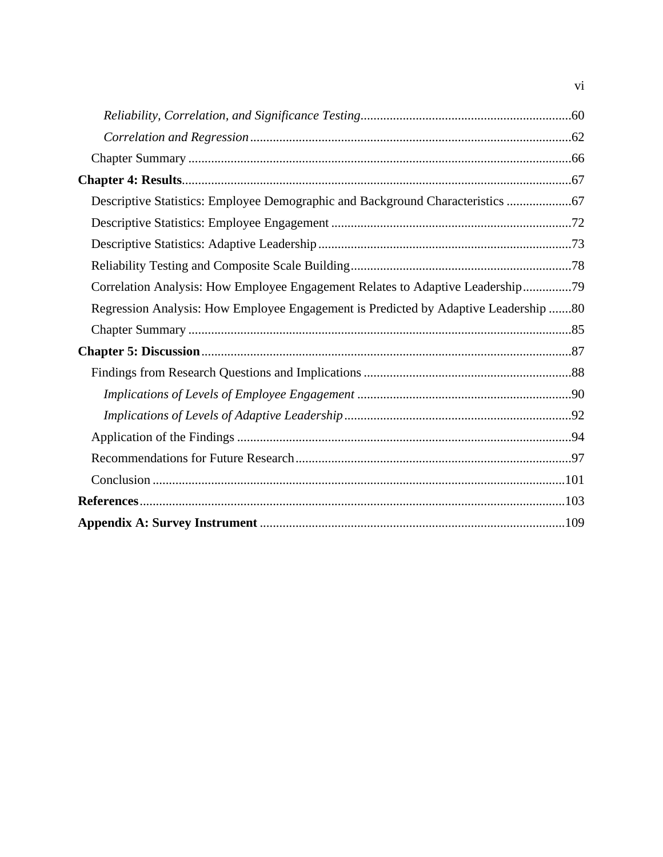| Descriptive Statistics: Employee Demographic and Background Characteristics  67     |  |
|-------------------------------------------------------------------------------------|--|
|                                                                                     |  |
|                                                                                     |  |
|                                                                                     |  |
| Correlation Analysis: How Employee Engagement Relates to Adaptive Leadership79      |  |
| Regression Analysis: How Employee Engagement is Predicted by Adaptive Leadership 80 |  |
|                                                                                     |  |
|                                                                                     |  |
|                                                                                     |  |
|                                                                                     |  |
|                                                                                     |  |
|                                                                                     |  |
|                                                                                     |  |
|                                                                                     |  |
|                                                                                     |  |
|                                                                                     |  |

vi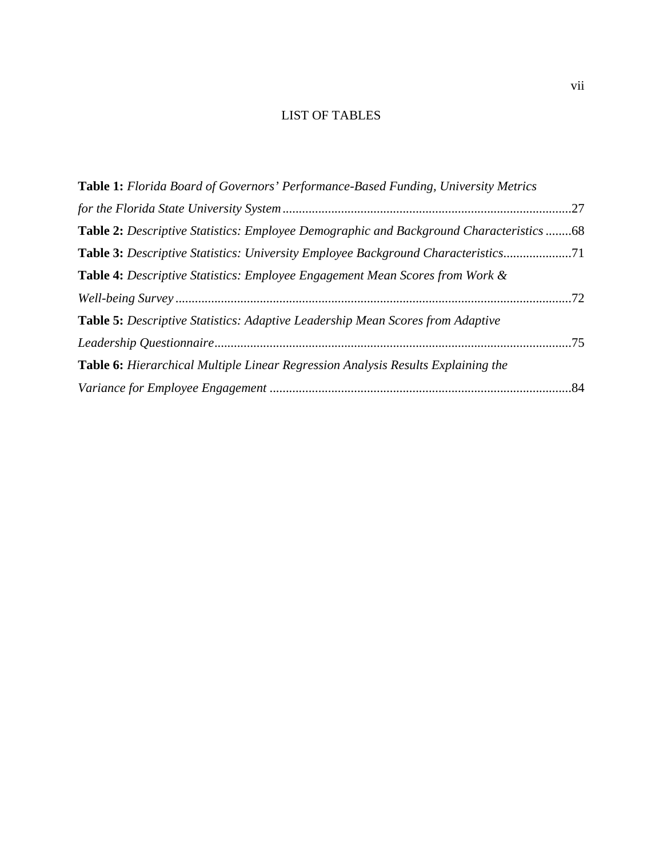# LIST OF TABLES

| <b>Table 1:</b> Florida Board of Governors' Performance-Based Funding, University Metrics |  |
|-------------------------------------------------------------------------------------------|--|
|                                                                                           |  |
| Table 2: Descriptive Statistics: Employee Demographic and Background Characteristics 68   |  |
|                                                                                           |  |
| <b>Table 4:</b> Descriptive Statistics: Employee Engagement Mean Scores from Work &       |  |
|                                                                                           |  |
| <b>Table 5:</b> Descriptive Statistics: Adaptive Leadership Mean Scores from Adaptive     |  |
|                                                                                           |  |
| <b>Table 6:</b> Hierarchical Multiple Linear Regression Analysis Results Explaining the   |  |
|                                                                                           |  |
|                                                                                           |  |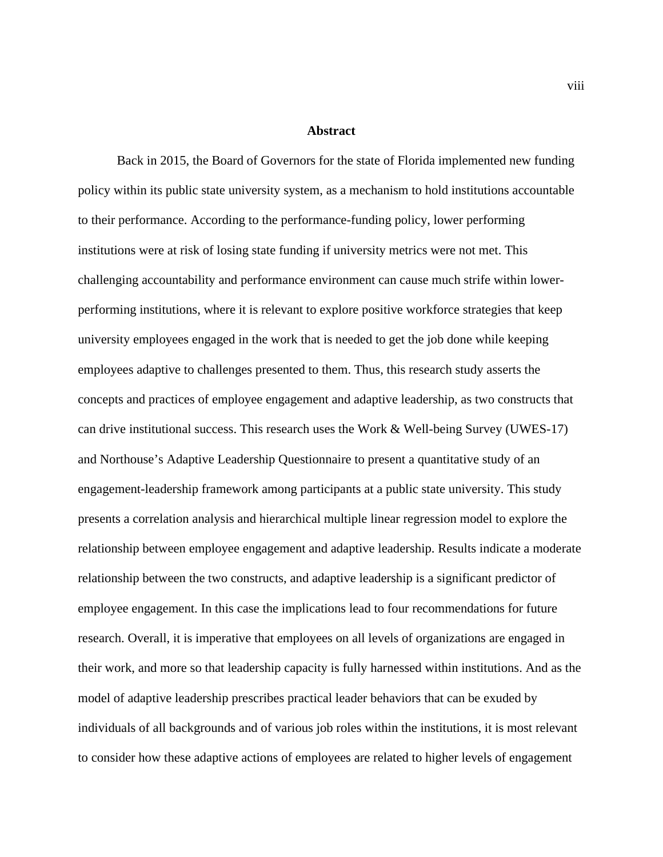#### **Abstract**

<span id="page-8-0"></span> Back in 2015, the Board of Governors for the state of Florida implemented new funding policy within its public state university system, as a mechanism to hold institutions accountable to their performance. According to the performance-funding policy, lower performing institutions were at risk of losing state funding if university metrics were not met. This challenging accountability and performance environment can cause much strife within lowerperforming institutions, where it is relevant to explore positive workforce strategies that keep university employees engaged in the work that is needed to get the job done while keeping employees adaptive to challenges presented to them. Thus, this research study asserts the concepts and practices of employee engagement and adaptive leadership, as two constructs that can drive institutional success. This research uses the Work & Well-being Survey (UWES-17) and Northouse's Adaptive Leadership Questionnaire to present a quantitative study of an engagement-leadership framework among participants at a public state university. This study presents a correlation analysis and hierarchical multiple linear regression model to explore the relationship between employee engagement and adaptive leadership. Results indicate a moderate relationship between the two constructs, and adaptive leadership is a significant predictor of employee engagement. In this case the implications lead to four recommendations for future research. Overall, it is imperative that employees on all levels of organizations are engaged in their work, and more so that leadership capacity is fully harnessed within institutions. And as the model of adaptive leadership prescribes practical leader behaviors that can be exuded by individuals of all backgrounds and of various job roles within the institutions, it is most relevant to consider how these adaptive actions of employees are related to higher levels of engagement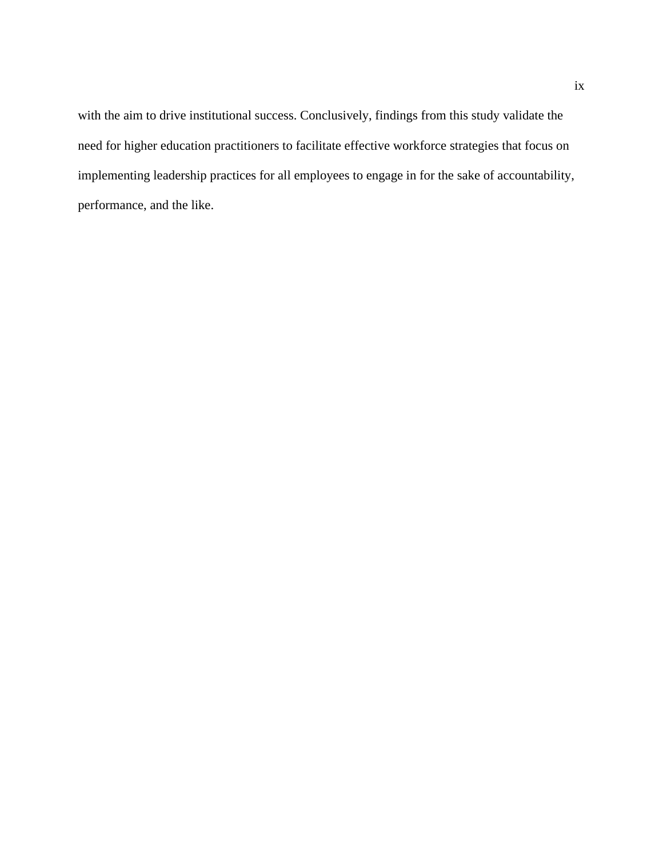with the aim to drive institutional success. Conclusively, findings from this study validate the need for higher education practitioners to facilitate effective workforce strategies that focus on implementing leadership practices for all employees to engage in for the sake of accountability, performance, and the like.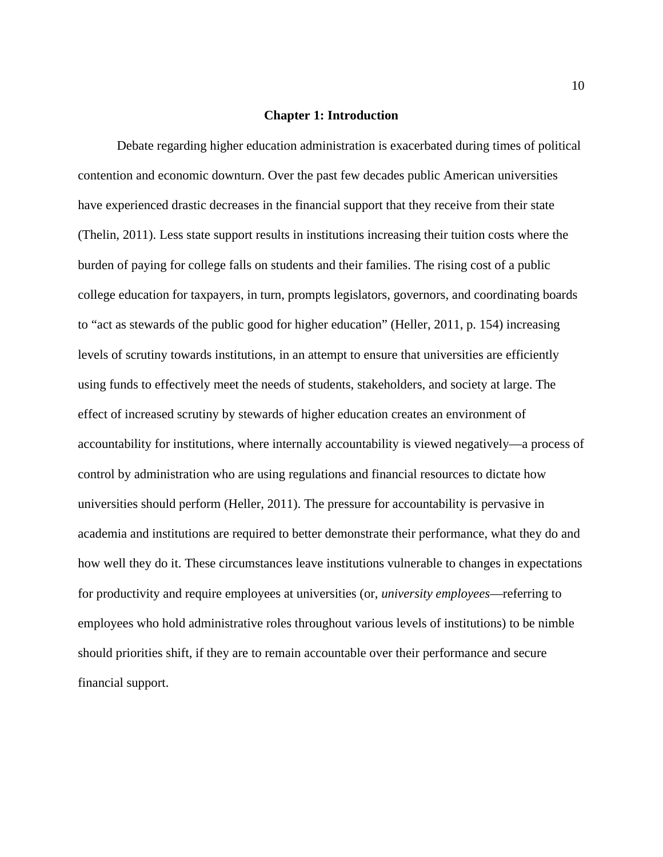#### **Chapter 1: Introduction**

<span id="page-10-0"></span>Debate regarding higher education administration is exacerbated during times of political contention and economic downturn. Over the past few decades public American universities have experienced drastic decreases in the financial support that they receive from their state (Thelin, 2011). Less state support results in institutions increasing their tuition costs where the burden of paying for college falls on students and their families. The rising cost of a public college education for taxpayers, in turn, prompts legislators, governors, and coordinating boards to "act as stewards of the public good for higher education" (Heller, 2011, p. 154) increasing levels of scrutiny towards institutions, in an attempt to ensure that universities are efficiently using funds to effectively meet the needs of students, stakeholders, and society at large. The effect of increased scrutiny by stewards of higher education creates an environment of accountability for institutions, where internally accountability is viewed negatively—a process of control by administration who are using regulations and financial resources to dictate how universities should perform (Heller, 2011). The pressure for accountability is pervasive in academia and institutions are required to better demonstrate their performance, what they do and how well they do it. These circumstances leave institutions vulnerable to changes in expectations for productivity and require employees at universities (or, *university employees*—referring to employees who hold administrative roles throughout various levels of institutions) to be nimble should priorities shift, if they are to remain accountable over their performance and secure financial support.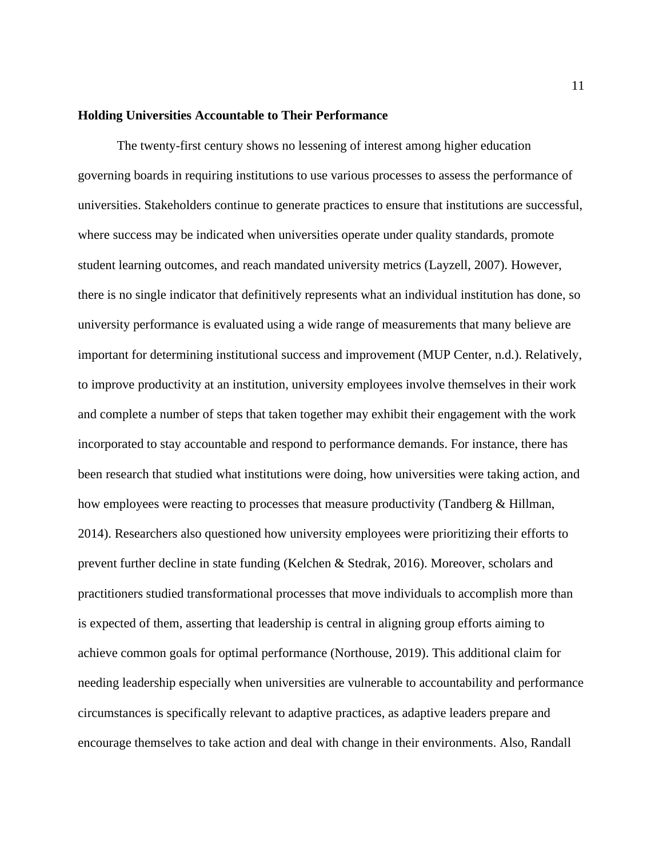#### <span id="page-11-0"></span>**Holding Universities Accountable to Their Performance**

The twenty-first century shows no lessening of interest among higher education governing boards in requiring institutions to use various processes to assess the performance of universities. Stakeholders continue to generate practices to ensure that institutions are successful, where success may be indicated when universities operate under quality standards, promote student learning outcomes, and reach mandated university metrics (Layzell, 2007). However, there is no single indicator that definitively represents what an individual institution has done, so university performance is evaluated using a wide range of measurements that many believe are important for determining institutional success and improvement (MUP Center, n.d.). Relatively, to improve productivity at an institution, university employees involve themselves in their work and complete a number of steps that taken together may exhibit their engagement with the work incorporated to stay accountable and respond to performance demands. For instance, there has been research that studied what institutions were doing, how universities were taking action, and how employees were reacting to processes that measure productivity (Tandberg & Hillman, 2014). Researchers also questioned how university employees were prioritizing their efforts to prevent further decline in state funding (Kelchen & Stedrak, 2016). Moreover, scholars and practitioners studied transformational processes that move individuals to accomplish more than is expected of them, asserting that leadership is central in aligning group efforts aiming to achieve common goals for optimal performance (Northouse, 2019). This additional claim for needing leadership especially when universities are vulnerable to accountability and performance circumstances is specifically relevant to adaptive practices, as adaptive leaders prepare and encourage themselves to take action and deal with change in their environments. Also, Randall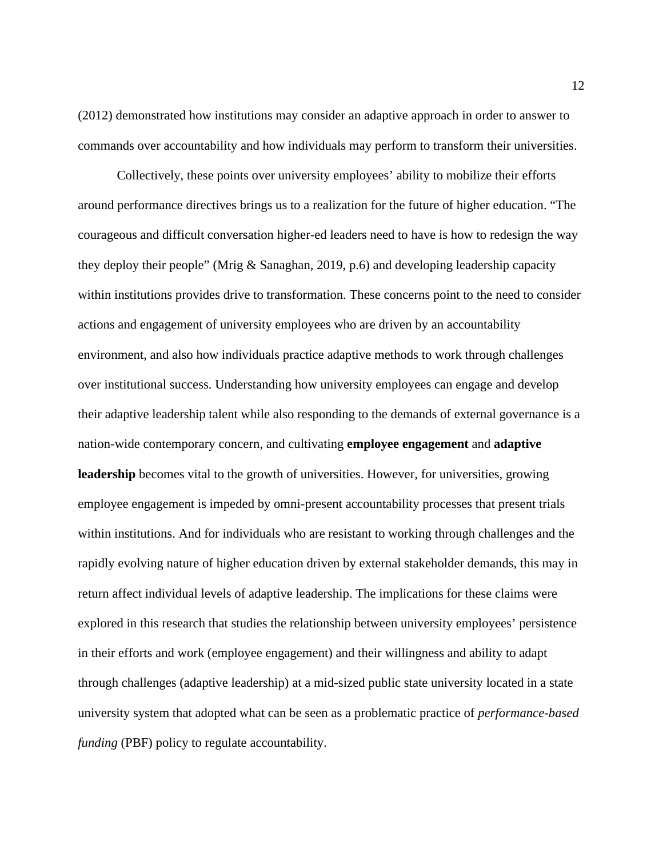(2012) demonstrated how institutions may consider an adaptive approach in order to answer to commands over accountability and how individuals may perform to transform their universities.

Collectively, these points over university employees' ability to mobilize their efforts around performance directives brings us to a realization for the future of higher education. "The courageous and difficult conversation higher-ed leaders need to have is how to redesign the way they deploy their people" (Mrig & Sanaghan, 2019, p.6) and developing leadership capacity within institutions provides drive to transformation. These concerns point to the need to consider actions and engagement of university employees who are driven by an accountability environment, and also how individuals practice adaptive methods to work through challenges over institutional success. Understanding how university employees can engage and develop their adaptive leadership talent while also responding to the demands of external governance is a nation-wide contemporary concern, and cultivating **employee engagement** and **adaptive leadership** becomes vital to the growth of universities. However, for universities, growing employee engagement is impeded by omni-present accountability processes that present trials within institutions. And for individuals who are resistant to working through challenges and the rapidly evolving nature of higher education driven by external stakeholder demands, this may in return affect individual levels of adaptive leadership. The implications for these claims were explored in this research that studies the relationship between university employees' persistence in their efforts and work (employee engagement) and their willingness and ability to adapt through challenges (adaptive leadership) at a mid-sized public state university located in a state university system that adopted what can be seen as a problematic practice of *performance-based funding* (PBF) policy to regulate accountability.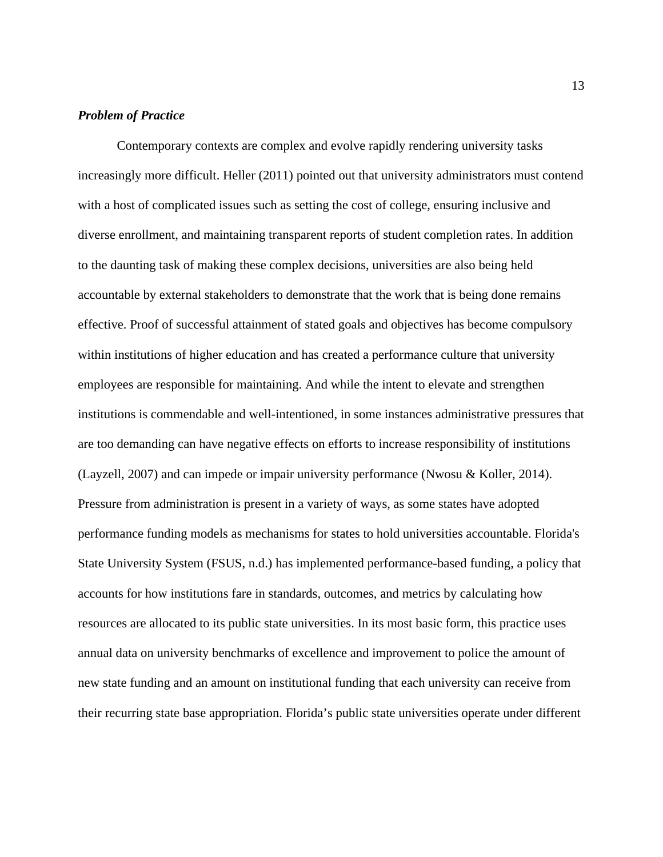#### <span id="page-13-0"></span>*Problem of Practice*

Contemporary contexts are complex and evolve rapidly rendering university tasks increasingly more difficult. Heller (2011) pointed out that university administrators must contend with a host of complicated issues such as setting the cost of college, ensuring inclusive and diverse enrollment, and maintaining transparent reports of student completion rates. In addition to the daunting task of making these complex decisions, universities are also being held accountable by external stakeholders to demonstrate that the work that is being done remains effective. Proof of successful attainment of stated goals and objectives has become compulsory within institutions of higher education and has created a performance culture that university employees are responsible for maintaining. And while the intent to elevate and strengthen institutions is commendable and well-intentioned, in some instances administrative pressures that are too demanding can have negative effects on efforts to increase responsibility of institutions (Layzell, 2007) and can impede or impair university performance (Nwosu & Koller, 2014). Pressure from administration is present in a variety of ways, as some states have adopted performance funding models as mechanisms for states to hold universities accountable. Florida's State University System (FSUS, n.d.) has implemented performance-based funding, a policy that accounts for how institutions fare in standards, outcomes, and metrics by calculating how resources are allocated to its public state universities. In its most basic form, this practice uses annual data on university benchmarks of excellence and improvement to police the amount of new state funding and an amount on institutional funding that each university can receive from their recurring state base appropriation. Florida's public state universities operate under different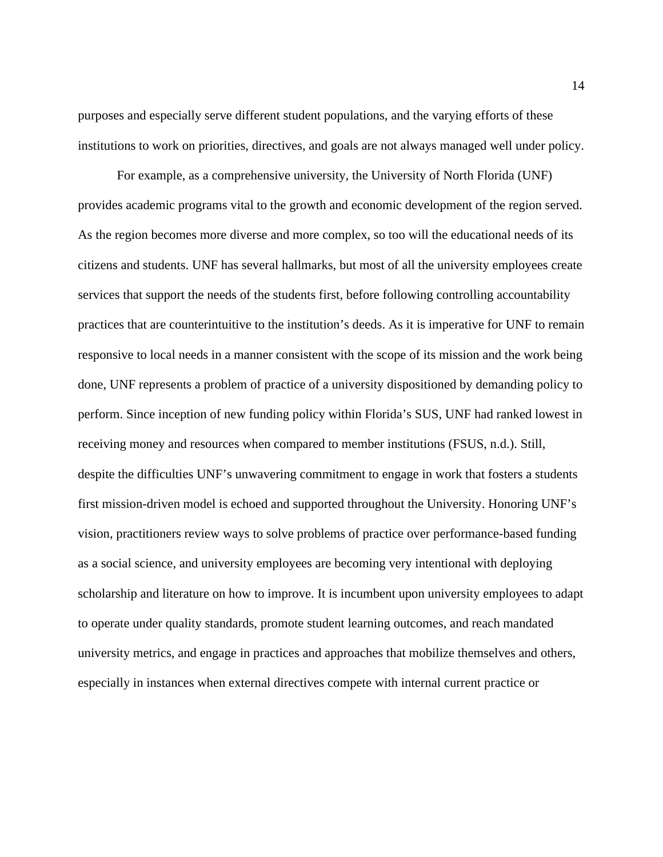purposes and especially serve different student populations, and the varying efforts of these institutions to work on priorities, directives, and goals are not always managed well under policy.

For example, as a comprehensive university, the University of North Florida (UNF) provides academic programs vital to the growth and economic development of the region served. As the region becomes more diverse and more complex, so too will the educational needs of its citizens and students. UNF has several hallmarks, but most of all the university employees create services that support the needs of the students first, before following controlling accountability practices that are counterintuitive to the institution's deeds. As it is imperative for UNF to remain responsive to local needs in a manner consistent with the scope of its mission and the work being done, UNF represents a problem of practice of a university dispositioned by demanding policy to perform. Since inception of new funding policy within Florida's SUS, UNF had ranked lowest in receiving money and resources when compared to member institutions (FSUS, n.d.). Still, despite the difficulties UNF's unwavering commitment to engage in work that fosters a students first mission-driven model is echoed and supported throughout the University. Honoring UNF's vision, practitioners review ways to solve problems of practice over performance-based funding as a social science, and university employees are becoming very intentional with deploying scholarship and literature on how to improve. It is incumbent upon university employees to adapt to operate under quality standards, promote student learning outcomes, and reach mandated university metrics, and engage in practices and approaches that mobilize themselves and others, especially in instances when external directives compete with internal current practice or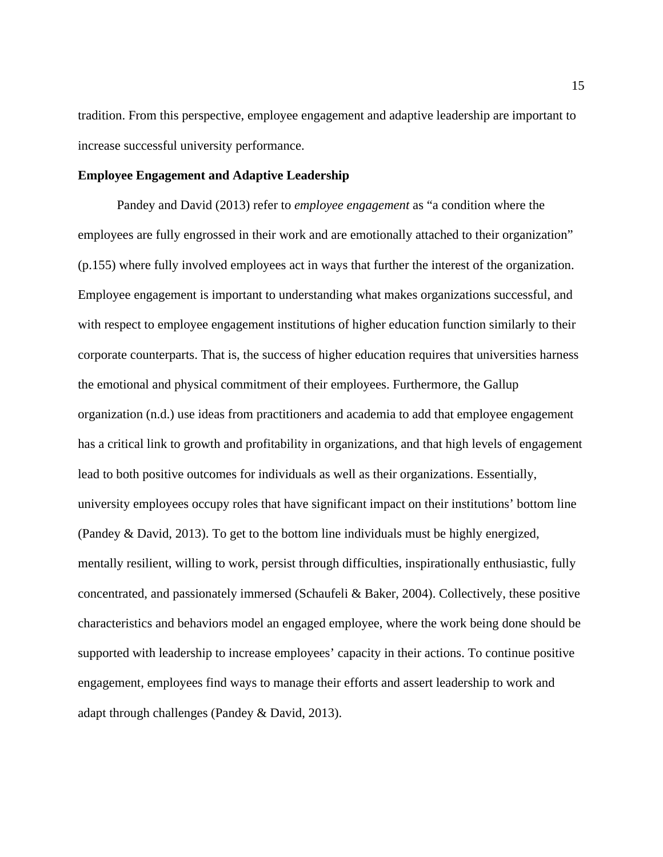tradition. From this perspective, employee engagement and adaptive leadership are important to increase successful university performance.

#### <span id="page-15-0"></span>**Employee Engagement and Adaptive Leadership**

Pandey and David (2013) refer to *employee engagement* as "a condition where the employees are fully engrossed in their work and are emotionally attached to their organization" (p.155) where fully involved employees act in ways that further the interest of the organization. Employee engagement is important to understanding what makes organizations successful, and with respect to employee engagement institutions of higher education function similarly to their corporate counterparts. That is, the success of higher education requires that universities harness the emotional and physical commitment of their employees. Furthermore, the Gallup organization (n.d.) use ideas from practitioners and academia to add that employee engagement has a critical link to growth and profitability in organizations, and that high levels of engagement lead to both positive outcomes for individuals as well as their organizations. Essentially, university employees occupy roles that have significant impact on their institutions' bottom line (Pandey & David, 2013). To get to the bottom line individuals must be highly energized, mentally resilient, willing to work, persist through difficulties, inspirationally enthusiastic, fully concentrated, and passionately immersed (Schaufeli & Baker, 2004). Collectively, these positive characteristics and behaviors model an engaged employee, where the work being done should be supported with leadership to increase employees' capacity in their actions. To continue positive engagement, employees find ways to manage their efforts and assert leadership to work and adapt through challenges (Pandey & David, 2013).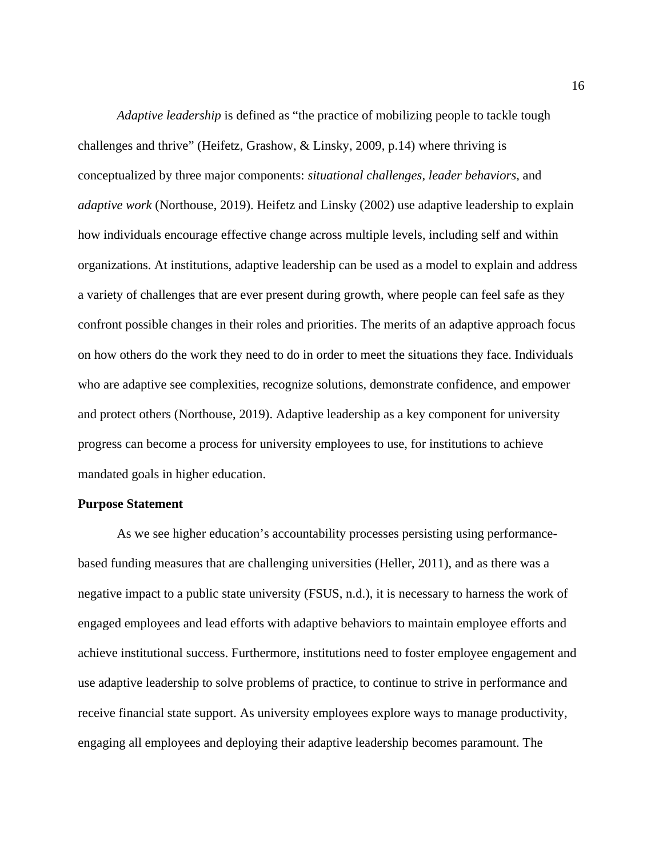*Adaptive leadership* is defined as "the practice of mobilizing people to tackle tough challenges and thrive" (Heifetz, Grashow, & Linsky, 2009, p.14) where thriving is conceptualized by three major components: *situational challenges*, *leader behaviors*, and *adaptive work* (Northouse, 2019). Heifetz and Linsky (2002) use adaptive leadership to explain how individuals encourage effective change across multiple levels, including self and within organizations. At institutions, adaptive leadership can be used as a model to explain and address a variety of challenges that are ever present during growth, where people can feel safe as they confront possible changes in their roles and priorities. The merits of an adaptive approach focus on how others do the work they need to do in order to meet the situations they face. Individuals who are adaptive see complexities, recognize solutions, demonstrate confidence, and empower and protect others (Northouse, 2019). Adaptive leadership as a key component for university progress can become a process for university employees to use, for institutions to achieve mandated goals in higher education.

#### <span id="page-16-0"></span>**Purpose Statement**

As we see higher education's accountability processes persisting using performancebased funding measures that are challenging universities (Heller, 2011), and as there was a negative impact to a public state university (FSUS, n.d.), it is necessary to harness the work of engaged employees and lead efforts with adaptive behaviors to maintain employee efforts and achieve institutional success. Furthermore, institutions need to foster employee engagement and use adaptive leadership to solve problems of practice, to continue to strive in performance and receive financial state support. As university employees explore ways to manage productivity, engaging all employees and deploying their adaptive leadership becomes paramount. The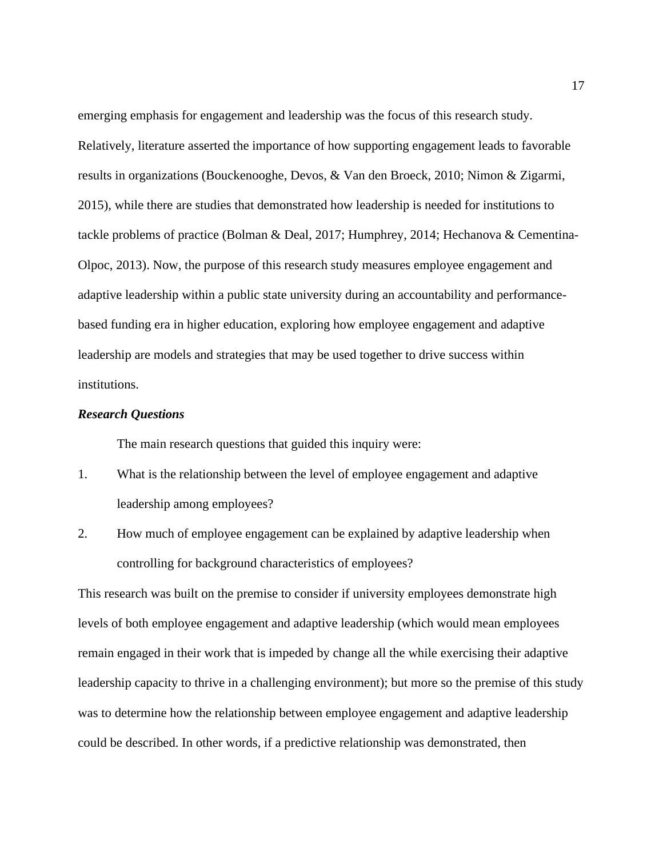emerging emphasis for engagement and leadership was the focus of this research study. Relatively, literature asserted the importance of how supporting engagement leads to favorable results in organizations (Bouckenooghe, Devos, & Van den Broeck, 2010; Nimon & Zigarmi, 2015), while there are studies that demonstrated how leadership is needed for institutions to tackle problems of practice (Bolman & Deal, 2017; Humphrey, 2014; Hechanova & Cementina-Olpoc, 2013). Now, the purpose of this research study measures employee engagement and adaptive leadership within a public state university during an accountability and performancebased funding era in higher education, exploring how employee engagement and adaptive leadership are models and strategies that may be used together to drive success within institutions.

#### <span id="page-17-0"></span>*Research Questions*

The main research questions that guided this inquiry were:

- 1. What is the relationship between the level of employee engagement and adaptive leadership among employees?
- 2. How much of employee engagement can be explained by adaptive leadership when controlling for background characteristics of employees?

This research was built on the premise to consider if university employees demonstrate high levels of both employee engagement and adaptive leadership (which would mean employees remain engaged in their work that is impeded by change all the while exercising their adaptive leadership capacity to thrive in a challenging environment); but more so the premise of this study was to determine how the relationship between employee engagement and adaptive leadership could be described. In other words, if a predictive relationship was demonstrated, then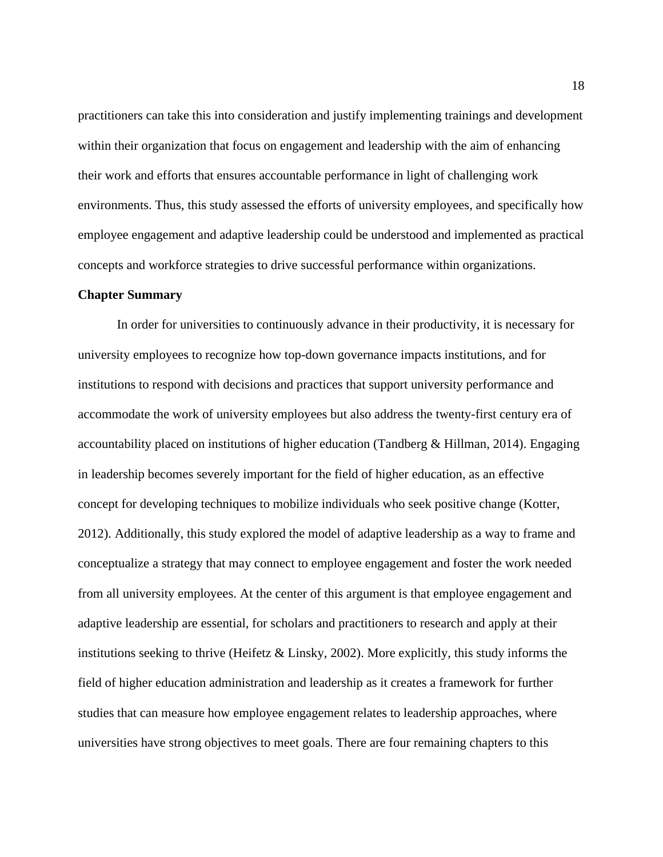practitioners can take this into consideration and justify implementing trainings and development within their organization that focus on engagement and leadership with the aim of enhancing their work and efforts that ensures accountable performance in light of challenging work environments. Thus, this study assessed the efforts of university employees, and specifically how employee engagement and adaptive leadership could be understood and implemented as practical concepts and workforce strategies to drive successful performance within organizations.

#### <span id="page-18-0"></span>**Chapter Summary**

In order for universities to continuously advance in their productivity, it is necessary for university employees to recognize how top-down governance impacts institutions, and for institutions to respond with decisions and practices that support university performance and accommodate the work of university employees but also address the twenty-first century era of accountability placed on institutions of higher education (Tandberg & Hillman, 2014). Engaging in leadership becomes severely important for the field of higher education, as an effective concept for developing techniques to mobilize individuals who seek positive change (Kotter, 2012). Additionally, this study explored the model of adaptive leadership as a way to frame and conceptualize a strategy that may connect to employee engagement and foster the work needed from all university employees. At the center of this argument is that employee engagement and adaptive leadership are essential, for scholars and practitioners to research and apply at their institutions seeking to thrive (Heifetz & Linsky, 2002). More explicitly, this study informs the field of higher education administration and leadership as it creates a framework for further studies that can measure how employee engagement relates to leadership approaches, where universities have strong objectives to meet goals. There are four remaining chapters to this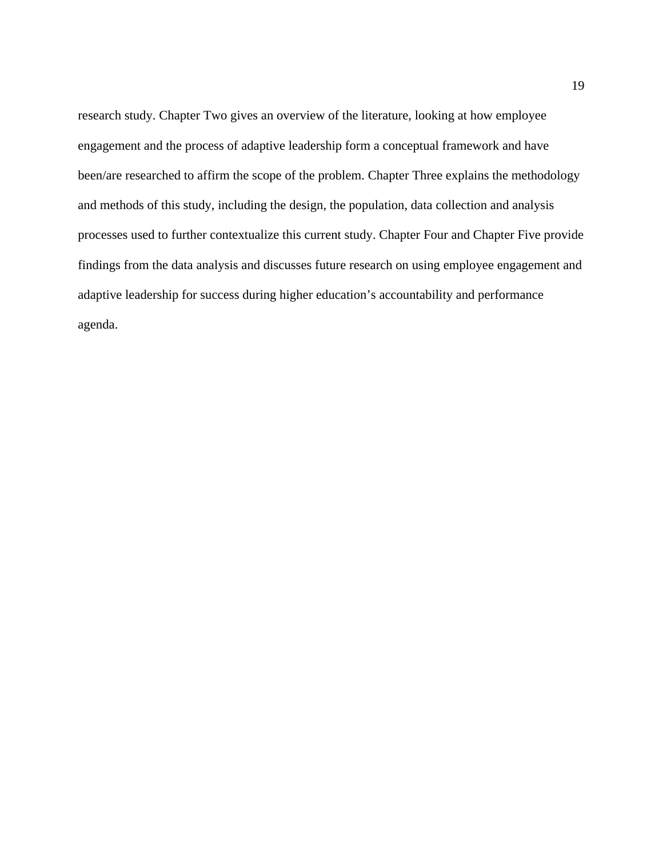research study. Chapter Two gives an overview of the literature, looking at how employee engagement and the process of adaptive leadership form a conceptual framework and have been/are researched to affirm the scope of the problem. Chapter Three explains the methodology and methods of this study, including the design, the population, data collection and analysis processes used to further contextualize this current study. Chapter Four and Chapter Five provide findings from the data analysis and discusses future research on using employee engagement and adaptive leadership for success during higher education's accountability and performance agenda.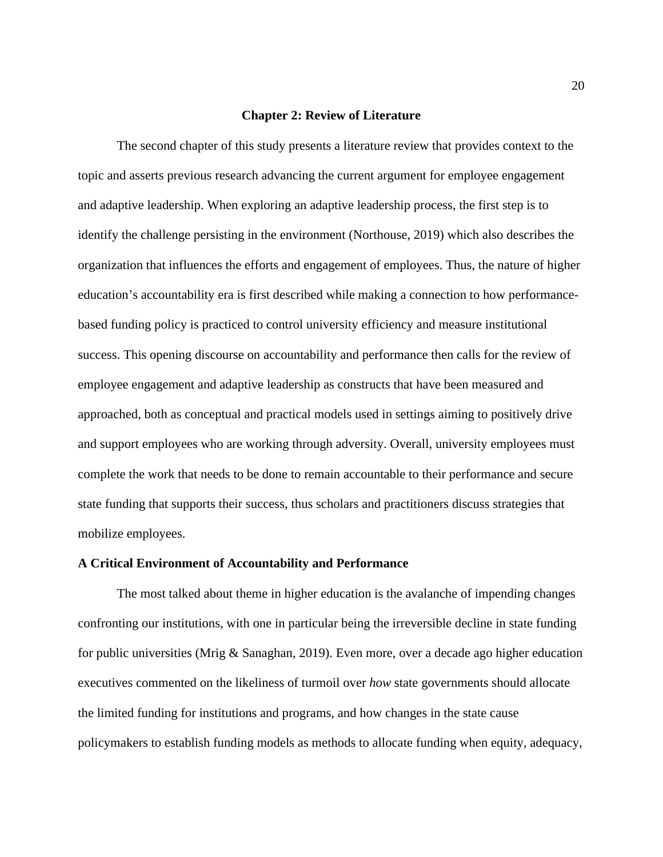#### **Chapter 2: Review of Literature**

<span id="page-20-0"></span>The second chapter of this study presents a literature review that provides context to the topic and asserts previous research advancing the current argument for employee engagement and adaptive leadership. When exploring an adaptive leadership process, the first step is to identify the challenge persisting in the environment (Northouse, 2019) which also describes the organization that influences the efforts and engagement of employees. Thus, the nature of higher education's accountability era is first described while making a connection to how performancebased funding policy is practiced to control university efficiency and measure institutional success. This opening discourse on accountability and performance then calls for the review of employee engagement and adaptive leadership as constructs that have been measured and approached, both as conceptual and practical models used in settings aiming to positively drive and support employees who are working through adversity. Overall, university employees must complete the work that needs to be done to remain accountable to their performance and secure state funding that supports their success, thus scholars and practitioners discuss strategies that mobilize employees.

#### <span id="page-20-1"></span>**A Critical Environment of Accountability and Performance**

The most talked about theme in higher education is the avalanche of impending changes confronting our institutions, with one in particular being the irreversible decline in state funding for public universities (Mrig & Sanaghan, 2019). Even more, over a decade ago higher education executives commented on the likeliness of turmoil over *how* state governments should allocate the limited funding for institutions and programs, and how changes in the state cause policymakers to establish funding models as methods to allocate funding when equity, adequacy,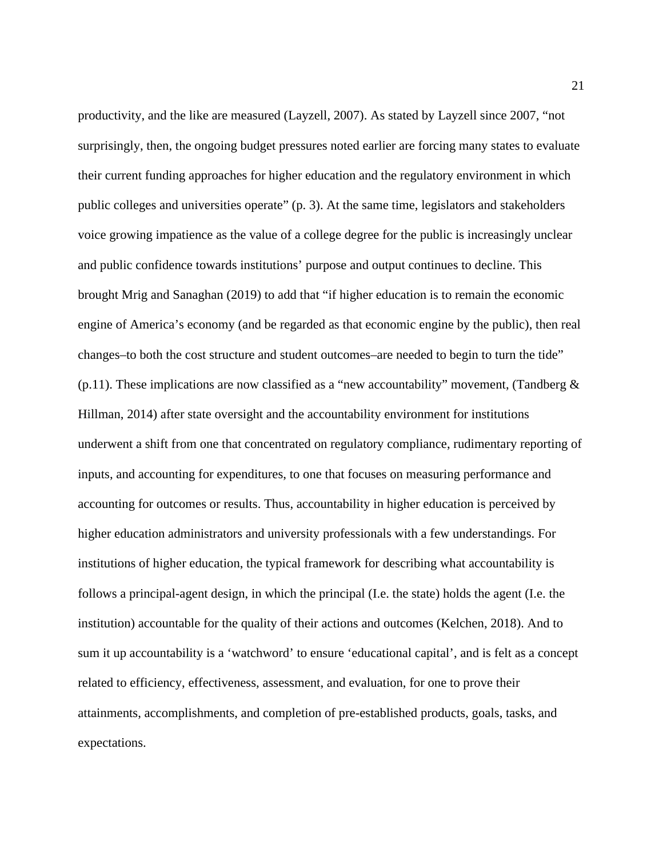productivity, and the like are measured (Layzell, 2007). As stated by Layzell since 2007, "not surprisingly, then, the ongoing budget pressures noted earlier are forcing many states to evaluate their current funding approaches for higher education and the regulatory environment in which public colleges and universities operate" (p. 3). At the same time, legislators and stakeholders voice growing impatience as the value of a college degree for the public is increasingly unclear and public confidence towards institutions' purpose and output continues to decline. This brought Mrig and Sanaghan (2019) to add that "if higher education is to remain the economic engine of America's economy (and be regarded as that economic engine by the public), then real changes–to both the cost structure and student outcomes–are needed to begin to turn the tide" (p.11). These implications are now classified as a "new accountability" movement, (Tandberg  $\&$ Hillman, 2014) after state oversight and the accountability environment for institutions underwent a shift from one that concentrated on regulatory compliance, rudimentary reporting of inputs, and accounting for expenditures, to one that focuses on measuring performance and accounting for outcomes or results. Thus, accountability in higher education is perceived by higher education administrators and university professionals with a few understandings. For institutions of higher education, the typical framework for describing what accountability is follows a principal-agent design, in which the principal (I.e. the state) holds the agent (I.e. the institution) accountable for the quality of their actions and outcomes (Kelchen, 2018). And to sum it up accountability is a 'watchword' to ensure 'educational capital', and is felt as a concept related to efficiency, effectiveness, assessment, and evaluation, for one to prove their attainments, accomplishments, and completion of pre-established products, goals, tasks, and expectations.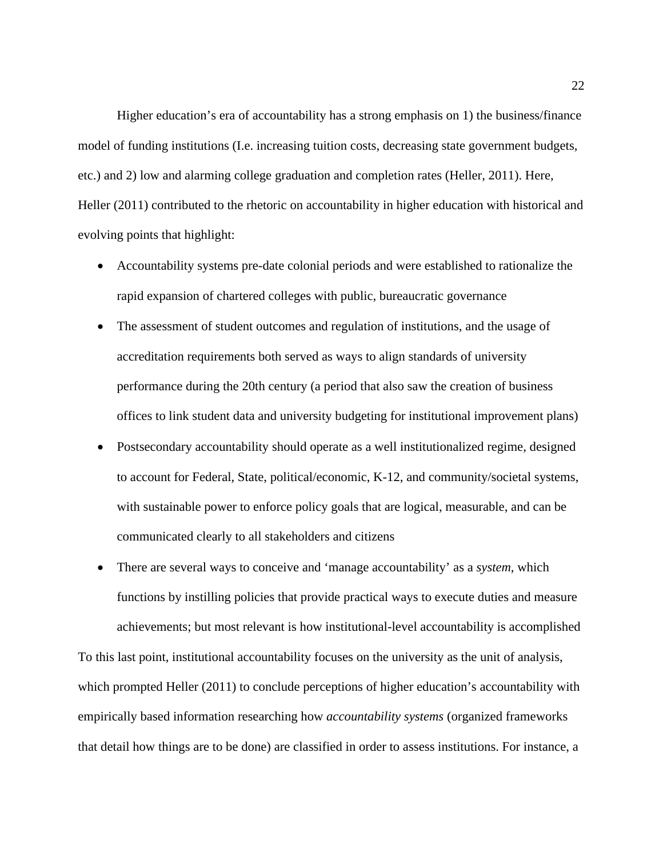Higher education's era of accountability has a strong emphasis on 1) the business/finance model of funding institutions (I.e. increasing tuition costs, decreasing state government budgets, etc.) and 2) low and alarming college graduation and completion rates (Heller, 2011). Here, Heller (2011) contributed to the rhetoric on accountability in higher education with historical and evolving points that highlight:

- Accountability systems pre-date colonial periods and were established to rationalize the rapid expansion of chartered colleges with public, bureaucratic governance
- The assessment of student outcomes and regulation of institutions, and the usage of accreditation requirements both served as ways to align standards of university performance during the 20th century (a period that also saw the creation of business offices to link student data and university budgeting for institutional improvement plans)
- Postsecondary accountability should operate as a well institutionalized regime, designed to account for Federal, State, political/economic, K-12, and community/societal systems, with sustainable power to enforce policy goals that are logical, measurable, and can be communicated clearly to all stakeholders and citizens
- There are several ways to conceive and 'manage accountability' as a *system*, which functions by instilling policies that provide practical ways to execute duties and measure achievements; but most relevant is how institutional-level accountability is accomplished

To this last point, institutional accountability focuses on the university as the unit of analysis, which prompted Heller (2011) to conclude perceptions of higher education's accountability with empirically based information researching how *accountability systems* (organized frameworks that detail how things are to be done) are classified in order to assess institutions. For instance, a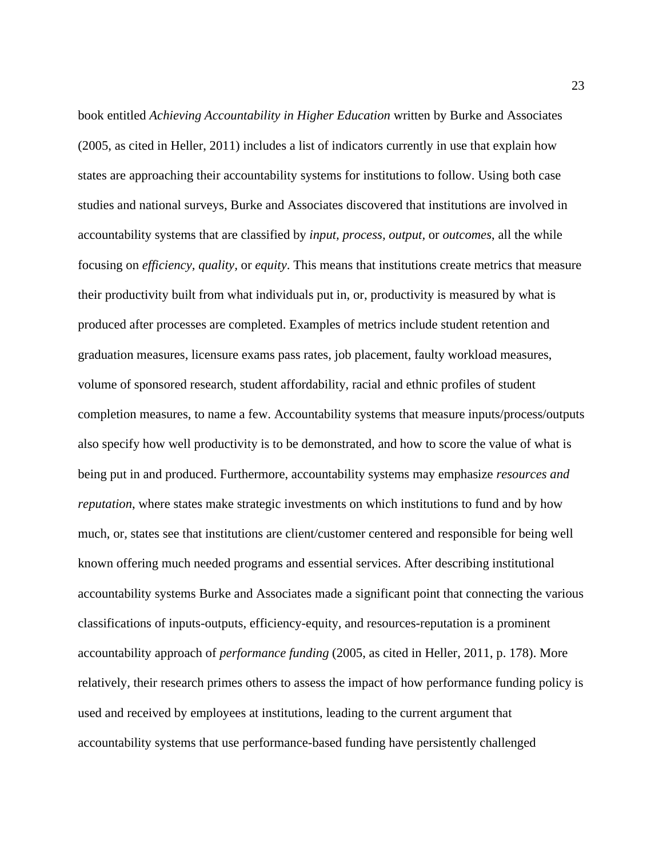book entitled *Achieving Accountability in Higher Education* written by Burke and Associates (2005, as cited in Heller, 2011) includes a list of indicators currently in use that explain how states are approaching their accountability systems for institutions to follow. Using both case studies and national surveys, Burke and Associates discovered that institutions are involved in accountability systems that are classified by *input, process, output,* or *outcomes*, all the while focusing on *efficiency, quality,* or *equity*. This means that institutions create metrics that measure their productivity built from what individuals put in, or, productivity is measured by what is produced after processes are completed. Examples of metrics include student retention and graduation measures, licensure exams pass rates, job placement, faulty workload measures, volume of sponsored research, student affordability, racial and ethnic profiles of student completion measures, to name a few. Accountability systems that measure inputs/process/outputs also specify how well productivity is to be demonstrated, and how to score the value of what is being put in and produced. Furthermore, accountability systems may emphasize *resources and reputation*, where states make strategic investments on which institutions to fund and by how much, or, states see that institutions are client/customer centered and responsible for being well known offering much needed programs and essential services. After describing institutional accountability systems Burke and Associates made a significant point that connecting the various classifications of inputs-outputs, efficiency-equity, and resources-reputation is a prominent accountability approach of *performance funding* (2005, as cited in Heller, 2011, p. 178). More relatively, their research primes others to assess the impact of how performance funding policy is used and received by employees at institutions, leading to the current argument that accountability systems that use performance-based funding have persistently challenged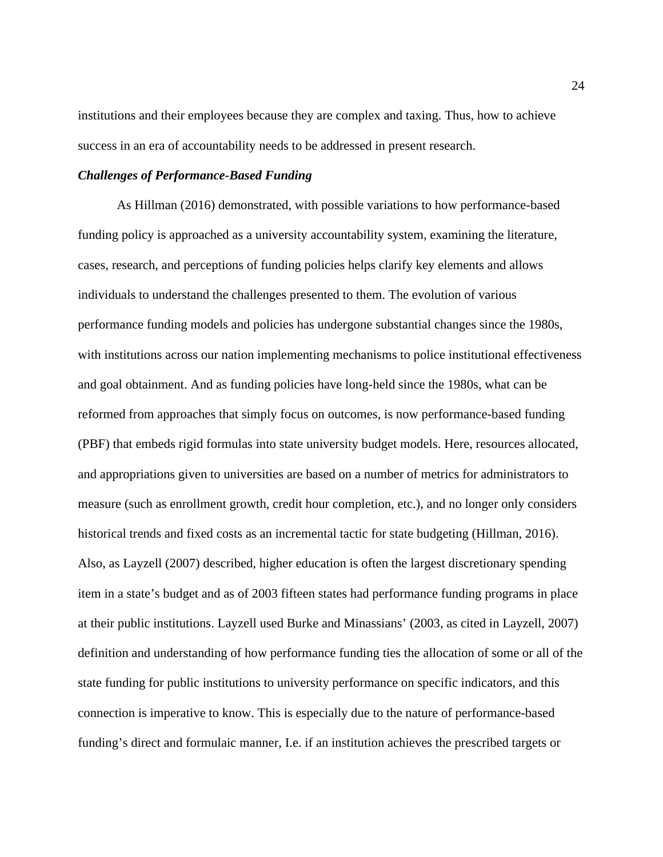institutions and their employees because they are complex and taxing. Thus, how to achieve success in an era of accountability needs to be addressed in present research.

#### <span id="page-24-0"></span>*Challenges of Performance-Based Funding*

As Hillman (2016) demonstrated, with possible variations to how performance-based funding policy is approached as a university accountability system, examining the literature, cases, research, and perceptions of funding policies helps clarify key elements and allows individuals to understand the challenges presented to them. The evolution of various performance funding models and policies has undergone substantial changes since the 1980s, with institutions across our nation implementing mechanisms to police institutional effectiveness and goal obtainment. And as funding policies have long-held since the 1980s, what can be reformed from approaches that simply focus on outcomes, is now performance-based funding (PBF) that embeds rigid formulas into state university budget models. Here, resources allocated, and appropriations given to universities are based on a number of metrics for administrators to measure (such as enrollment growth, credit hour completion, etc.), and no longer only considers historical trends and fixed costs as an incremental tactic for state budgeting (Hillman, 2016). Also, as Layzell (2007) described, higher education is often the largest discretionary spending item in a state's budget and as of 2003 fifteen states had performance funding programs in place at their public institutions. Layzell used Burke and Minassians' (2003, as cited in Layzell, 2007) definition and understanding of how performance funding ties the allocation of some or all of the state funding for public institutions to university performance on specific indicators, and this connection is imperative to know. This is especially due to the nature of performance-based funding's direct and formulaic manner, I.e. if an institution achieves the prescribed targets or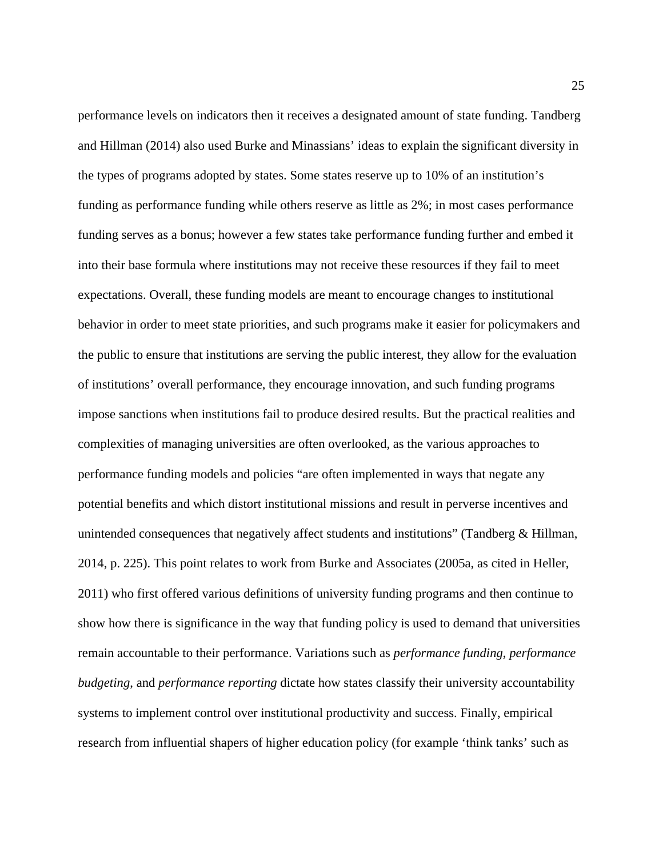performance levels on indicators then it receives a designated amount of state funding. Tandberg and Hillman (2014) also used Burke and Minassians' ideas to explain the significant diversity in the types of programs adopted by states. Some states reserve up to 10% of an institution's funding as performance funding while others reserve as little as 2%; in most cases performance funding serves as a bonus; however a few states take performance funding further and embed it into their base formula where institutions may not receive these resources if they fail to meet expectations. Overall, these funding models are meant to encourage changes to institutional behavior in order to meet state priorities, and such programs make it easier for policymakers and the public to ensure that institutions are serving the public interest, they allow for the evaluation of institutions' overall performance, they encourage innovation, and such funding programs impose sanctions when institutions fail to produce desired results. But the practical realities and complexities of managing universities are often overlooked, as the various approaches to performance funding models and policies "are often implemented in ways that negate any potential benefits and which distort institutional missions and result in perverse incentives and unintended consequences that negatively affect students and institutions" (Tandberg & Hillman, 2014, p. 225). This point relates to work from Burke and Associates (2005a, as cited in Heller, 2011) who first offered various definitions of university funding programs and then continue to show how there is significance in the way that funding policy is used to demand that universities remain accountable to their performance. Variations such as *performance funding*, *performance budgeting*, and *performance reporting* dictate how states classify their university accountability systems to implement control over institutional productivity and success. Finally, empirical research from influential shapers of higher education policy (for example 'think tanks' such as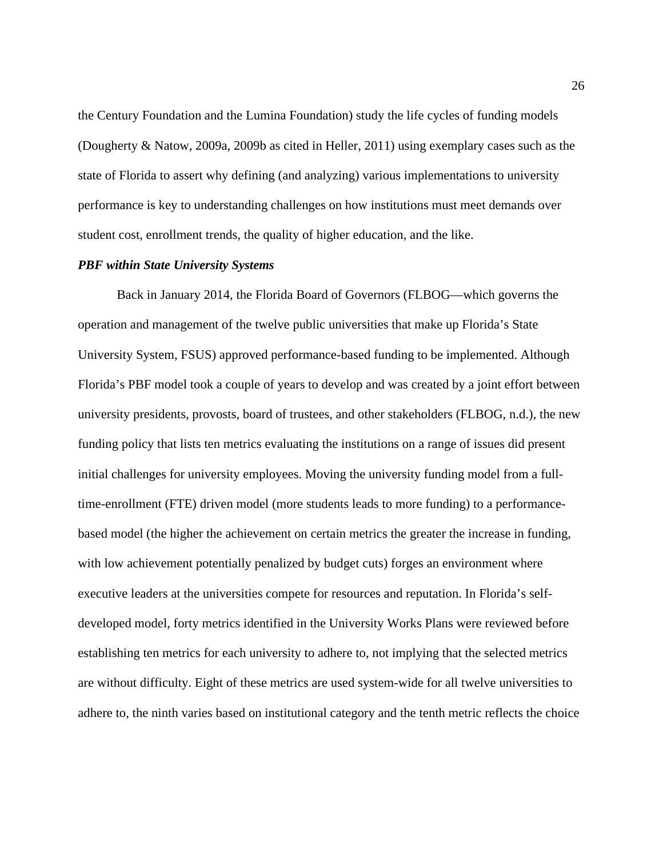the Century Foundation and the Lumina Foundation) study the life cycles of funding models (Dougherty & Natow, 2009a, 2009b as cited in Heller, 2011) using exemplary cases such as the state of Florida to assert why defining (and analyzing) various implementations to university performance is key to understanding challenges on how institutions must meet demands over student cost, enrollment trends, the quality of higher education, and the like.

#### <span id="page-26-0"></span>*PBF within State University Systems*

Back in January 2014, the Florida Board of Governors (FLBOG—which governs the operation and management of the twelve public universities that make up Florida's State University System, FSUS) approved performance-based funding to be implemented. Although Florida's PBF model took a couple of years to develop and was created by a joint effort between university presidents, provosts, board of trustees, and other stakeholders (FLBOG, n.d.), the new funding policy that lists ten metrics evaluating the institutions on a range of issues did present initial challenges for university employees. Moving the university funding model from a fulltime-enrollment (FTE) driven model (more students leads to more funding) to a performancebased model (the higher the achievement on certain metrics the greater the increase in funding, with low achievement potentially penalized by budget cuts) forges an environment where executive leaders at the universities compete for resources and reputation. In Florida's selfdeveloped model, forty metrics identified in the University Works Plans were reviewed before establishing ten metrics for each university to adhere to, not implying that the selected metrics are without difficulty. Eight of these metrics are used system-wide for all twelve universities to adhere to, the ninth varies based on institutional category and the tenth metric reflects the choice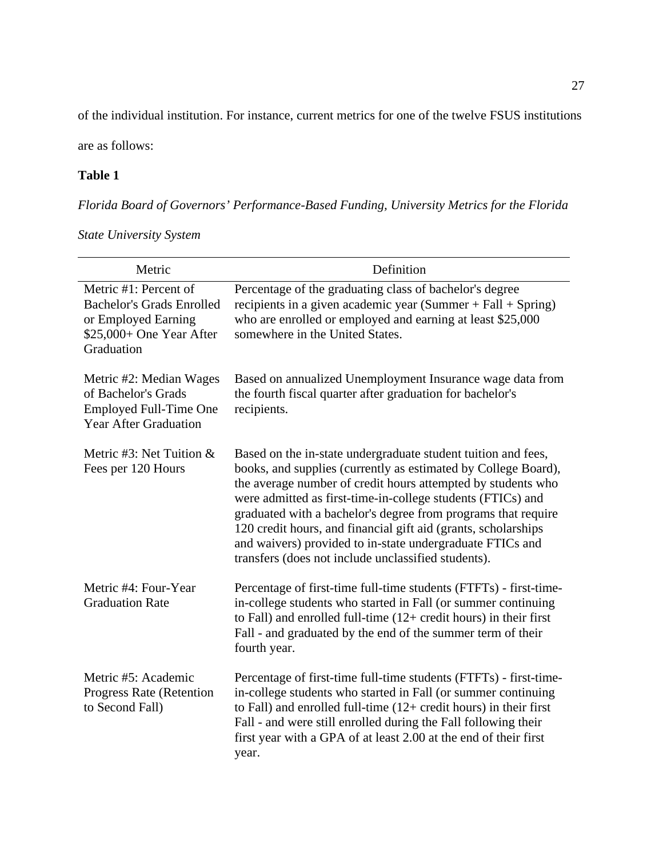of the individual institution. For instance, current metrics for one of the twelve FSUS institutions

are as follows:

## <span id="page-27-0"></span>**Table 1**

# *Florida Board of Governors' Performance-Based Funding, University Metrics for the Florida*

| Metric                                                                                                                     | Definition                                                                                                                                                                                                                                                                                                                                                                                                                                                                                                            |
|----------------------------------------------------------------------------------------------------------------------------|-----------------------------------------------------------------------------------------------------------------------------------------------------------------------------------------------------------------------------------------------------------------------------------------------------------------------------------------------------------------------------------------------------------------------------------------------------------------------------------------------------------------------|
| Metric #1: Percent of<br><b>Bachelor's Grads Enrolled</b><br>or Employed Earning<br>\$25,000+ One Year After<br>Graduation | Percentage of the graduating class of bachelor's degree<br>recipients in a given academic year (Summer $+$ Fall $+$ Spring)<br>who are enrolled or employed and earning at least \$25,000<br>somewhere in the United States.                                                                                                                                                                                                                                                                                          |
| Metric #2: Median Wages<br>of Bachelor's Grads<br><b>Employed Full-Time One</b><br><b>Year After Graduation</b>            | Based on annualized Unemployment Insurance wage data from<br>the fourth fiscal quarter after graduation for bachelor's<br>recipients.                                                                                                                                                                                                                                                                                                                                                                                 |
| Metric #3: Net Tuition $&$<br>Fees per 120 Hours                                                                           | Based on the in-state undergraduate student tuition and fees,<br>books, and supplies (currently as estimated by College Board),<br>the average number of credit hours attempted by students who<br>were admitted as first-time-in-college students (FTICs) and<br>graduated with a bachelor's degree from programs that require<br>120 credit hours, and financial gift aid (grants, scholarships<br>and waivers) provided to in-state undergraduate FTICs and<br>transfers (does not include unclassified students). |
| Metric #4: Four-Year<br><b>Graduation Rate</b>                                                                             | Percentage of first-time full-time students (FTFTs) - first-time-<br>in-college students who started in Fall (or summer continuing<br>to Fall) and enrolled full-time $(12 + \text{credit hours})$ in their first<br>Fall - and graduated by the end of the summer term of their<br>fourth year.                                                                                                                                                                                                                      |
| Metric #5: Academic<br>Progress Rate (Retention<br>to Second Fall)                                                         | Percentage of first-time full-time students (FTFTs) - first-time-<br>in-college students who started in Fall (or summer continuing<br>to Fall) and enrolled full-time $(12 + \text{credit hours})$ in their first<br>Fall - and were still enrolled during the Fall following their<br>first year with a GPA of at least 2.00 at the end of their first<br>year.                                                                                                                                                      |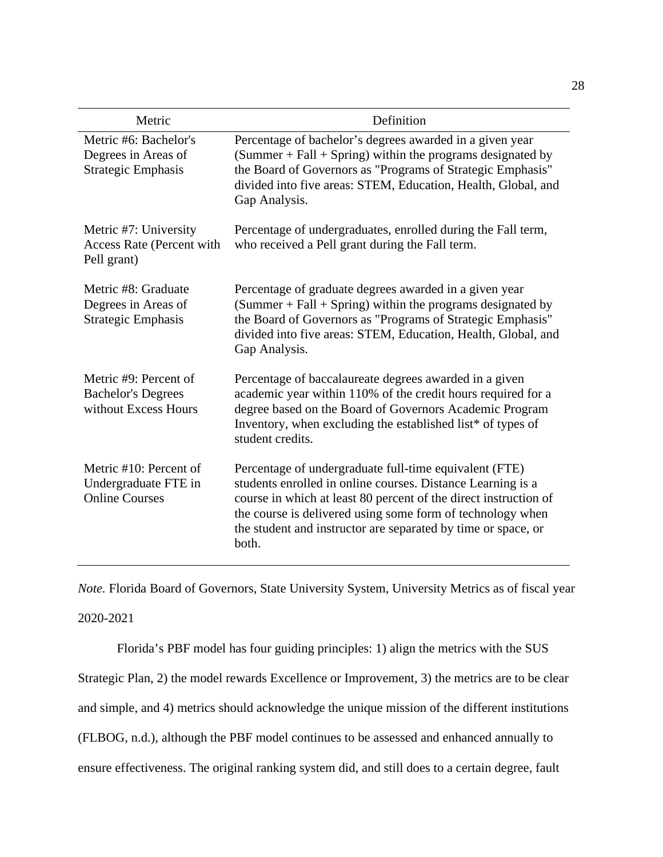| Metric                                                                     | Definition                                                                                                                                                                                                                                                                                                                        |
|----------------------------------------------------------------------------|-----------------------------------------------------------------------------------------------------------------------------------------------------------------------------------------------------------------------------------------------------------------------------------------------------------------------------------|
| Metric #6: Bachelor's<br>Degrees in Areas of<br><b>Strategic Emphasis</b>  | Percentage of bachelor's degrees awarded in a given year<br>$(Summer + Fall + Spring)$ within the programs designated by<br>the Board of Governors as "Programs of Strategic Emphasis"<br>divided into five areas: STEM, Education, Health, Global, and<br>Gap Analysis.                                                          |
| Metric #7: University<br>Access Rate (Percent with<br>Pell grant)          | Percentage of undergraduates, enrolled during the Fall term,<br>who received a Pell grant during the Fall term.                                                                                                                                                                                                                   |
| Metric #8: Graduate<br>Degrees in Areas of<br><b>Strategic Emphasis</b>    | Percentage of graduate degrees awarded in a given year<br>(Summer + Fall + Spring) within the programs designated by<br>the Board of Governors as "Programs of Strategic Emphasis"<br>divided into five areas: STEM, Education, Health, Global, and<br>Gap Analysis.                                                              |
| Metric #9: Percent of<br><b>Bachelor's Degrees</b><br>without Excess Hours | Percentage of baccalaureate degrees awarded in a given<br>academic year within 110% of the credit hours required for a<br>degree based on the Board of Governors Academic Program<br>Inventory, when excluding the established list* of types of<br>student credits.                                                              |
| Metric #10: Percent of<br>Undergraduate FTE in<br><b>Online Courses</b>    | Percentage of undergraduate full-time equivalent (FTE)<br>students enrolled in online courses. Distance Learning is a<br>course in which at least 80 percent of the direct instruction of<br>the course is delivered using some form of technology when<br>the student and instructor are separated by time or space, or<br>both. |

*Note.* Florida Board of Governors, State University System, University Metrics as of fiscal year 2020-2021

Florida's PBF model has four guiding principles: 1) align the metrics with the SUS Strategic Plan, 2) the model rewards Excellence or Improvement, 3) the metrics are to be clear and simple, and 4) metrics should acknowledge the unique mission of the different institutions (FLBOG, n.d.), although the PBF model continues to be assessed and enhanced annually to ensure effectiveness. The original ranking system did, and still does to a certain degree, fault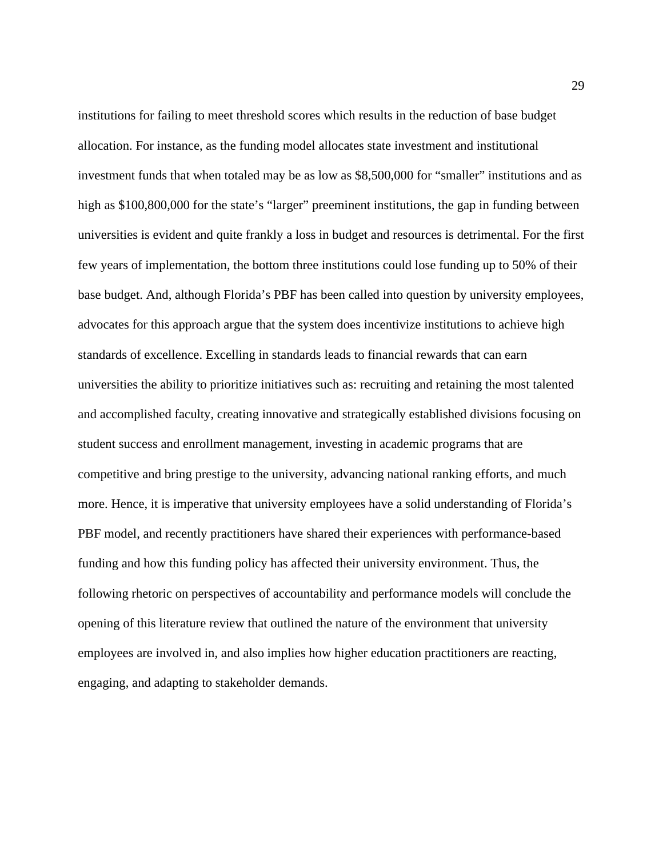institutions for failing to meet threshold scores which results in the reduction of base budget allocation. For instance, as the funding model allocates state investment and institutional investment funds that when totaled may be as low as \$8,500,000 for "smaller" institutions and as high as \$100,800,000 for the state's "larger" preeminent institutions, the gap in funding between universities is evident and quite frankly a loss in budget and resources is detrimental. For the first few years of implementation, the bottom three institutions could lose funding up to 50% of their base budget. And, although Florida's PBF has been called into question by university employees, advocates for this approach argue that the system does incentivize institutions to achieve high standards of excellence. Excelling in standards leads to financial rewards that can earn universities the ability to prioritize initiatives such as: recruiting and retaining the most talented and accomplished faculty, creating innovative and strategically established divisions focusing on student success and enrollment management, investing in academic programs that are competitive and bring prestige to the university, advancing national ranking efforts, and much more. Hence, it is imperative that university employees have a solid understanding of Florida's PBF model, and recently practitioners have shared their experiences with performance-based funding and how this funding policy has affected their university environment. Thus, the following rhetoric on perspectives of accountability and performance models will conclude the opening of this literature review that outlined the nature of the environment that university employees are involved in, and also implies how higher education practitioners are reacting, engaging, and adapting to stakeholder demands.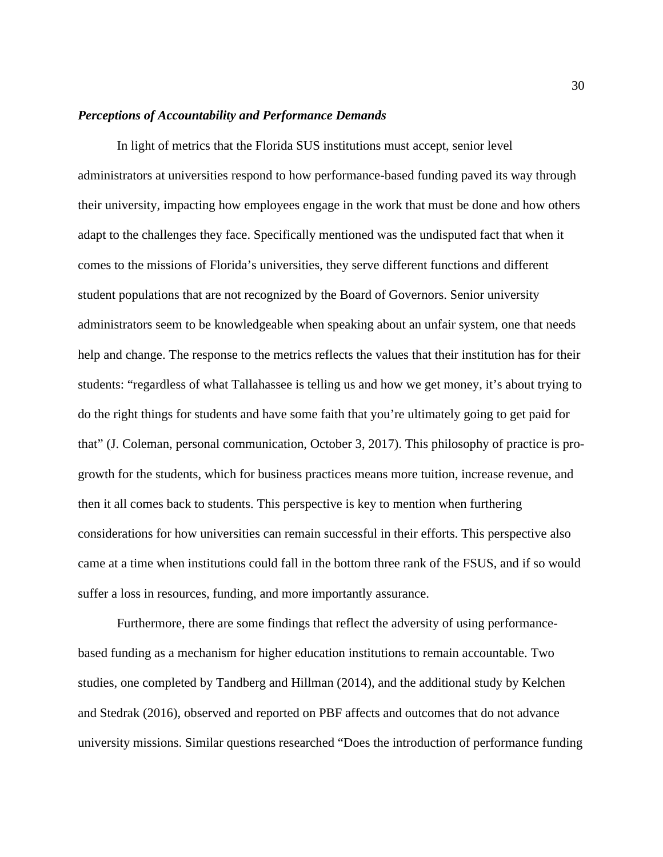#### <span id="page-30-0"></span>*Perceptions of Accountability and Performance Demands*

In light of metrics that the Florida SUS institutions must accept, senior level administrators at universities respond to how performance-based funding paved its way through their university, impacting how employees engage in the work that must be done and how others adapt to the challenges they face. Specifically mentioned was the undisputed fact that when it comes to the missions of Florida's universities, they serve different functions and different student populations that are not recognized by the Board of Governors. Senior university administrators seem to be knowledgeable when speaking about an unfair system, one that needs help and change. The response to the metrics reflects the values that their institution has for their students: "regardless of what Tallahassee is telling us and how we get money, it's about trying to do the right things for students and have some faith that you're ultimately going to get paid for that" (J. Coleman, personal communication, October 3, 2017). This philosophy of practice is progrowth for the students, which for business practices means more tuition, increase revenue, and then it all comes back to students. This perspective is key to mention when furthering considerations for how universities can remain successful in their efforts. This perspective also came at a time when institutions could fall in the bottom three rank of the FSUS, and if so would suffer a loss in resources, funding, and more importantly assurance.

Furthermore, there are some findings that reflect the adversity of using performancebased funding as a mechanism for higher education institutions to remain accountable. Two studies, one completed by Tandberg and Hillman (2014), and the additional study by Kelchen and Stedrak (2016), observed and reported on PBF affects and outcomes that do not advance university missions. Similar questions researched "Does the introduction of performance funding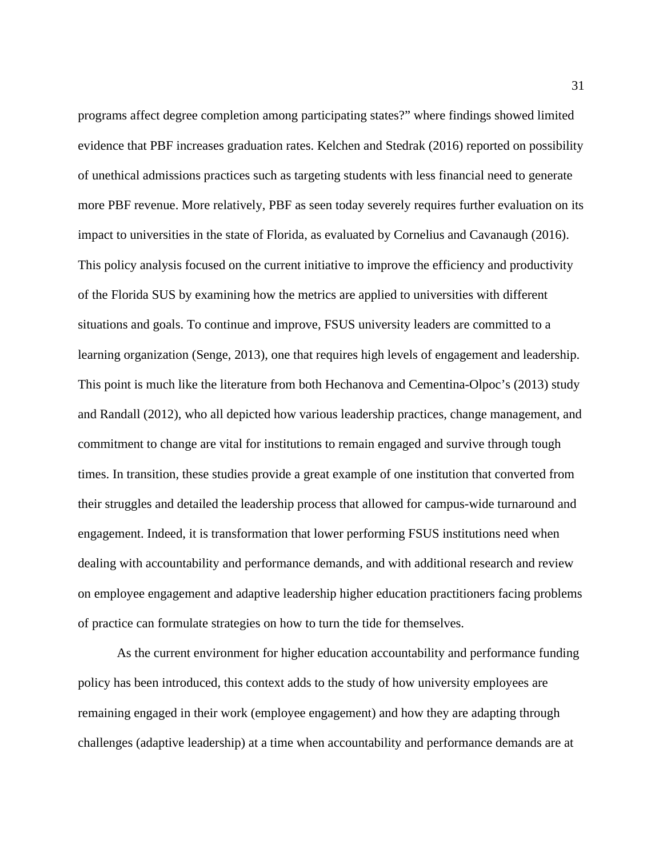programs affect degree completion among participating states?" where findings showed limited evidence that PBF increases graduation rates. Kelchen and Stedrak (2016) reported on possibility of unethical admissions practices such as targeting students with less financial need to generate more PBF revenue. More relatively, PBF as seen today severely requires further evaluation on its impact to universities in the state of Florida, as evaluated by Cornelius and Cavanaugh (2016). This policy analysis focused on the current initiative to improve the efficiency and productivity of the Florida SUS by examining how the metrics are applied to universities with different situations and goals. To continue and improve, FSUS university leaders are committed to a learning organization (Senge, 2013), one that requires high levels of engagement and leadership. This point is much like the literature from both Hechanova and Cementina-Olpoc's (2013) study and Randall (2012), who all depicted how various leadership practices, change management, and commitment to change are vital for institutions to remain engaged and survive through tough times. In transition, these studies provide a great example of one institution that converted from their struggles and detailed the leadership process that allowed for campus-wide turnaround and engagement. Indeed, it is transformation that lower performing FSUS institutions need when dealing with accountability and performance demands, and with additional research and review on employee engagement and adaptive leadership higher education practitioners facing problems of practice can formulate strategies on how to turn the tide for themselves.

 As the current environment for higher education accountability and performance funding policy has been introduced, this context adds to the study of how university employees are remaining engaged in their work (employee engagement) and how they are adapting through challenges (adaptive leadership) at a time when accountability and performance demands are at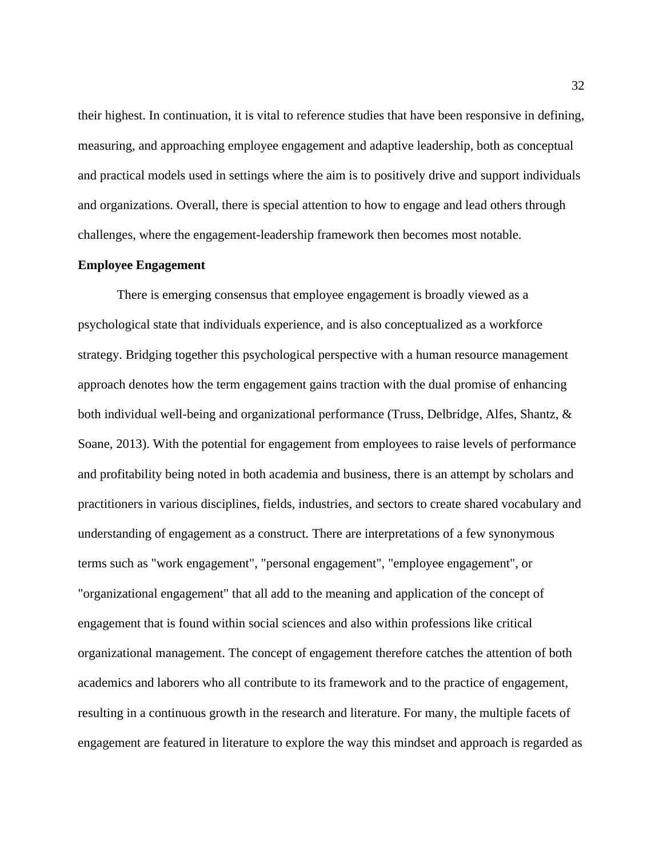their highest. In continuation, it is vital to reference studies that have been responsive in defining, measuring, and approaching employee engagement and adaptive leadership, both as conceptual and practical models used in settings where the aim is to positively drive and support individuals and organizations. Overall, there is special attention to how to engage and lead others through challenges, where the engagement-leadership framework then becomes most notable.

#### <span id="page-32-0"></span>**Employee Engagement**

There is emerging consensus that employee engagement is broadly viewed as a psychological state that individuals experience, and is also conceptualized as a workforce strategy. Bridging together this psychological perspective with a human resource management approach denotes how the term engagement gains traction with the dual promise of enhancing both individual well-being and organizational performance (Truss, Delbridge, Alfes, Shantz, & Soane, 2013). With the potential for engagement from employees to raise levels of performance and profitability being noted in both academia and business, there is an attempt by scholars and practitioners in various disciplines, fields, industries, and sectors to create shared vocabulary and understanding of engagement as a construct. There are interpretations of a few synonymous terms such as "work engagement", "personal engagement", "employee engagement", or "organizational engagement" that all add to the meaning and application of the concept of engagement that is found within social sciences and also within professions like critical organizational management. The concept of engagement therefore catches the attention of both academics and laborers who all contribute to its framework and to the practice of engagement, resulting in a continuous growth in the research and literature. For many, the multiple facets of engagement are featured in literature to explore the way this mindset and approach is regarded as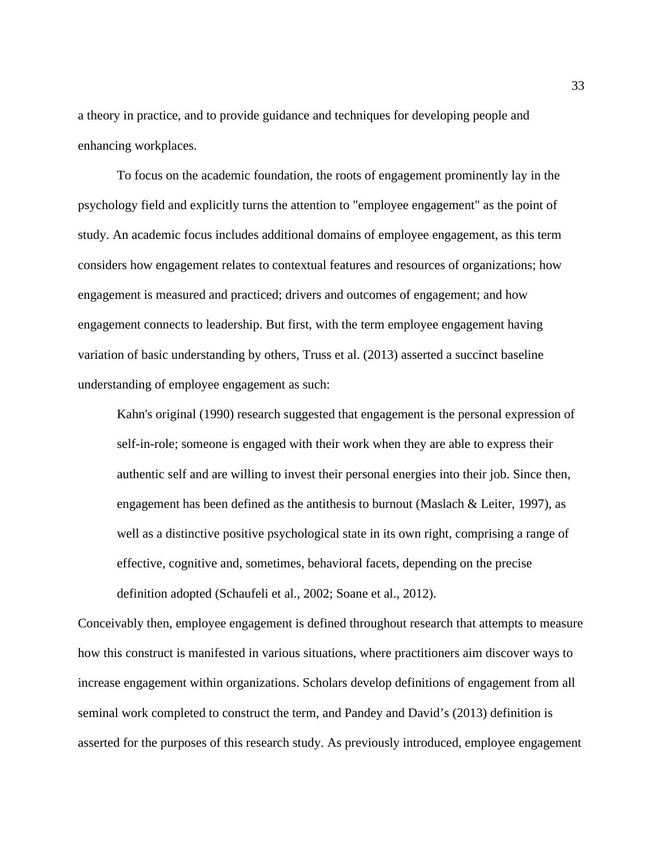a theory in practice, and to provide guidance and techniques for developing people and enhancing workplaces.

To focus on the academic foundation, the roots of engagement prominently lay in the psychology field and explicitly turns the attention to "employee engagement" as the point of study. An academic focus includes additional domains of employee engagement, as this term considers how engagement relates to contextual features and resources of organizations; how engagement is measured and practiced; drivers and outcomes of engagement; and how engagement connects to leadership. But first, with the term employee engagement having variation of basic understanding by others, Truss et al. (2013) asserted a succinct baseline understanding of employee engagement as such:

Kahn's original (1990) research suggested that engagement is the personal expression of self-in-role; someone is engaged with their work when they are able to express their authentic self and are willing to invest their personal energies into their job. Since then, engagement has been defined as the antithesis to burnout (Maslach & Leiter, 1997), as well as a distinctive positive psychological state in its own right, comprising a range of effective, cognitive and, sometimes, behavioral facets, depending on the precise definition adopted (Schaufeli et al., 2002; Soane et al., 2012).

Conceivably then, employee engagement is defined throughout research that attempts to measure how this construct is manifested in various situations, where practitioners aim discover ways to increase engagement within organizations. Scholars develop definitions of engagement from all seminal work completed to construct the term, and Pandey and David's (2013) definition is asserted for the purposes of this research study. As previously introduced, employee engagement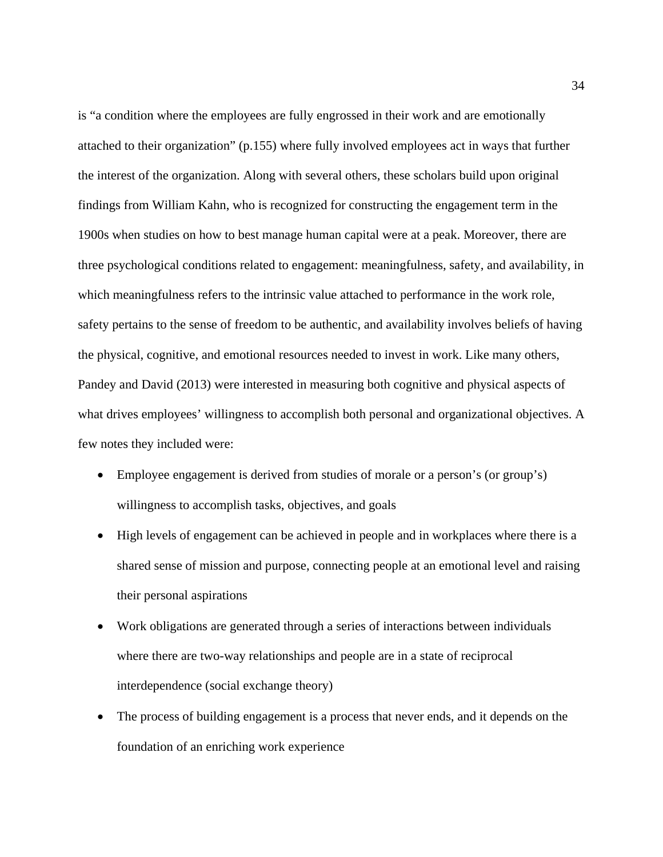is "a condition where the employees are fully engrossed in their work and are emotionally attached to their organization" (p.155) where fully involved employees act in ways that further the interest of the organization. Along with several others, these scholars build upon original findings from William Kahn, who is recognized for constructing the engagement term in the 1900s when studies on how to best manage human capital were at a peak. Moreover, there are three psychological conditions related to engagement: meaningfulness, safety, and availability, in which meaningfulness refers to the intrinsic value attached to performance in the work role, safety pertains to the sense of freedom to be authentic, and availability involves beliefs of having the physical, cognitive, and emotional resources needed to invest in work. Like many others, Pandey and David (2013) were interested in measuring both cognitive and physical aspects of what drives employees' willingness to accomplish both personal and organizational objectives. A few notes they included were:

- Employee engagement is derived from studies of morale or a person's (or group's) willingness to accomplish tasks, objectives, and goals
- High levels of engagement can be achieved in people and in workplaces where there is a shared sense of mission and purpose, connecting people at an emotional level and raising their personal aspirations
- Work obligations are generated through a series of interactions between individuals where there are two-way relationships and people are in a state of reciprocal interdependence (social exchange theory)
- The process of building engagement is a process that never ends, and it depends on the foundation of an enriching work experience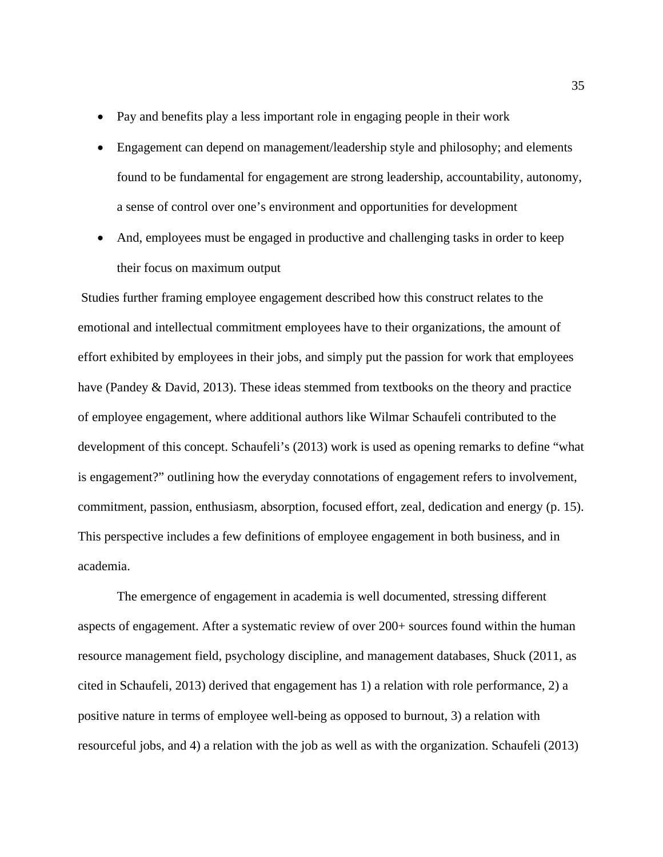- Pay and benefits play a less important role in engaging people in their work
- Engagement can depend on management/leadership style and philosophy; and elements found to be fundamental for engagement are strong leadership, accountability, autonomy, a sense of control over one's environment and opportunities for development
- And, employees must be engaged in productive and challenging tasks in order to keep their focus on maximum output

Studies further framing employee engagement described how this construct relates to the emotional and intellectual commitment employees have to their organizations, the amount of effort exhibited by employees in their jobs, and simply put the passion for work that employees have (Pandey & David, 2013). These ideas stemmed from textbooks on the theory and practice of employee engagement, where additional authors like Wilmar Schaufeli contributed to the development of this concept. Schaufeli's (2013) work is used as opening remarks to define "what is engagement?" outlining how the everyday connotations of engagement refers to involvement, commitment, passion, enthusiasm, absorption, focused effort, zeal, dedication and energy (p. 15). This perspective includes a few definitions of employee engagement in both business, and in academia.

The emergence of engagement in academia is well documented, stressing different aspects of engagement. After a systematic review of over 200+ sources found within the human resource management field, psychology discipline, and management databases, Shuck (2011, as cited in Schaufeli, 2013) derived that engagement has 1) a relation with role performance, 2) a positive nature in terms of employee well-being as opposed to burnout, 3) a relation with resourceful jobs, and 4) a relation with the job as well as with the organization. Schaufeli (2013)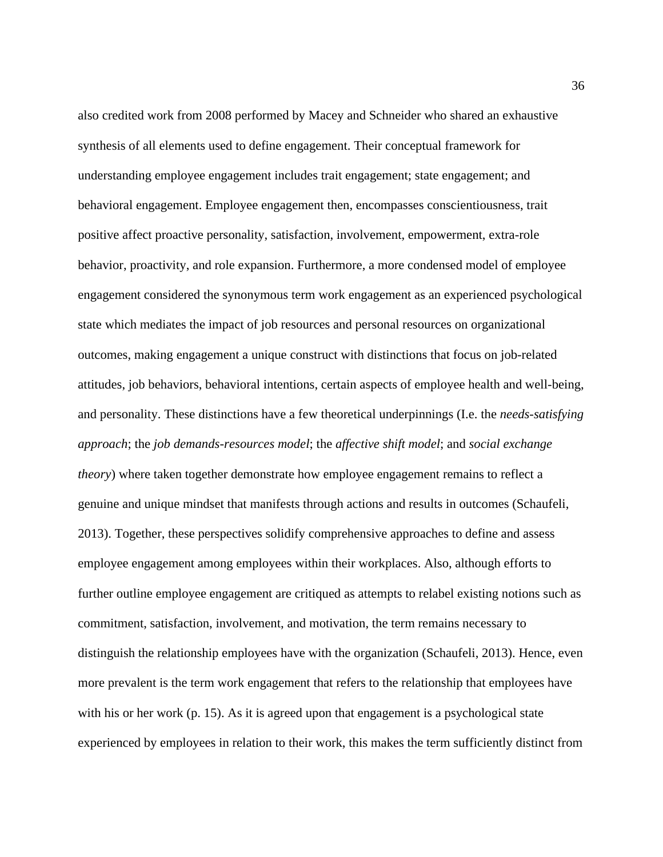also credited work from 2008 performed by Macey and Schneider who shared an exhaustive synthesis of all elements used to define engagement. Their conceptual framework for understanding employee engagement includes trait engagement; state engagement; and behavioral engagement. Employee engagement then, encompasses conscientiousness, trait positive affect proactive personality, satisfaction, involvement, empowerment, extra-role behavior, proactivity, and role expansion. Furthermore, a more condensed model of employee engagement considered the synonymous term work engagement as an experienced psychological state which mediates the impact of job resources and personal resources on organizational outcomes, making engagement a unique construct with distinctions that focus on job-related attitudes, job behaviors, behavioral intentions, certain aspects of employee health and well-being, and personality. These distinctions have a few theoretical underpinnings (I.e. the *needs-satisfying approach*; the *job demands-resources model*; the *affective shift model*; and *social exchange theory*) where taken together demonstrate how employee engagement remains to reflect a genuine and unique mindset that manifests through actions and results in outcomes (Schaufeli, 2013). Together, these perspectives solidify comprehensive approaches to define and assess employee engagement among employees within their workplaces. Also, although efforts to further outline employee engagement are critiqued as attempts to relabel existing notions such as commitment, satisfaction, involvement, and motivation, the term remains necessary to distinguish the relationship employees have with the organization (Schaufeli, 2013). Hence, even more prevalent is the term work engagement that refers to the relationship that employees have with his or her work (p. 15). As it is agreed upon that engagement is a psychological state experienced by employees in relation to their work, this makes the term sufficiently distinct from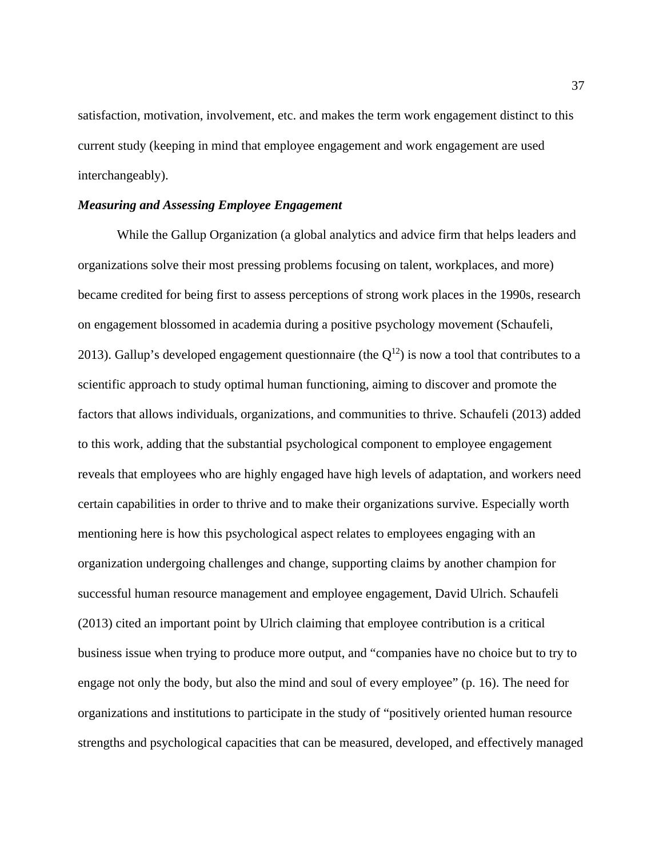satisfaction, motivation, involvement, etc. and makes the term work engagement distinct to this current study (keeping in mind that employee engagement and work engagement are used interchangeably).

#### *Measuring and Assessing Employee Engagement*

While the Gallup Organization (a global analytics and advice firm that helps leaders and organizations solve their most pressing problems focusing on talent, workplaces, and more) became credited for being first to assess perceptions of strong work places in the 1990s, research on engagement blossomed in academia during a positive psychology movement (Schaufeli, 2013). Gallup's developed engagement questionnaire (the  $Q^{12}$ ) is now a tool that contributes to a scientific approach to study optimal human functioning, aiming to discover and promote the factors that allows individuals, organizations, and communities to thrive. Schaufeli (2013) added to this work, adding that the substantial psychological component to employee engagement reveals that employees who are highly engaged have high levels of adaptation, and workers need certain capabilities in order to thrive and to make their organizations survive. Especially worth mentioning here is how this psychological aspect relates to employees engaging with an organization undergoing challenges and change, supporting claims by another champion for successful human resource management and employee engagement, David Ulrich. Schaufeli (2013) cited an important point by Ulrich claiming that employee contribution is a critical business issue when trying to produce more output, and "companies have no choice but to try to engage not only the body, but also the mind and soul of every employee" (p. 16). The need for organizations and institutions to participate in the study of "positively oriented human resource strengths and psychological capacities that can be measured, developed, and effectively managed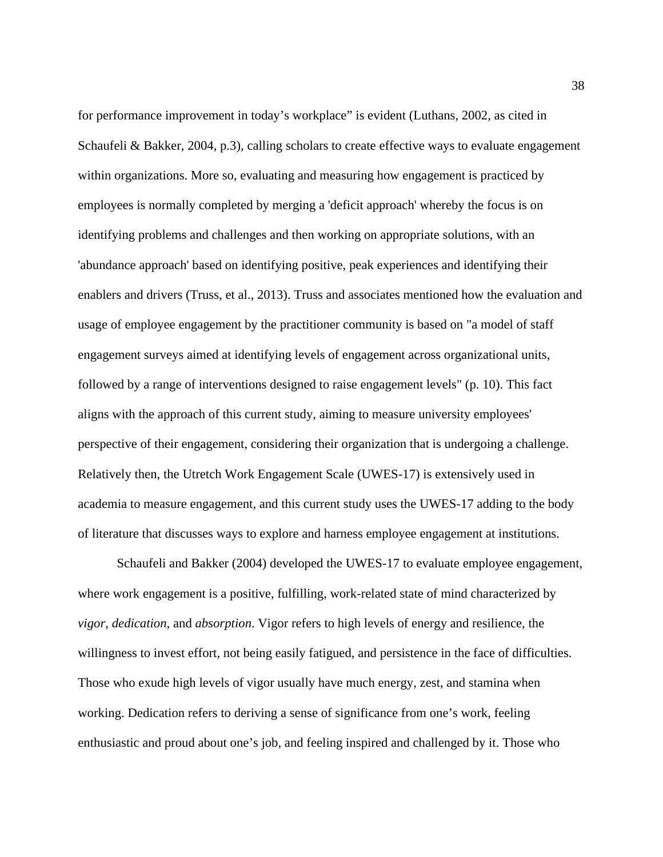for performance improvement in today's workplace" is evident (Luthans, 2002, as cited in Schaufeli & Bakker, 2004, p.3), calling scholars to create effective ways to evaluate engagement within organizations. More so, evaluating and measuring how engagement is practiced by employees is normally completed by merging a 'deficit approach' whereby the focus is on identifying problems and challenges and then working on appropriate solutions, with an 'abundance approach' based on identifying positive, peak experiences and identifying their enablers and drivers (Truss, et al., 2013). Truss and associates mentioned how the evaluation and usage of employee engagement by the practitioner community is based on "a model of staff engagement surveys aimed at identifying levels of engagement across organizational units, followed by a range of interventions designed to raise engagement levels" (p. 10). This fact aligns with the approach of this current study, aiming to measure university employees' perspective of their engagement, considering their organization that is undergoing a challenge. Relatively then, the Utretch Work Engagement Scale (UWES-17) is extensively used in academia to measure engagement, and this current study uses the UWES-17 adding to the body of literature that discusses ways to explore and harness employee engagement at institutions.

Schaufeli and Bakker (2004) developed the UWES-17 to evaluate employee engagement, where work engagement is a positive, fulfilling, work-related state of mind characterized by *vigor, dedication,* and *absorption*. Vigor refers to high levels of energy and resilience, the willingness to invest effort, not being easily fatigued, and persistence in the face of difficulties. Those who exude high levels of vigor usually have much energy, zest, and stamina when working. Dedication refers to deriving a sense of significance from one's work, feeling enthusiastic and proud about one's job, and feeling inspired and challenged by it. Those who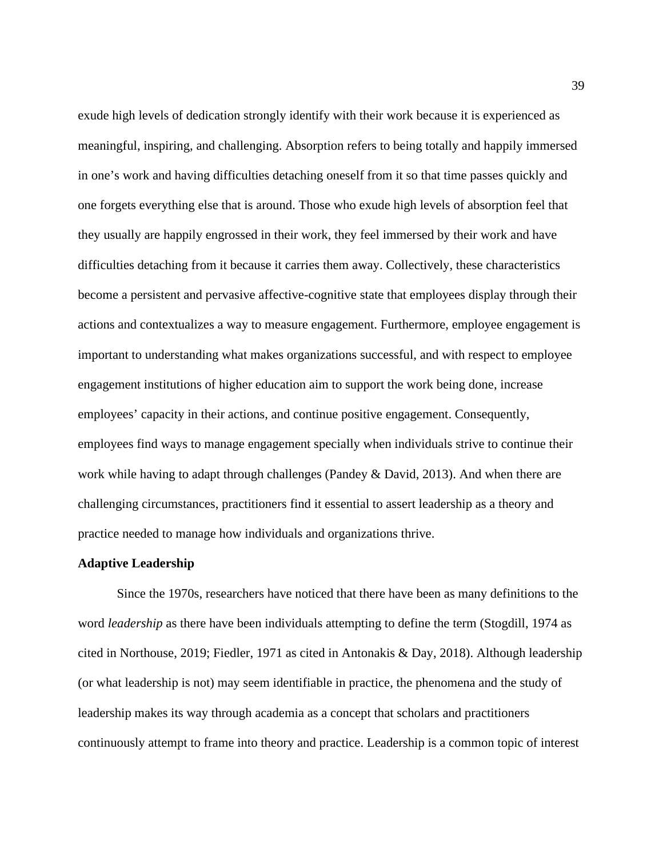exude high levels of dedication strongly identify with their work because it is experienced as meaningful, inspiring, and challenging. Absorption refers to being totally and happily immersed in one's work and having difficulties detaching oneself from it so that time passes quickly and one forgets everything else that is around. Those who exude high levels of absorption feel that they usually are happily engrossed in their work, they feel immersed by their work and have difficulties detaching from it because it carries them away. Collectively, these characteristics become a persistent and pervasive affective-cognitive state that employees display through their actions and contextualizes a way to measure engagement. Furthermore, employee engagement is important to understanding what makes organizations successful, and with respect to employee engagement institutions of higher education aim to support the work being done, increase employees' capacity in their actions, and continue positive engagement. Consequently, employees find ways to manage engagement specially when individuals strive to continue their work while having to adapt through challenges (Pandey & David, 2013). And when there are challenging circumstances, practitioners find it essential to assert leadership as a theory and practice needed to manage how individuals and organizations thrive.

#### **Adaptive Leadership**

Since the 1970s, researchers have noticed that there have been as many definitions to the word *leadership* as there have been individuals attempting to define the term (Stogdill, 1974 as cited in Northouse, 2019; Fiedler, 1971 as cited in Antonakis & Day, 2018). Although leadership (or what leadership is not) may seem identifiable in practice, the phenomena and the study of leadership makes its way through academia as a concept that scholars and practitioners continuously attempt to frame into theory and practice. Leadership is a common topic of interest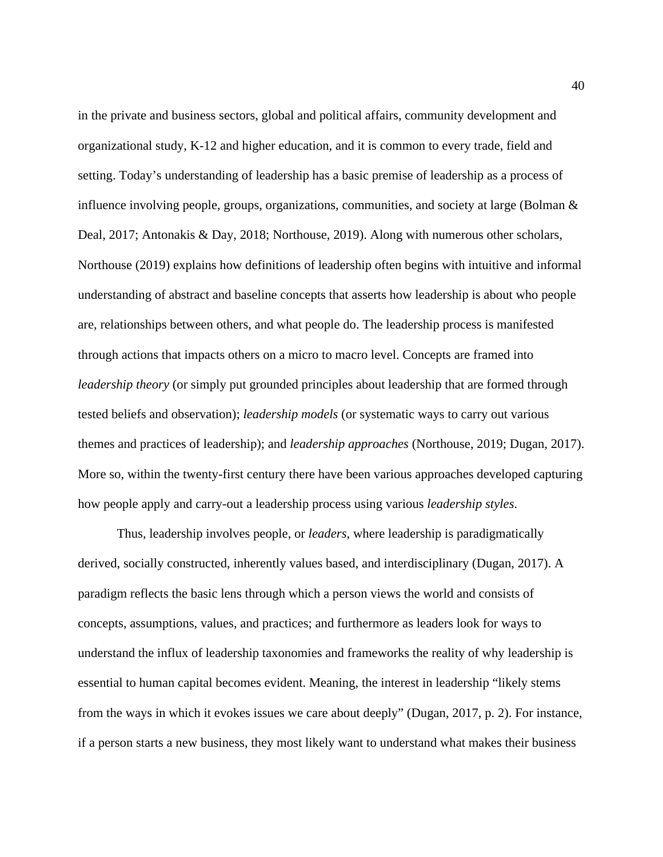in the private and business sectors, global and political affairs, community development and organizational study, K-12 and higher education, and it is common to every trade, field and setting. Today's understanding of leadership has a basic premise of leadership as a process of influence involving people, groups, organizations, communities, and society at large (Bolman  $\&$ Deal, 2017; Antonakis & Day, 2018; Northouse, 2019). Along with numerous other scholars, Northouse (2019) explains how definitions of leadership often begins with intuitive and informal understanding of abstract and baseline concepts that asserts how leadership is about who people are, relationships between others, and what people do. The leadership process is manifested through actions that impacts others on a micro to macro level. Concepts are framed into *leadership theory* (or simply put grounded principles about leadership that are formed through tested beliefs and observation); *leadership models* (or systematic ways to carry out various themes and practices of leadership); and *leadership approaches* (Northouse, 2019; Dugan, 2017). More so, within the twenty-first century there have been various approaches developed capturing how people apply and carry-out a leadership process using various *leadership styles*.

Thus, leadership involves people, or *leaders*, where leadership is paradigmatically derived, socially constructed, inherently values based, and interdisciplinary (Dugan, 2017). A paradigm reflects the basic lens through which a person views the world and consists of concepts, assumptions, values, and practices; and furthermore as leaders look for ways to understand the influx of leadership taxonomies and frameworks the reality of why leadership is essential to human capital becomes evident. Meaning, the interest in leadership "likely stems from the ways in which it evokes issues we care about deeply" (Dugan, 2017, p. 2). For instance, if a person starts a new business, they most likely want to understand what makes their business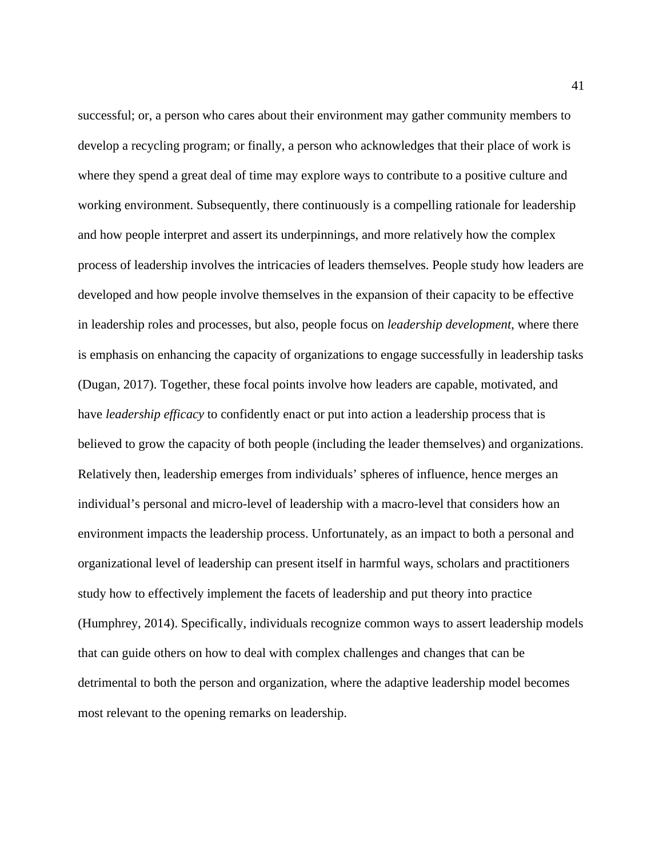successful; or, a person who cares about their environment may gather community members to develop a recycling program; or finally, a person who acknowledges that their place of work is where they spend a great deal of time may explore ways to contribute to a positive culture and working environment. Subsequently, there continuously is a compelling rationale for leadership and how people interpret and assert its underpinnings, and more relatively how the complex process of leadership involves the intricacies of leaders themselves. People study how leaders are developed and how people involve themselves in the expansion of their capacity to be effective in leadership roles and processes, but also, people focus on *leadership development*, where there is emphasis on enhancing the capacity of organizations to engage successfully in leadership tasks (Dugan, 2017). Together, these focal points involve how leaders are capable, motivated, and have *leadership efficacy* to confidently enact or put into action a leadership process that is believed to grow the capacity of both people (including the leader themselves) and organizations. Relatively then, leadership emerges from individuals' spheres of influence, hence merges an individual's personal and micro-level of leadership with a macro-level that considers how an environment impacts the leadership process. Unfortunately, as an impact to both a personal and organizational level of leadership can present itself in harmful ways, scholars and practitioners study how to effectively implement the facets of leadership and put theory into practice (Humphrey, 2014). Specifically, individuals recognize common ways to assert leadership models that can guide others on how to deal with complex challenges and changes that can be detrimental to both the person and organization, where the adaptive leadership model becomes most relevant to the opening remarks on leadership.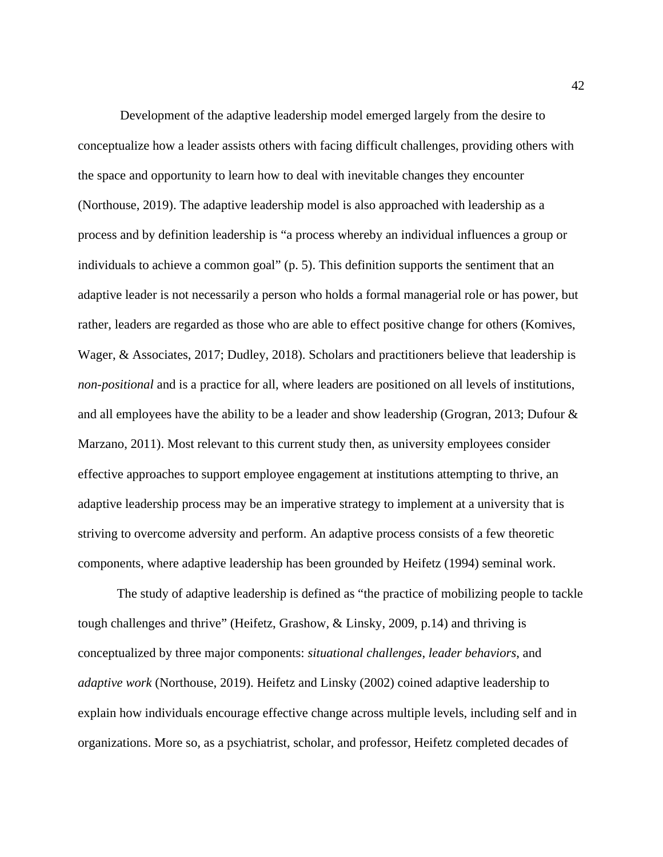Development of the adaptive leadership model emerged largely from the desire to conceptualize how a leader assists others with facing difficult challenges, providing others with the space and opportunity to learn how to deal with inevitable changes they encounter (Northouse, 2019). The adaptive leadership model is also approached with leadership as a process and by definition leadership is "a process whereby an individual influences a group or individuals to achieve a common goal" (p. 5). This definition supports the sentiment that an adaptive leader is not necessarily a person who holds a formal managerial role or has power, but rather, leaders are regarded as those who are able to effect positive change for others (Komives, Wager, & Associates, 2017; Dudley, 2018). Scholars and practitioners believe that leadership is *non-positional* and is a practice for all, where leaders are positioned on all levels of institutions, and all employees have the ability to be a leader and show leadership (Grogran, 2013; Dufour  $\&$ Marzano, 2011). Most relevant to this current study then, as university employees consider effective approaches to support employee engagement at institutions attempting to thrive, an adaptive leadership process may be an imperative strategy to implement at a university that is striving to overcome adversity and perform. An adaptive process consists of a few theoretic components, where adaptive leadership has been grounded by Heifetz (1994) seminal work.

The study of adaptive leadership is defined as "the practice of mobilizing people to tackle tough challenges and thrive" (Heifetz, Grashow, & Linsky, 2009, p.14) and thriving is conceptualized by three major components: *situational challenges*, *leader behaviors*, and *adaptive work* (Northouse, 2019). Heifetz and Linsky (2002) coined adaptive leadership to explain how individuals encourage effective change across multiple levels, including self and in organizations. More so, as a psychiatrist, scholar, and professor, Heifetz completed decades of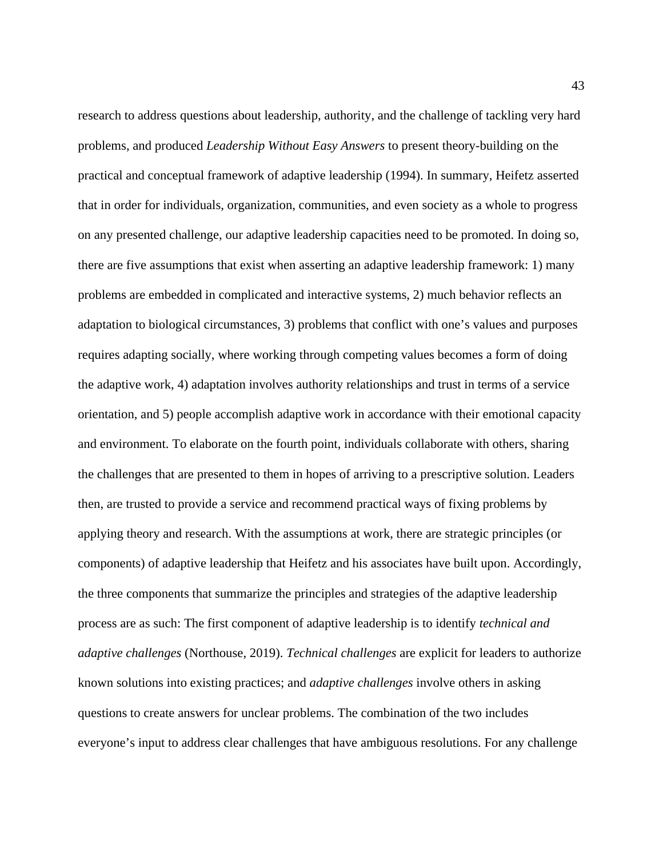research to address questions about leadership, authority, and the challenge of tackling very hard problems, and produced *Leadership Without Easy Answers* to present theory-building on the practical and conceptual framework of adaptive leadership (1994). In summary, Heifetz asserted that in order for individuals, organization, communities, and even society as a whole to progress on any presented challenge, our adaptive leadership capacities need to be promoted. In doing so, there are five assumptions that exist when asserting an adaptive leadership framework: 1) many problems are embedded in complicated and interactive systems, 2) much behavior reflects an adaptation to biological circumstances, 3) problems that conflict with one's values and purposes requires adapting socially, where working through competing values becomes a form of doing the adaptive work, 4) adaptation involves authority relationships and trust in terms of a service orientation, and 5) people accomplish adaptive work in accordance with their emotional capacity and environment. To elaborate on the fourth point, individuals collaborate with others, sharing the challenges that are presented to them in hopes of arriving to a prescriptive solution. Leaders then, are trusted to provide a service and recommend practical ways of fixing problems by applying theory and research. With the assumptions at work, there are strategic principles (or components) of adaptive leadership that Heifetz and his associates have built upon. Accordingly, the three components that summarize the principles and strategies of the adaptive leadership process are as such: The first component of adaptive leadership is to identify *technical and adaptive challenges* (Northouse, 2019). *Technical challenges* are explicit for leaders to authorize known solutions into existing practices; and *adaptive challenges* involve others in asking questions to create answers for unclear problems. The combination of the two includes everyone's input to address clear challenges that have ambiguous resolutions. For any challenge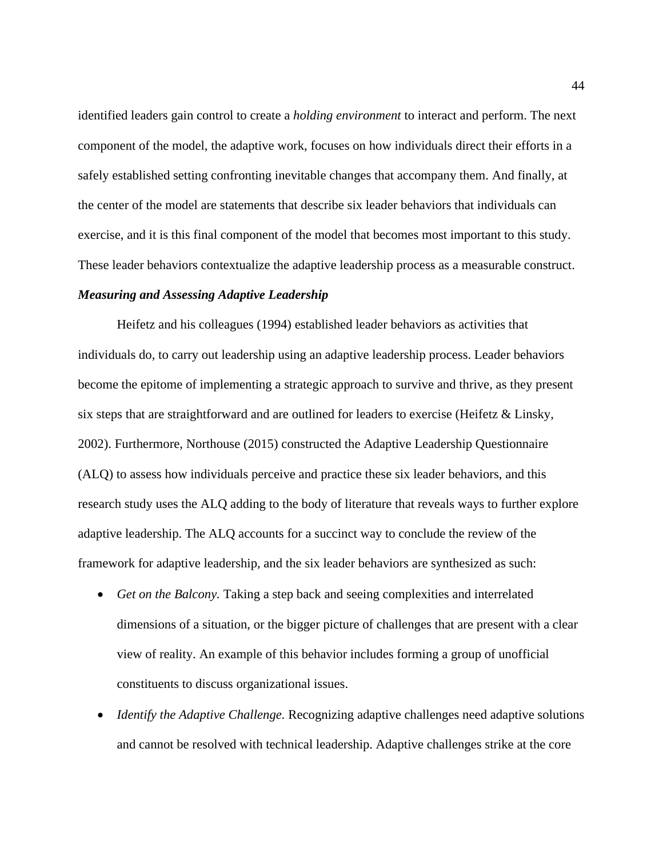identified leaders gain control to create a *holding environment* to interact and perform. The next component of the model, the adaptive work, focuses on how individuals direct their efforts in a safely established setting confronting inevitable changes that accompany them. And finally, at the center of the model are statements that describe six leader behaviors that individuals can exercise, and it is this final component of the model that becomes most important to this study. These leader behaviors contextualize the adaptive leadership process as a measurable construct.

#### *Measuring and Assessing Adaptive Leadership*

Heifetz and his colleagues (1994) established leader behaviors as activities that individuals do, to carry out leadership using an adaptive leadership process. Leader behaviors become the epitome of implementing a strategic approach to survive and thrive, as they present six steps that are straightforward and are outlined for leaders to exercise (Heifetz  $\&$  Linsky, 2002). Furthermore, Northouse (2015) constructed the Adaptive Leadership Questionnaire (ALQ) to assess how individuals perceive and practice these six leader behaviors, and this research study uses the ALQ adding to the body of literature that reveals ways to further explore adaptive leadership. The ALQ accounts for a succinct way to conclude the review of the framework for adaptive leadership, and the six leader behaviors are synthesized as such:

- *Get on the Balcony*. Taking a step back and seeing complexities and interrelated dimensions of a situation, or the bigger picture of challenges that are present with a clear view of reality. An example of this behavior includes forming a group of unofficial constituents to discuss organizational issues.
- *Identify the Adaptive Challenge.* Recognizing adaptive challenges need adaptive solutions and cannot be resolved with technical leadership. Adaptive challenges strike at the core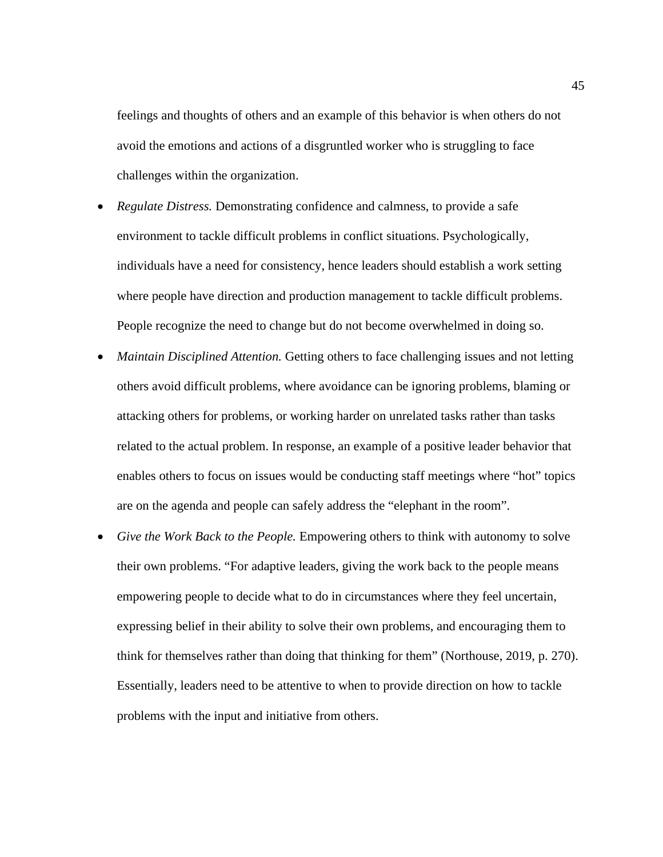feelings and thoughts of others and an example of this behavior is when others do not avoid the emotions and actions of a disgruntled worker who is struggling to face challenges within the organization.

- *Regulate Distress.* Demonstrating confidence and calmness, to provide a safe environment to tackle difficult problems in conflict situations. Psychologically, individuals have a need for consistency, hence leaders should establish a work setting where people have direction and production management to tackle difficult problems. People recognize the need to change but do not become overwhelmed in doing so.
- *Maintain Disciplined Attention.* Getting others to face challenging issues and not letting others avoid difficult problems, where avoidance can be ignoring problems, blaming or attacking others for problems, or working harder on unrelated tasks rather than tasks related to the actual problem. In response, an example of a positive leader behavior that enables others to focus on issues would be conducting staff meetings where "hot" topics are on the agenda and people can safely address the "elephant in the room".
- *Give the Work Back to the People.* Empowering others to think with autonomy to solve their own problems. "For adaptive leaders, giving the work back to the people means empowering people to decide what to do in circumstances where they feel uncertain, expressing belief in their ability to solve their own problems, and encouraging them to think for themselves rather than doing that thinking for them" (Northouse, 2019, p. 270). Essentially, leaders need to be attentive to when to provide direction on how to tackle problems with the input and initiative from others.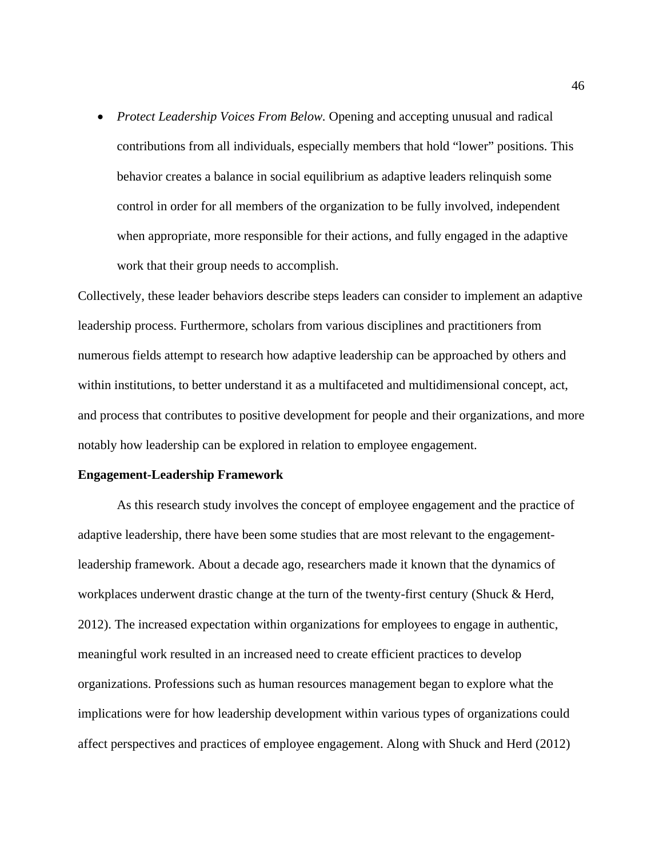• *Protect Leadership Voices From Below.* Opening and accepting unusual and radical contributions from all individuals, especially members that hold "lower" positions. This behavior creates a balance in social equilibrium as adaptive leaders relinquish some control in order for all members of the organization to be fully involved, independent when appropriate, more responsible for their actions, and fully engaged in the adaptive work that their group needs to accomplish.

Collectively, these leader behaviors describe steps leaders can consider to implement an adaptive leadership process. Furthermore, scholars from various disciplines and practitioners from numerous fields attempt to research how adaptive leadership can be approached by others and within institutions, to better understand it as a multifaceted and multidimensional concept, act, and process that contributes to positive development for people and their organizations, and more notably how leadership can be explored in relation to employee engagement.

#### **Engagement-Leadership Framework**

As this research study involves the concept of employee engagement and the practice of adaptive leadership, there have been some studies that are most relevant to the engagementleadership framework. About a decade ago, researchers made it known that the dynamics of workplaces underwent drastic change at the turn of the twenty-first century (Shuck & Herd, 2012). The increased expectation within organizations for employees to engage in authentic, meaningful work resulted in an increased need to create efficient practices to develop organizations. Professions such as human resources management began to explore what the implications were for how leadership development within various types of organizations could affect perspectives and practices of employee engagement. Along with Shuck and Herd (2012)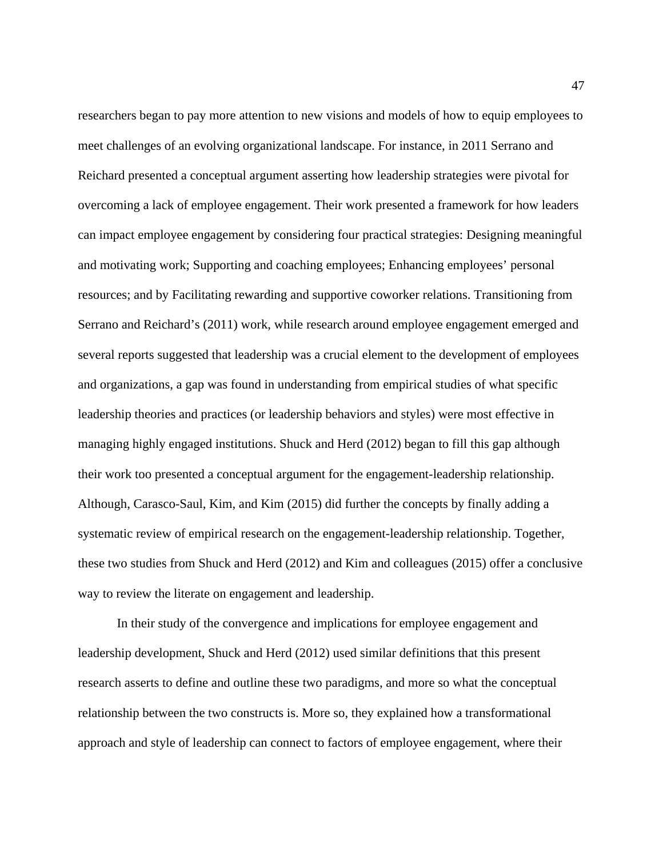researchers began to pay more attention to new visions and models of how to equip employees to meet challenges of an evolving organizational landscape. For instance, in 2011 Serrano and Reichard presented a conceptual argument asserting how leadership strategies were pivotal for overcoming a lack of employee engagement. Their work presented a framework for how leaders can impact employee engagement by considering four practical strategies: Designing meaningful and motivating work; Supporting and coaching employees; Enhancing employees' personal resources; and by Facilitating rewarding and supportive coworker relations. Transitioning from Serrano and Reichard's (2011) work, while research around employee engagement emerged and several reports suggested that leadership was a crucial element to the development of employees and organizations, a gap was found in understanding from empirical studies of what specific leadership theories and practices (or leadership behaviors and styles) were most effective in managing highly engaged institutions. Shuck and Herd (2012) began to fill this gap although their work too presented a conceptual argument for the engagement-leadership relationship. Although, Carasco-Saul, Kim, and Kim (2015) did further the concepts by finally adding a systematic review of empirical research on the engagement-leadership relationship. Together, these two studies from Shuck and Herd (2012) and Kim and colleagues (2015) offer a conclusive way to review the literate on engagement and leadership.

In their study of the convergence and implications for employee engagement and leadership development, Shuck and Herd (2012) used similar definitions that this present research asserts to define and outline these two paradigms, and more so what the conceptual relationship between the two constructs is. More so, they explained how a transformational approach and style of leadership can connect to factors of employee engagement, where their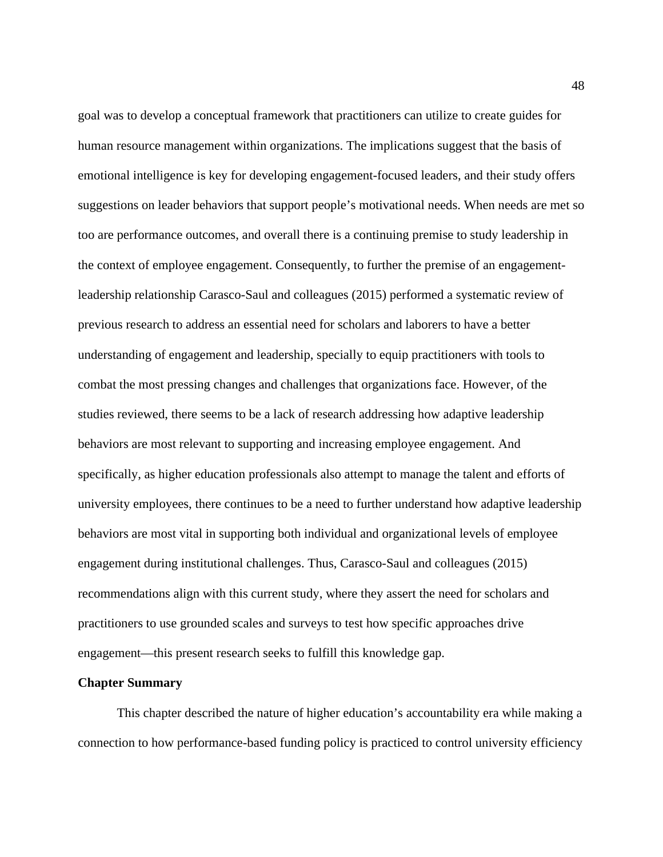goal was to develop a conceptual framework that practitioners can utilize to create guides for human resource management within organizations. The implications suggest that the basis of emotional intelligence is key for developing engagement-focused leaders, and their study offers suggestions on leader behaviors that support people's motivational needs. When needs are met so too are performance outcomes, and overall there is a continuing premise to study leadership in the context of employee engagement. Consequently, to further the premise of an engagementleadership relationship Carasco-Saul and colleagues (2015) performed a systematic review of previous research to address an essential need for scholars and laborers to have a better understanding of engagement and leadership, specially to equip practitioners with tools to combat the most pressing changes and challenges that organizations face. However, of the studies reviewed, there seems to be a lack of research addressing how adaptive leadership behaviors are most relevant to supporting and increasing employee engagement. And specifically, as higher education professionals also attempt to manage the talent and efforts of university employees, there continues to be a need to further understand how adaptive leadership behaviors are most vital in supporting both individual and organizational levels of employee engagement during institutional challenges. Thus, Carasco-Saul and colleagues (2015) recommendations align with this current study, where they assert the need for scholars and practitioners to use grounded scales and surveys to test how specific approaches drive engagement—this present research seeks to fulfill this knowledge gap.

#### **Chapter Summary**

This chapter described the nature of higher education's accountability era while making a connection to how performance-based funding policy is practiced to control university efficiency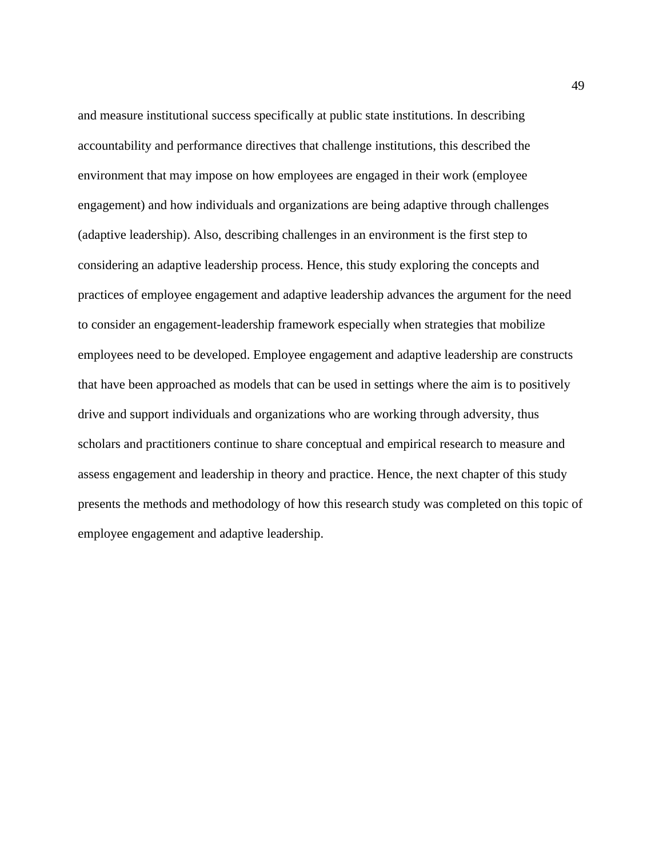and measure institutional success specifically at public state institutions. In describing accountability and performance directives that challenge institutions, this described the environment that may impose on how employees are engaged in their work (employee engagement) and how individuals and organizations are being adaptive through challenges (adaptive leadership). Also, describing challenges in an environment is the first step to considering an adaptive leadership process. Hence, this study exploring the concepts and practices of employee engagement and adaptive leadership advances the argument for the need to consider an engagement-leadership framework especially when strategies that mobilize employees need to be developed. Employee engagement and adaptive leadership are constructs that have been approached as models that can be used in settings where the aim is to positively drive and support individuals and organizations who are working through adversity, thus scholars and practitioners continue to share conceptual and empirical research to measure and assess engagement and leadership in theory and practice. Hence, the next chapter of this study presents the methods and methodology of how this research study was completed on this topic of employee engagement and adaptive leadership.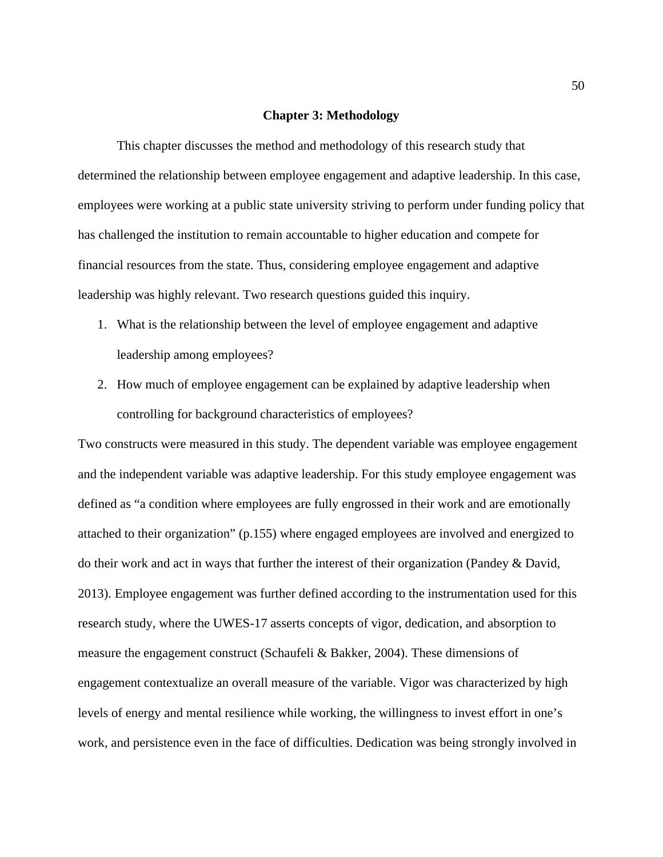#### **Chapter 3: Methodology**

This chapter discusses the method and methodology of this research study that determined the relationship between employee engagement and adaptive leadership. In this case, employees were working at a public state university striving to perform under funding policy that has challenged the institution to remain accountable to higher education and compete for financial resources from the state. Thus, considering employee engagement and adaptive leadership was highly relevant. Two research questions guided this inquiry.

- 1. What is the relationship between the level of employee engagement and adaptive leadership among employees?
- 2. How much of employee engagement can be explained by adaptive leadership when controlling for background characteristics of employees?

Two constructs were measured in this study. The dependent variable was employee engagement and the independent variable was adaptive leadership. For this study employee engagement was defined as "a condition where employees are fully engrossed in their work and are emotionally attached to their organization" (p.155) where engaged employees are involved and energized to do their work and act in ways that further the interest of their organization (Pandey & David, 2013). Employee engagement was further defined according to the instrumentation used for this research study, where the UWES-17 asserts concepts of vigor, dedication, and absorption to measure the engagement construct (Schaufeli & Bakker, 2004). These dimensions of engagement contextualize an overall measure of the variable. Vigor was characterized by high levels of energy and mental resilience while working, the willingness to invest effort in one's work, and persistence even in the face of difficulties. Dedication was being strongly involved in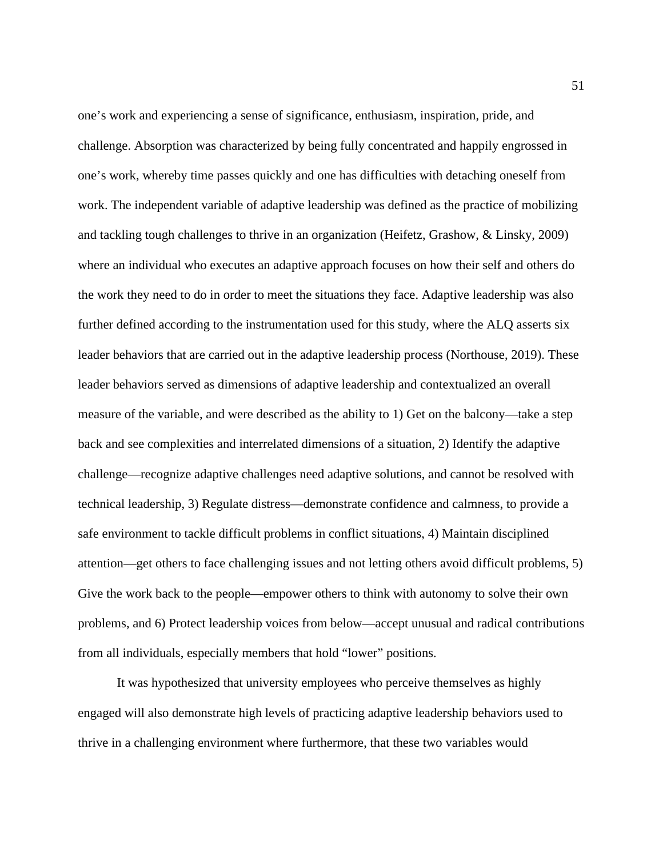one's work and experiencing a sense of significance, enthusiasm, inspiration, pride, and challenge. Absorption was characterized by being fully concentrated and happily engrossed in one's work, whereby time passes quickly and one has difficulties with detaching oneself from work. The independent variable of adaptive leadership was defined as the practice of mobilizing and tackling tough challenges to thrive in an organization (Heifetz, Grashow, & Linsky, 2009) where an individual who executes an adaptive approach focuses on how their self and others do the work they need to do in order to meet the situations they face. Adaptive leadership was also further defined according to the instrumentation used for this study, where the ALQ asserts six leader behaviors that are carried out in the adaptive leadership process (Northouse, 2019). These leader behaviors served as dimensions of adaptive leadership and contextualized an overall measure of the variable, and were described as the ability to 1) Get on the balcony—take a step back and see complexities and interrelated dimensions of a situation, 2) Identify the adaptive challenge—recognize adaptive challenges need adaptive solutions, and cannot be resolved with technical leadership, 3) Regulate distress—demonstrate confidence and calmness, to provide a safe environment to tackle difficult problems in conflict situations, 4) Maintain disciplined attention—get others to face challenging issues and not letting others avoid difficult problems, 5) Give the work back to the people—empower others to think with autonomy to solve their own problems, and 6) Protect leadership voices from below—accept unusual and radical contributions from all individuals, especially members that hold "lower" positions.

It was hypothesized that university employees who perceive themselves as highly engaged will also demonstrate high levels of practicing adaptive leadership behaviors used to thrive in a challenging environment where furthermore, that these two variables would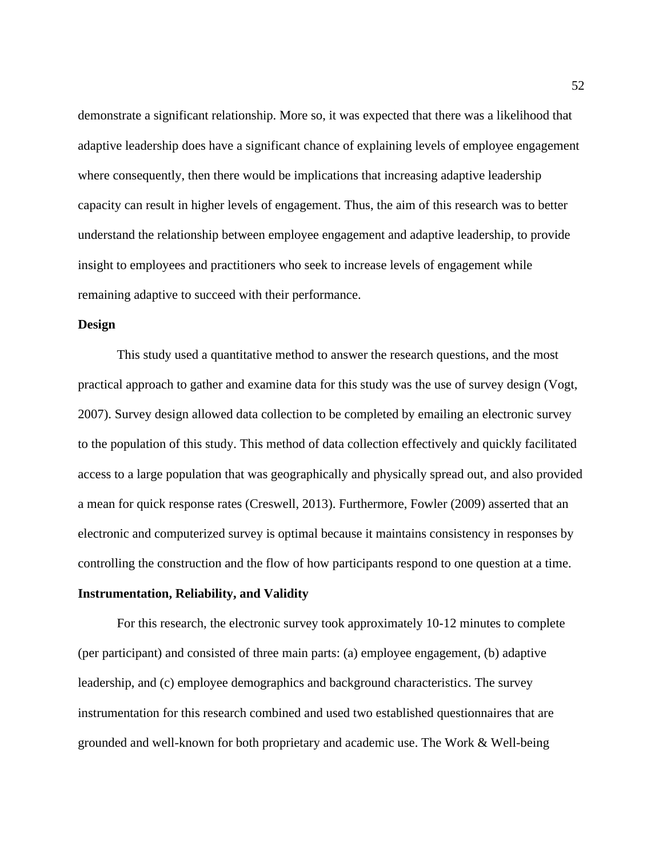demonstrate a significant relationship. More so, it was expected that there was a likelihood that adaptive leadership does have a significant chance of explaining levels of employee engagement where consequently, then there would be implications that increasing adaptive leadership capacity can result in higher levels of engagement. Thus, the aim of this research was to better understand the relationship between employee engagement and adaptive leadership, to provide insight to employees and practitioners who seek to increase levels of engagement while remaining adaptive to succeed with their performance.

### **Design**

This study used a quantitative method to answer the research questions, and the most practical approach to gather and examine data for this study was the use of survey design (Vogt, 2007). Survey design allowed data collection to be completed by emailing an electronic survey to the population of this study. This method of data collection effectively and quickly facilitated access to a large population that was geographically and physically spread out, and also provided a mean for quick response rates (Creswell, 2013). Furthermore, Fowler (2009) asserted that an electronic and computerized survey is optimal because it maintains consistency in responses by controlling the construction and the flow of how participants respond to one question at a time.

## **Instrumentation, Reliability, and Validity**

For this research, the electronic survey took approximately 10-12 minutes to complete (per participant) and consisted of three main parts: (a) employee engagement, (b) adaptive leadership, and (c) employee demographics and background characteristics. The survey instrumentation for this research combined and used two established questionnaires that are grounded and well-known for both proprietary and academic use. The Work & Well-being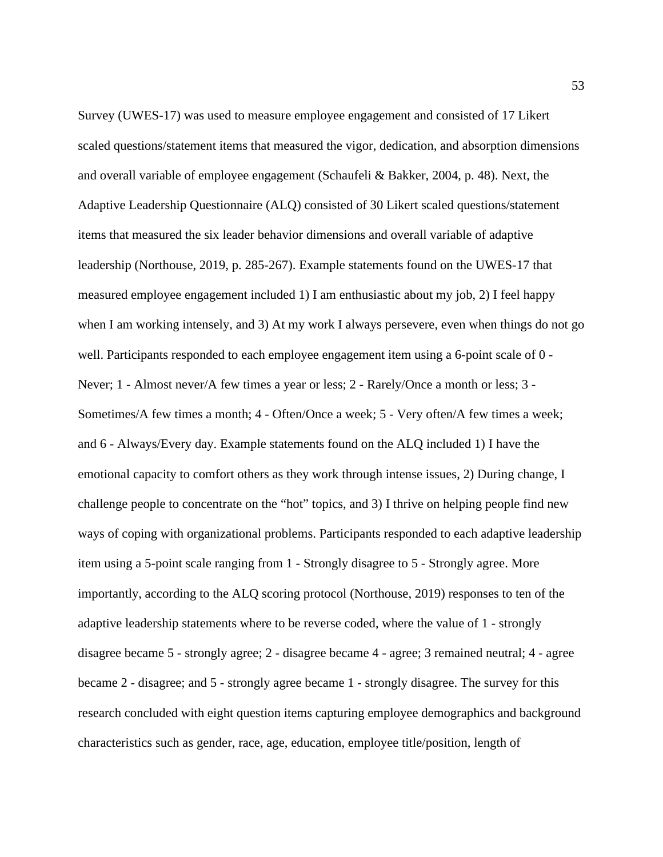Survey (UWES-17) was used to measure employee engagement and consisted of 17 Likert scaled questions/statement items that measured the vigor, dedication, and absorption dimensions and overall variable of employee engagement (Schaufeli & Bakker, 2004, p. 48). Next, the Adaptive Leadership Questionnaire (ALQ) consisted of 30 Likert scaled questions/statement items that measured the six leader behavior dimensions and overall variable of adaptive leadership (Northouse, 2019, p. 285-267). Example statements found on the UWES-17 that measured employee engagement included 1) I am enthusiastic about my job, 2) I feel happy when I am working intensely, and 3) At my work I always persevere, even when things do not go well. Participants responded to each employee engagement item using a 6-point scale of 0 - Never; 1 - Almost never/A few times a year or less; 2 - Rarely/Once a month or less; 3 - Sometimes/A few times a month; 4 - Often/Once a week; 5 - Very often/A few times a week; and 6 - Always/Every day. Example statements found on the ALQ included 1) I have the emotional capacity to comfort others as they work through intense issues, 2) During change, I challenge people to concentrate on the "hot" topics, and 3) I thrive on helping people find new ways of coping with organizational problems. Participants responded to each adaptive leadership item using a 5-point scale ranging from 1 - Strongly disagree to 5 - Strongly agree. More importantly, according to the ALQ scoring protocol (Northouse, 2019) responses to ten of the adaptive leadership statements where to be reverse coded, where the value of 1 - strongly disagree became 5 - strongly agree; 2 - disagree became 4 - agree; 3 remained neutral; 4 - agree became 2 - disagree; and 5 - strongly agree became 1 - strongly disagree. The survey for this research concluded with eight question items capturing employee demographics and background characteristics such as gender, race, age, education, employee title/position, length of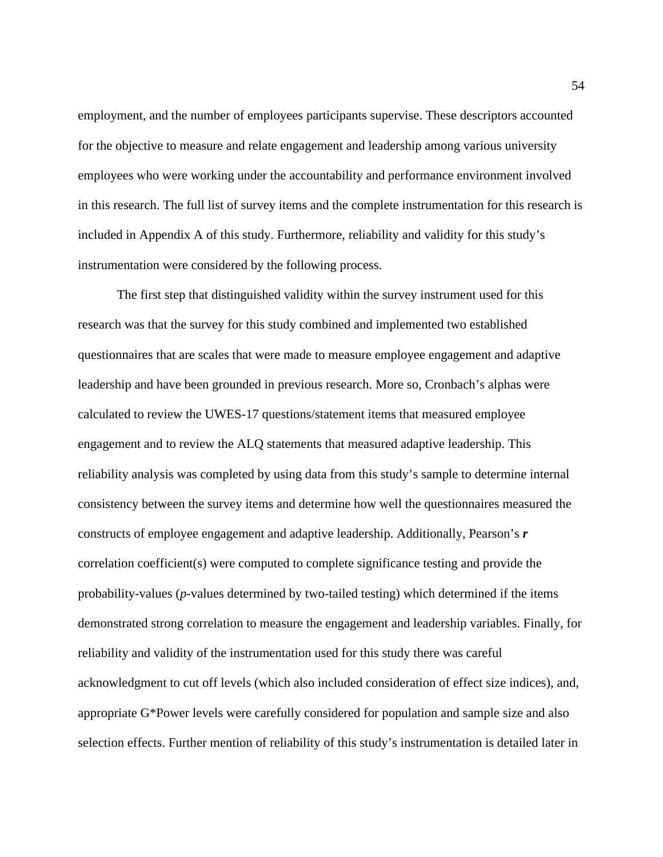employment, and the number of employees participants supervise. These descriptors accounted for the objective to measure and relate engagement and leadership among various university employees who were working under the accountability and performance environment involved in this research. The full list of survey items and the complete instrumentation for this research is included in Appendix A of this study. Furthermore, reliability and validity for this study's instrumentation were considered by the following process.

The first step that distinguished validity within the survey instrument used for this research was that the survey for this study combined and implemented two established questionnaires that are scales that were made to measure employee engagement and adaptive leadership and have been grounded in previous research. More so, Cronbach's alphas were calculated to review the UWES-17 questions/statement items that measured employee engagement and to review the ALQ statements that measured adaptive leadership. This reliability analysis was completed by using data from this study's sample to determine internal consistency between the survey items and determine how well the questionnaires measured the constructs of employee engagement and adaptive leadership. Additionally, Pearson's *r* correlation coefficient(s) were computed to complete significance testing and provide the probability-values (*p*-values determined by two-tailed testing) which determined if the items demonstrated strong correlation to measure the engagement and leadership variables. Finally, for reliability and validity of the instrumentation used for this study there was careful acknowledgment to cut off levels (which also included consideration of effect size indices), and, appropriate G\*Power levels were carefully considered for population and sample size and also selection effects. Further mention of reliability of this study's instrumentation is detailed later in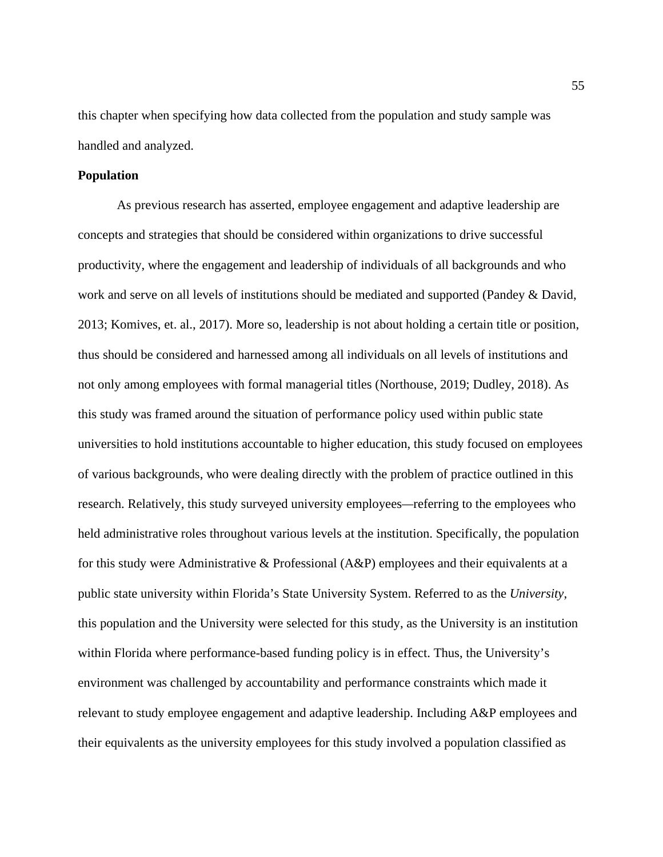this chapter when specifying how data collected from the population and study sample was handled and analyzed.

#### **Population**

As previous research has asserted, employee engagement and adaptive leadership are concepts and strategies that should be considered within organizations to drive successful productivity, where the engagement and leadership of individuals of all backgrounds and who work and serve on all levels of institutions should be mediated and supported (Pandey & David, 2013; Komives, et. al., 2017). More so, leadership is not about holding a certain title or position, thus should be considered and harnessed among all individuals on all levels of institutions and not only among employees with formal managerial titles (Northouse, 2019; Dudley, 2018). As this study was framed around the situation of performance policy used within public state universities to hold institutions accountable to higher education, this study focused on employees of various backgrounds, who were dealing directly with the problem of practice outlined in this research. Relatively, this study surveyed university employees*—*referring to the employees who held administrative roles throughout various levels at the institution. Specifically, the population for this study were Administrative & Professional (A&P) employees and their equivalents at a public state university within Florida's State University System. Referred to as the *University*, this population and the University were selected for this study, as the University is an institution within Florida where performance-based funding policy is in effect. Thus, the University's environment was challenged by accountability and performance constraints which made it relevant to study employee engagement and adaptive leadership. Including A&P employees and their equivalents as the university employees for this study involved a population classified as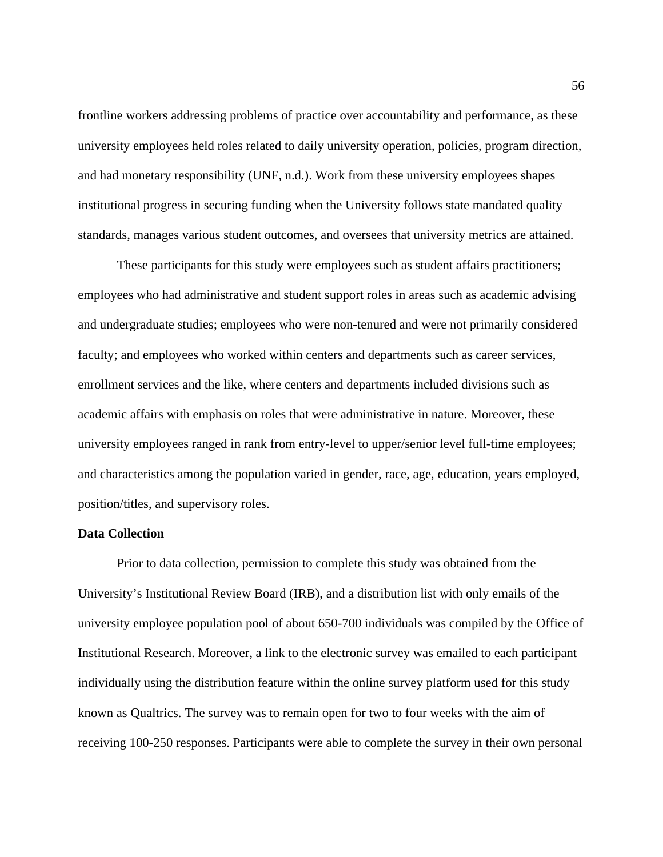frontline workers addressing problems of practice over accountability and performance, as these university employees held roles related to daily university operation, policies, program direction, and had monetary responsibility (UNF, n.d.). Work from these university employees shapes institutional progress in securing funding when the University follows state mandated quality standards, manages various student outcomes, and oversees that university metrics are attained.

These participants for this study were employees such as student affairs practitioners; employees who had administrative and student support roles in areas such as academic advising and undergraduate studies; employees who were non-tenured and were not primarily considered faculty; and employees who worked within centers and departments such as career services, enrollment services and the like, where centers and departments included divisions such as academic affairs with emphasis on roles that were administrative in nature. Moreover, these university employees ranged in rank from entry-level to upper/senior level full-time employees; and characteristics among the population varied in gender, race, age, education, years employed, position/titles, and supervisory roles.

#### **Data Collection**

Prior to data collection, permission to complete this study was obtained from the University's Institutional Review Board (IRB), and a distribution list with only emails of the university employee population pool of about 650-700 individuals was compiled by the Office of Institutional Research. Moreover, a link to the electronic survey was emailed to each participant individually using the distribution feature within the online survey platform used for this study known as Qualtrics. The survey was to remain open for two to four weeks with the aim of receiving 100-250 responses. Participants were able to complete the survey in their own personal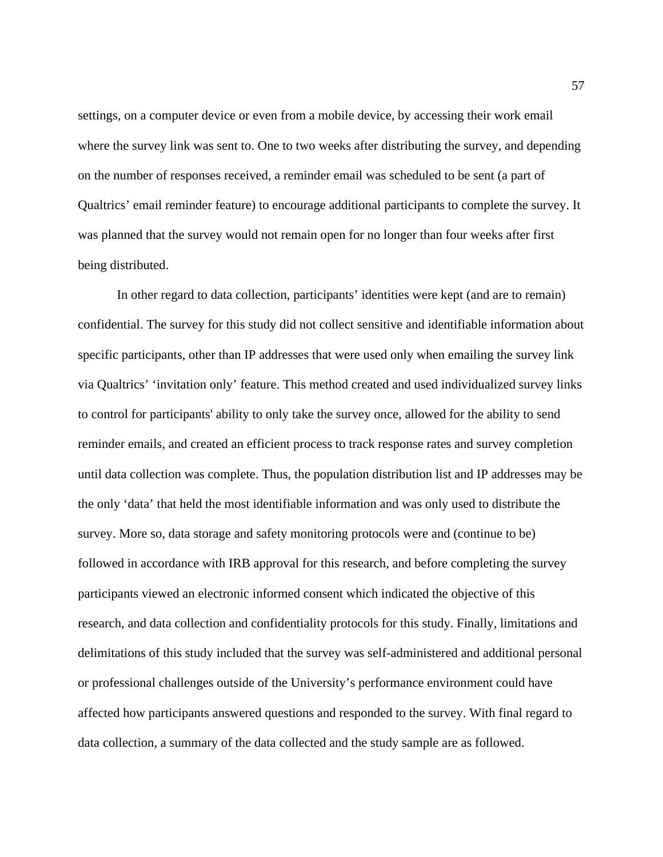settings, on a computer device or even from a mobile device, by accessing their work email where the survey link was sent to. One to two weeks after distributing the survey, and depending on the number of responses received, a reminder email was scheduled to be sent (a part of Qualtrics' email reminder feature) to encourage additional participants to complete the survey. It was planned that the survey would not remain open for no longer than four weeks after first being distributed.

In other regard to data collection, participants' identities were kept (and are to remain) confidential. The survey for this study did not collect sensitive and identifiable information about specific participants, other than IP addresses that were used only when emailing the survey link via Qualtrics' 'invitation only' feature. This method created and used individualized survey links to control for participants' ability to only take the survey once, allowed for the ability to send reminder emails, and created an efficient process to track response rates and survey completion until data collection was complete. Thus, the population distribution list and IP addresses may be the only 'data' that held the most identifiable information and was only used to distribute the survey. More so, data storage and safety monitoring protocols were and (continue to be) followed in accordance with IRB approval for this research, and before completing the survey participants viewed an electronic informed consent which indicated the objective of this research, and data collection and confidentiality protocols for this study. Finally, limitations and delimitations of this study included that the survey was self-administered and additional personal or professional challenges outside of the University's performance environment could have affected how participants answered questions and responded to the survey. With final regard to data collection, a summary of the data collected and the study sample are as followed.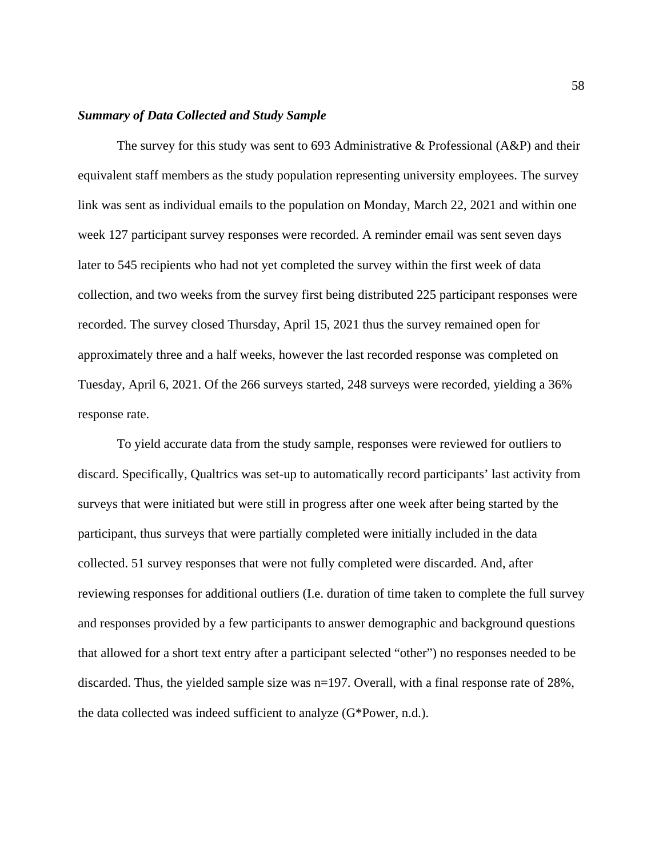#### *Summary of Data Collected and Study Sample*

The survey for this study was sent to 693 Administrative  $\&$  Professional (A&P) and their equivalent staff members as the study population representing university employees. The survey link was sent as individual emails to the population on Monday, March 22, 2021 and within one week 127 participant survey responses were recorded. A reminder email was sent seven days later to 545 recipients who had not yet completed the survey within the first week of data collection, and two weeks from the survey first being distributed 225 participant responses were recorded. The survey closed Thursday, April 15, 2021 thus the survey remained open for approximately three and a half weeks, however the last recorded response was completed on Tuesday, April 6, 2021. Of the 266 surveys started, 248 surveys were recorded, yielding a 36% response rate.

To yield accurate data from the study sample, responses were reviewed for outliers to discard. Specifically, Qualtrics was set-up to automatically record participants' last activity from surveys that were initiated but were still in progress after one week after being started by the participant, thus surveys that were partially completed were initially included in the data collected. 51 survey responses that were not fully completed were discarded. And, after reviewing responses for additional outliers (I.e. duration of time taken to complete the full survey and responses provided by a few participants to answer demographic and background questions that allowed for a short text entry after a participant selected "other") no responses needed to be discarded. Thus, the yielded sample size was n=197. Overall, with a final response rate of 28%, the data collected was indeed sufficient to analyze (G\*Power, n.d.).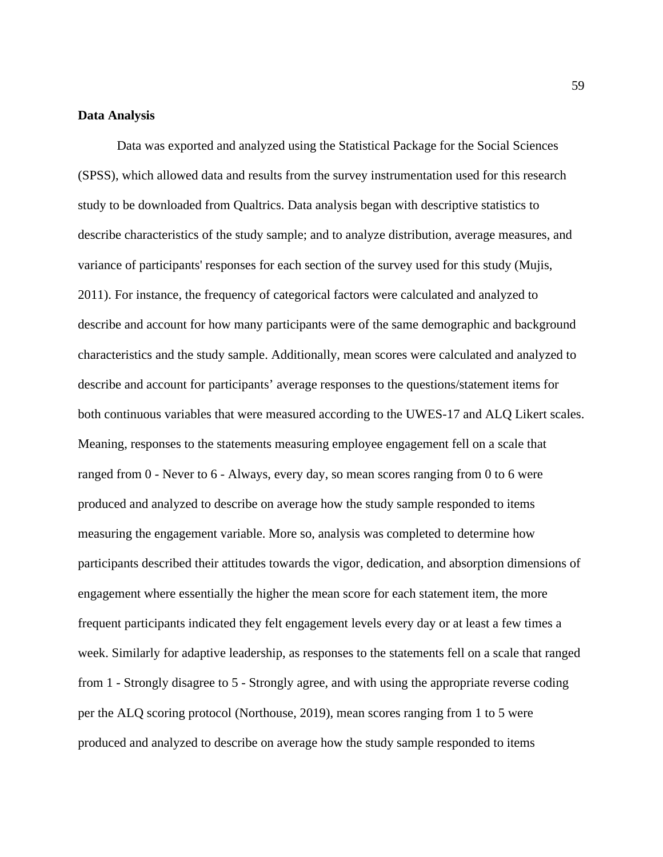### **Data Analysis**

Data was exported and analyzed using the Statistical Package for the Social Sciences (SPSS), which allowed data and results from the survey instrumentation used for this research study to be downloaded from Qualtrics. Data analysis began with descriptive statistics to describe characteristics of the study sample; and to analyze distribution, average measures, and variance of participants' responses for each section of the survey used for this study (Mujis, 2011). For instance, the frequency of categorical factors were calculated and analyzed to describe and account for how many participants were of the same demographic and background characteristics and the study sample. Additionally, mean scores were calculated and analyzed to describe and account for participants' average responses to the questions/statement items for both continuous variables that were measured according to the UWES-17 and ALQ Likert scales. Meaning, responses to the statements measuring employee engagement fell on a scale that ranged from 0 - Never to 6 - Always, every day, so mean scores ranging from 0 to 6 were produced and analyzed to describe on average how the study sample responded to items measuring the engagement variable. More so, analysis was completed to determine how participants described their attitudes towards the vigor, dedication, and absorption dimensions of engagement where essentially the higher the mean score for each statement item, the more frequent participants indicated they felt engagement levels every day or at least a few times a week. Similarly for adaptive leadership, as responses to the statements fell on a scale that ranged from 1 - Strongly disagree to 5 - Strongly agree, and with using the appropriate reverse coding per the ALQ scoring protocol (Northouse, 2019), mean scores ranging from 1 to 5 were produced and analyzed to describe on average how the study sample responded to items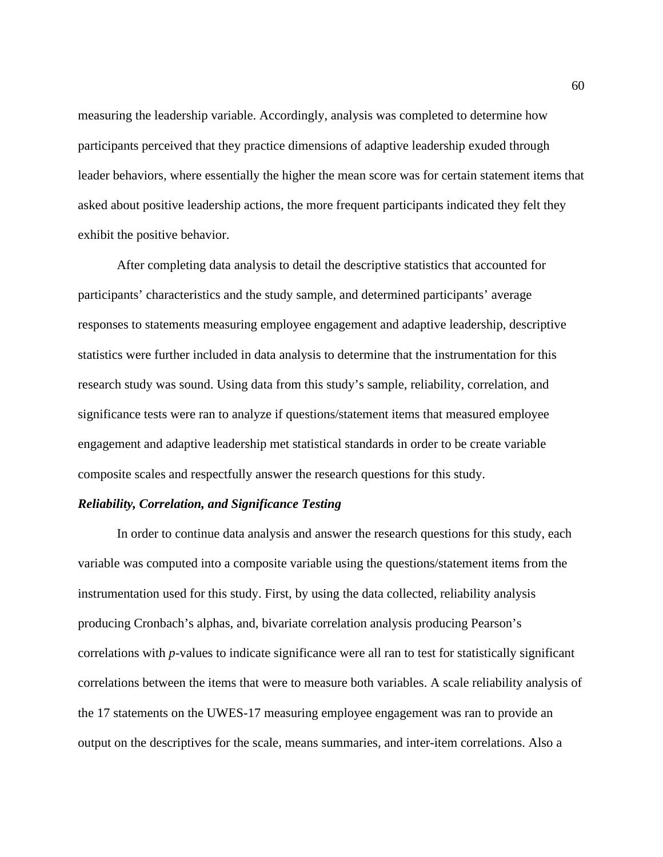measuring the leadership variable. Accordingly, analysis was completed to determine how participants perceived that they practice dimensions of adaptive leadership exuded through leader behaviors, where essentially the higher the mean score was for certain statement items that asked about positive leadership actions, the more frequent participants indicated they felt they exhibit the positive behavior.

After completing data analysis to detail the descriptive statistics that accounted for participants' characteristics and the study sample, and determined participants' average responses to statements measuring employee engagement and adaptive leadership, descriptive statistics were further included in data analysis to determine that the instrumentation for this research study was sound. Using data from this study's sample, reliability, correlation, and significance tests were ran to analyze if questions/statement items that measured employee engagement and adaptive leadership met statistical standards in order to be create variable composite scales and respectfully answer the research questions for this study.

#### *Reliability, Correlation, and Significance Testing*

In order to continue data analysis and answer the research questions for this study, each variable was computed into a composite variable using the questions/statement items from the instrumentation used for this study. First, by using the data collected, reliability analysis producing Cronbach's alphas, and, bivariate correlation analysis producing Pearson's correlations with *p*-values to indicate significance were all ran to test for statistically significant correlations between the items that were to measure both variables. A scale reliability analysis of the 17 statements on the UWES-17 measuring employee engagement was ran to provide an output on the descriptives for the scale, means summaries, and inter-item correlations. Also a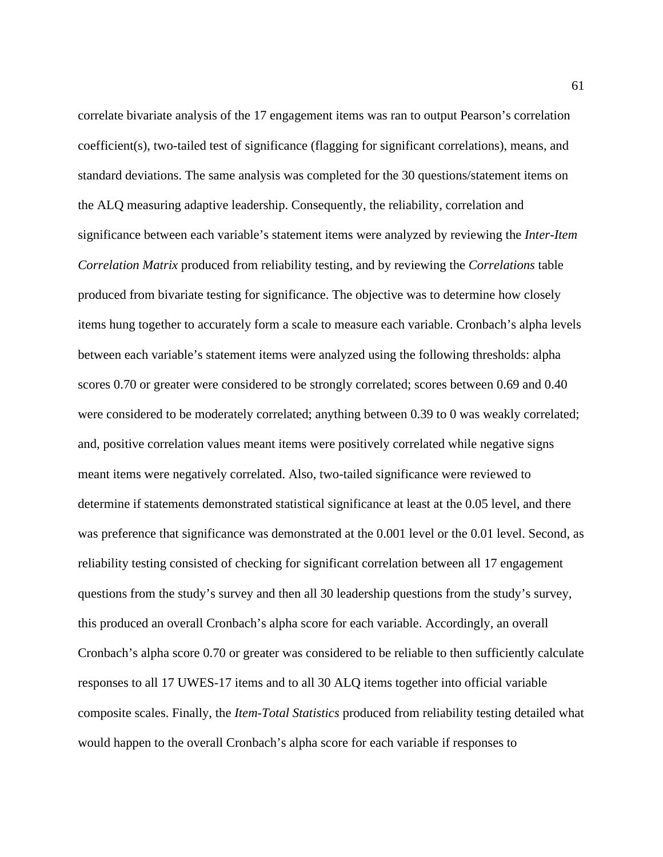correlate bivariate analysis of the 17 engagement items was ran to output Pearson's correlation coefficient(s), two-tailed test of significance (flagging for significant correlations), means, and standard deviations. The same analysis was completed for the 30 questions/statement items on the ALQ measuring adaptive leadership. Consequently, the reliability, correlation and significance between each variable's statement items were analyzed by reviewing the *Inter-Item Correlation Matrix* produced from reliability testing, and by reviewing the *Correlations* table produced from bivariate testing for significance. The objective was to determine how closely items hung together to accurately form a scale to measure each variable. Cronbach's alpha levels between each variable's statement items were analyzed using the following thresholds: alpha scores 0.70 or greater were considered to be strongly correlated; scores between 0.69 and 0.40 were considered to be moderately correlated; anything between 0.39 to 0 was weakly correlated; and, positive correlation values meant items were positively correlated while negative signs meant items were negatively correlated. Also, two-tailed significance were reviewed to determine if statements demonstrated statistical significance at least at the 0.05 level, and there was preference that significance was demonstrated at the 0.001 level or the 0.01 level. Second, as reliability testing consisted of checking for significant correlation between all 17 engagement questions from the study's survey and then all 30 leadership questions from the study's survey, this produced an overall Cronbach's alpha score for each variable. Accordingly, an overall Cronbach's alpha score 0.70 or greater was considered to be reliable to then sufficiently calculate responses to all 17 UWES-17 items and to all 30 ALQ items together into official variable composite scales. Finally, the *Item-Total Statistics* produced from reliability testing detailed what would happen to the overall Cronbach's alpha score for each variable if responses to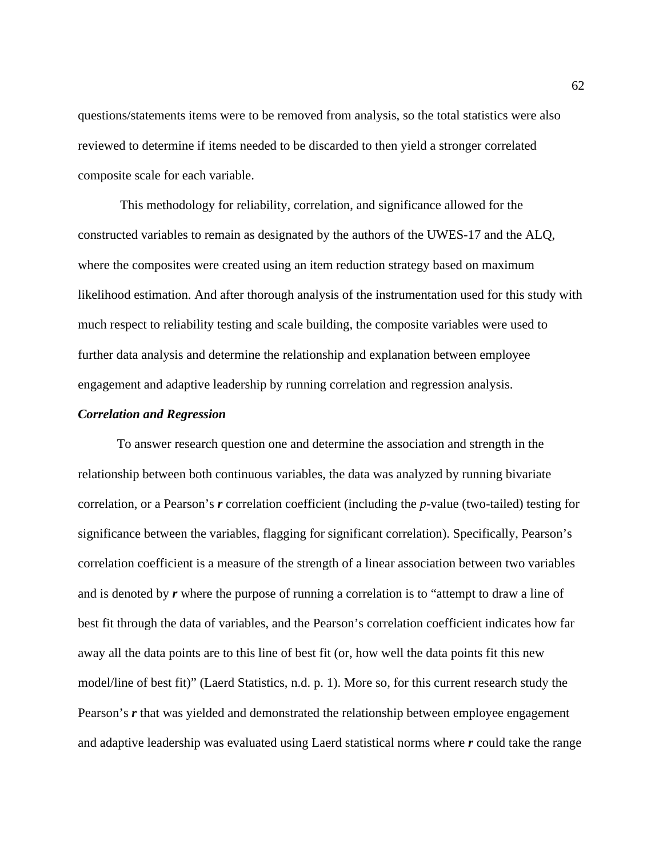questions/statements items were to be removed from analysis, so the total statistics were also reviewed to determine if items needed to be discarded to then yield a stronger correlated composite scale for each variable.

 This methodology for reliability, correlation, and significance allowed for the constructed variables to remain as designated by the authors of the UWES-17 and the ALQ, where the composites were created using an item reduction strategy based on maximum likelihood estimation. And after thorough analysis of the instrumentation used for this study with much respect to reliability testing and scale building, the composite variables were used to further data analysis and determine the relationship and explanation between employee engagement and adaptive leadership by running correlation and regression analysis.

#### *Correlation and Regression*

To answer research question one and determine the association and strength in the relationship between both continuous variables, the data was analyzed by running bivariate correlation, or a Pearson's *r* correlation coefficient (including the *p*-value (two-tailed) testing for significance between the variables, flagging for significant correlation). Specifically, Pearson's correlation coefficient is a measure of the strength of a linear association between two variables and is denoted by *r* where the purpose of running a correlation is to "attempt to draw a line of best fit through the data of variables, and the Pearson's correlation coefficient indicates how far away all the data points are to this line of best fit (or, how well the data points fit this new model/line of best fit)" (Laerd Statistics, n.d. p. 1). More so, for this current research study the Pearson's r that was yielded and demonstrated the relationship between employee engagement and adaptive leadership was evaluated using Laerd statistical norms where *r* could take the range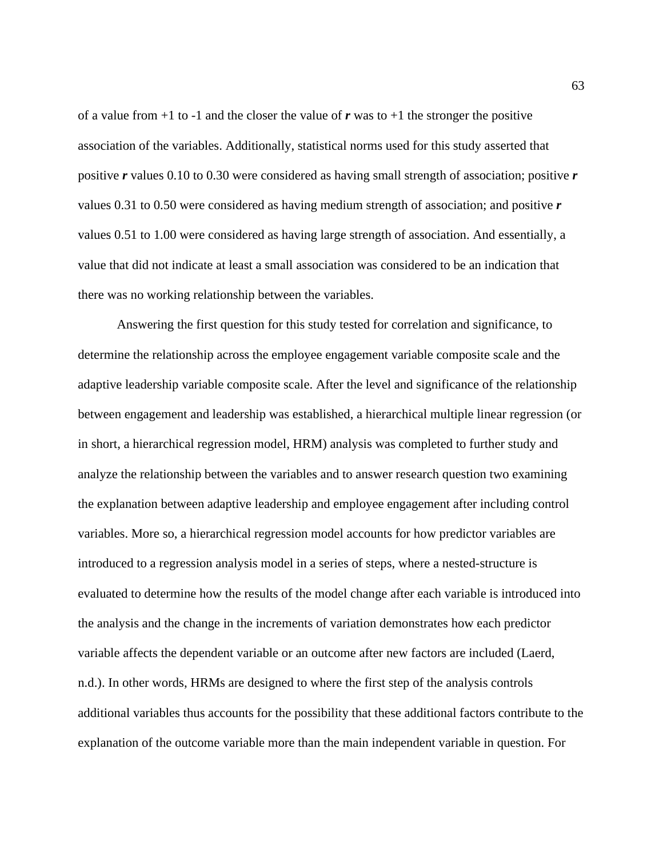of a value from  $+1$  to  $-1$  and the closer the value of r was to  $+1$  the stronger the positive association of the variables. Additionally, statistical norms used for this study asserted that positive *r* values 0.10 to 0.30 were considered as having small strength of association; positive *r*  values 0.31 to 0.50 were considered as having medium strength of association; and positive *r* values 0.51 to 1.00 were considered as having large strength of association. And essentially, a value that did not indicate at least a small association was considered to be an indication that there was no working relationship between the variables.

Answering the first question for this study tested for correlation and significance, to determine the relationship across the employee engagement variable composite scale and the adaptive leadership variable composite scale. After the level and significance of the relationship between engagement and leadership was established, a hierarchical multiple linear regression (or in short, a hierarchical regression model, HRM) analysis was completed to further study and analyze the relationship between the variables and to answer research question two examining the explanation between adaptive leadership and employee engagement after including control variables. More so, a hierarchical regression model accounts for how predictor variables are introduced to a regression analysis model in a series of steps, where a nested-structure is evaluated to determine how the results of the model change after each variable is introduced into the analysis and the change in the increments of variation demonstrates how each predictor variable affects the dependent variable or an outcome after new factors are included (Laerd, n.d.). In other words, HRMs are designed to where the first step of the analysis controls additional variables thus accounts for the possibility that these additional factors contribute to the explanation of the outcome variable more than the main independent variable in question. For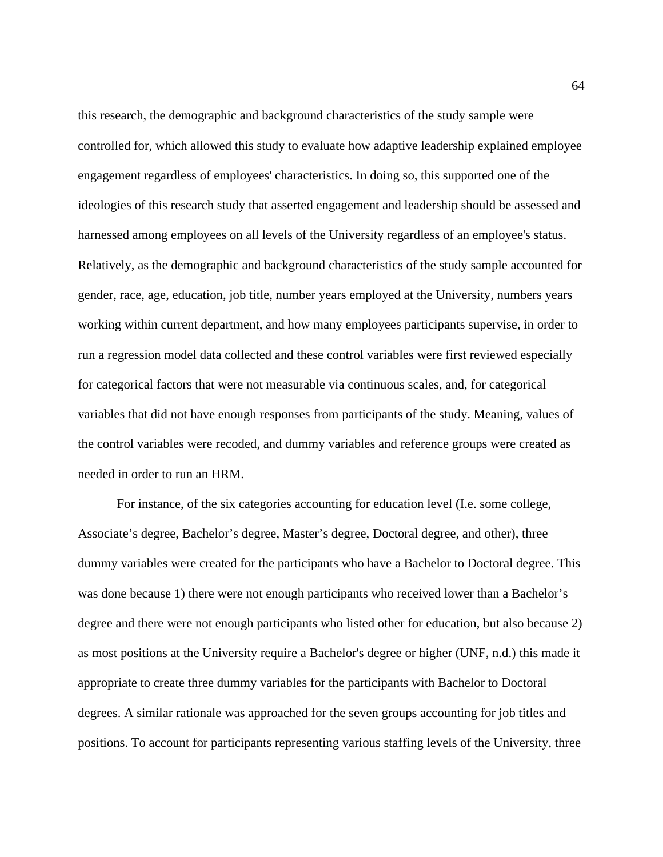this research, the demographic and background characteristics of the study sample were controlled for, which allowed this study to evaluate how adaptive leadership explained employee engagement regardless of employees' characteristics. In doing so, this supported one of the ideologies of this research study that asserted engagement and leadership should be assessed and harnessed among employees on all levels of the University regardless of an employee's status. Relatively, as the demographic and background characteristics of the study sample accounted for gender, race, age, education, job title, number years employed at the University, numbers years working within current department, and how many employees participants supervise, in order to run a regression model data collected and these control variables were first reviewed especially for categorical factors that were not measurable via continuous scales, and, for categorical variables that did not have enough responses from participants of the study. Meaning, values of the control variables were recoded, and dummy variables and reference groups were created as needed in order to run an HRM.

For instance, of the six categories accounting for education level (I.e. some college, Associate's degree, Bachelor's degree, Master's degree, Doctoral degree, and other), three dummy variables were created for the participants who have a Bachelor to Doctoral degree. This was done because 1) there were not enough participants who received lower than a Bachelor's degree and there were not enough participants who listed other for education, but also because 2) as most positions at the University require a Bachelor's degree or higher (UNF, n.d.) this made it appropriate to create three dummy variables for the participants with Bachelor to Doctoral degrees. A similar rationale was approached for the seven groups accounting for job titles and positions. To account for participants representing various staffing levels of the University, three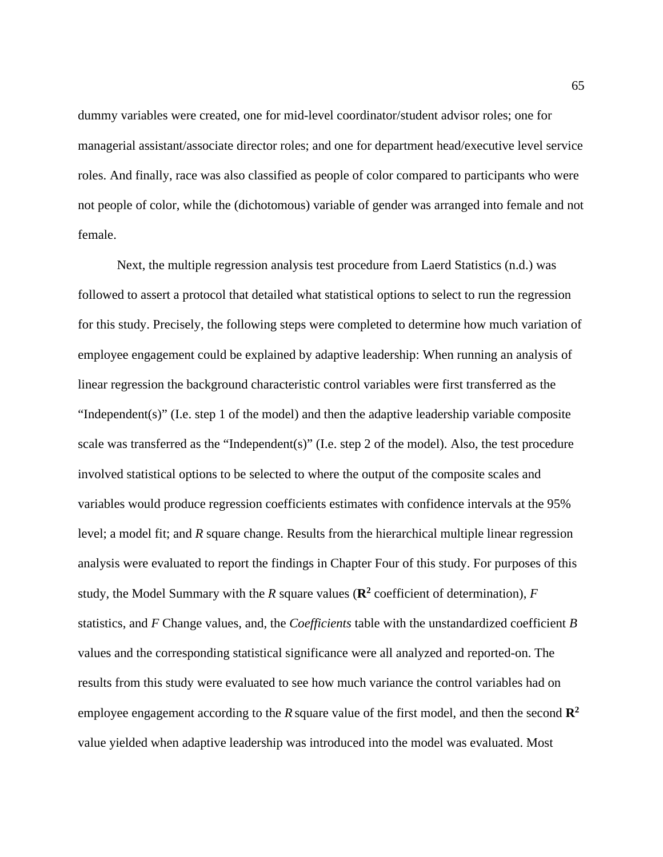dummy variables were created, one for mid-level coordinator/student advisor roles; one for managerial assistant/associate director roles; and one for department head/executive level service roles. And finally, race was also classified as people of color compared to participants who were not people of color, while the (dichotomous) variable of gender was arranged into female and not female.

Next, the multiple regression analysis test procedure from Laerd Statistics (n.d.) was followed to assert a protocol that detailed what statistical options to select to run the regression for this study. Precisely, the following steps were completed to determine how much variation of employee engagement could be explained by adaptive leadership: When running an analysis of linear regression the background characteristic control variables were first transferred as the "Independent(s)" (I.e. step 1 of the model) and then the adaptive leadership variable composite scale was transferred as the "Independent(s)" (I.e. step 2 of the model). Also, the test procedure involved statistical options to be selected to where the output of the composite scales and variables would produce regression coefficients estimates with confidence intervals at the 95% level; a model fit; and *R* square change. Results from the hierarchical multiple linear regression analysis were evaluated to report the findings in Chapter Four of this study. For purposes of this study, the Model Summary with the *R* square values ( $\mathbb{R}^2$  coefficient of determination), *F* statistics, and *F* Change values, and, the *Coefficients* table with the unstandardized coefficient *B* values and the corresponding statistical significance were all analyzed and reported-on. The results from this study were evaluated to see how much variance the control variables had on employee engagement according to the *R* square value of the first model, and then the second **R2** value yielded when adaptive leadership was introduced into the model was evaluated. Most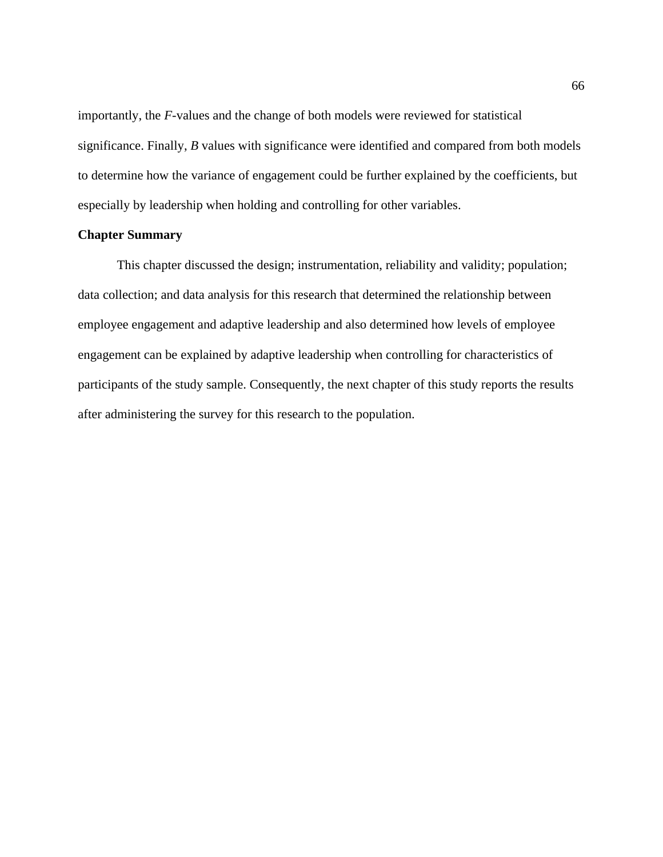importantly, the *F*-values and the change of both models were reviewed for statistical significance. Finally, *B* values with significance were identified and compared from both models to determine how the variance of engagement could be further explained by the coefficients, but especially by leadership when holding and controlling for other variables.

## **Chapter Summary**

This chapter discussed the design; instrumentation, reliability and validity; population; data collection; and data analysis for this research that determined the relationship between employee engagement and adaptive leadership and also determined how levels of employee engagement can be explained by adaptive leadership when controlling for characteristics of participants of the study sample. Consequently, the next chapter of this study reports the results after administering the survey for this research to the population.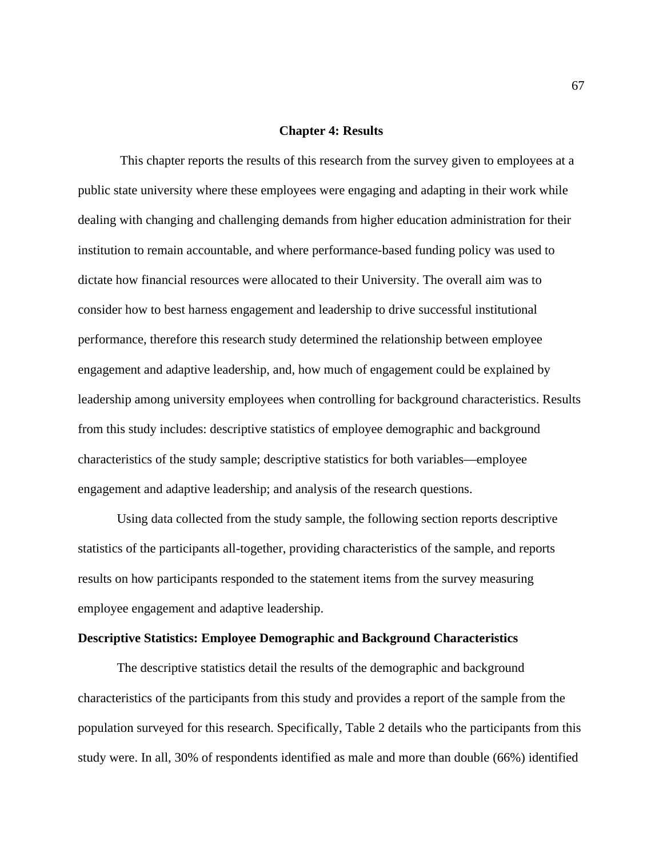#### **Chapter 4: Results**

 This chapter reports the results of this research from the survey given to employees at a public state university where these employees were engaging and adapting in their work while dealing with changing and challenging demands from higher education administration for their institution to remain accountable, and where performance-based funding policy was used to dictate how financial resources were allocated to their University. The overall aim was to consider how to best harness engagement and leadership to drive successful institutional performance, therefore this research study determined the relationship between employee engagement and adaptive leadership, and, how much of engagement could be explained by leadership among university employees when controlling for background characteristics. Results from this study includes: descriptive statistics of employee demographic and background characteristics of the study sample; descriptive statistics for both variables—employee engagement and adaptive leadership; and analysis of the research questions.

Using data collected from the study sample, the following section reports descriptive statistics of the participants all-together, providing characteristics of the sample, and reports results on how participants responded to the statement items from the survey measuring employee engagement and adaptive leadership.

## **Descriptive Statistics: Employee Demographic and Background Characteristics**

The descriptive statistics detail the results of the demographic and background characteristics of the participants from this study and provides a report of the sample from the population surveyed for this research. Specifically, Table 2 details who the participants from this study were. In all, 30% of respondents identified as male and more than double (66%) identified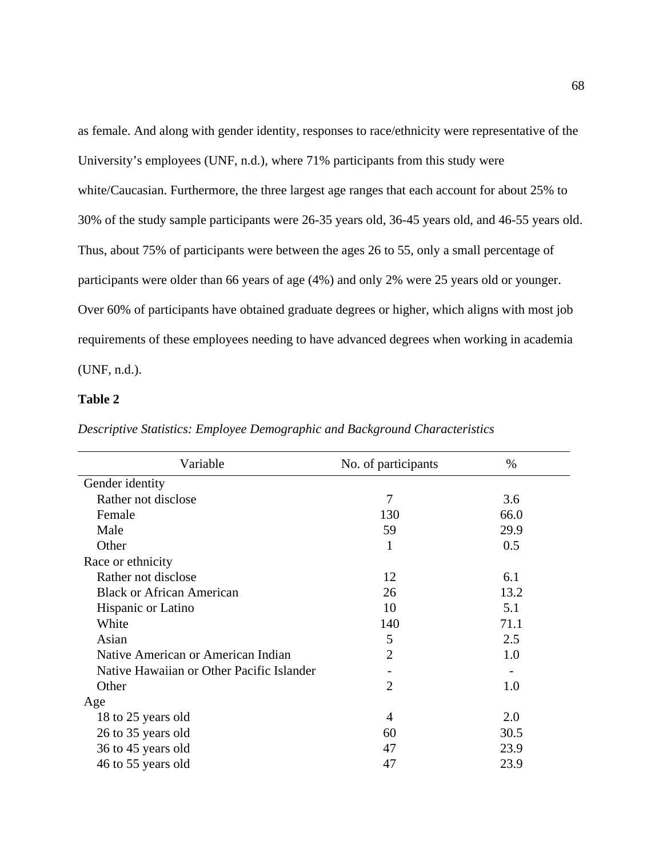as female. And along with gender identity, responses to race/ethnicity were representative of the University's employees (UNF, n.d.), where 71% participants from this study were white/Caucasian. Furthermore, the three largest age ranges that each account for about 25% to 30% of the study sample participants were 26-35 years old, 36-45 years old, and 46-55 years old. Thus, about 75% of participants were between the ages 26 to 55, only a small percentage of participants were older than 66 years of age (4%) and only 2% were 25 years old or younger. Over 60% of participants have obtained graduate degrees or higher, which aligns with most job requirements of these employees needing to have advanced degrees when working in academia (UNF, n.d.).

## **Table 2**

| Descriptive Statistics: Employee Demographic and Background Characteristics |  |  |  |  |
|-----------------------------------------------------------------------------|--|--|--|--|
|-----------------------------------------------------------------------------|--|--|--|--|

| Variable                                  | No. of participants | %    |
|-------------------------------------------|---------------------|------|
| Gender identity                           |                     |      |
| Rather not disclose                       | 7                   | 3.6  |
| Female                                    | 130                 | 66.0 |
| Male                                      | 59                  | 29.9 |
| Other                                     | 1                   | 0.5  |
| Race or ethnicity                         |                     |      |
| Rather not disclose                       | 12                  | 6.1  |
| <b>Black or African American</b>          | 26                  | 13.2 |
| Hispanic or Latino                        | 10                  | 5.1  |
| White                                     | 140                 | 71.1 |
| Asian                                     | 5                   | 2.5  |
| Native American or American Indian        | $\overline{2}$      | 1.0  |
| Native Hawaiian or Other Pacific Islander |                     |      |
| Other                                     | $\overline{2}$      | 1.0  |
| Age                                       |                     |      |
| 18 to 25 years old                        | $\overline{4}$      | 2.0  |
| 26 to 35 years old                        | 60                  | 30.5 |
| 36 to 45 years old                        | 47                  | 23.9 |
| 46 to 55 years old                        | 47                  | 23.9 |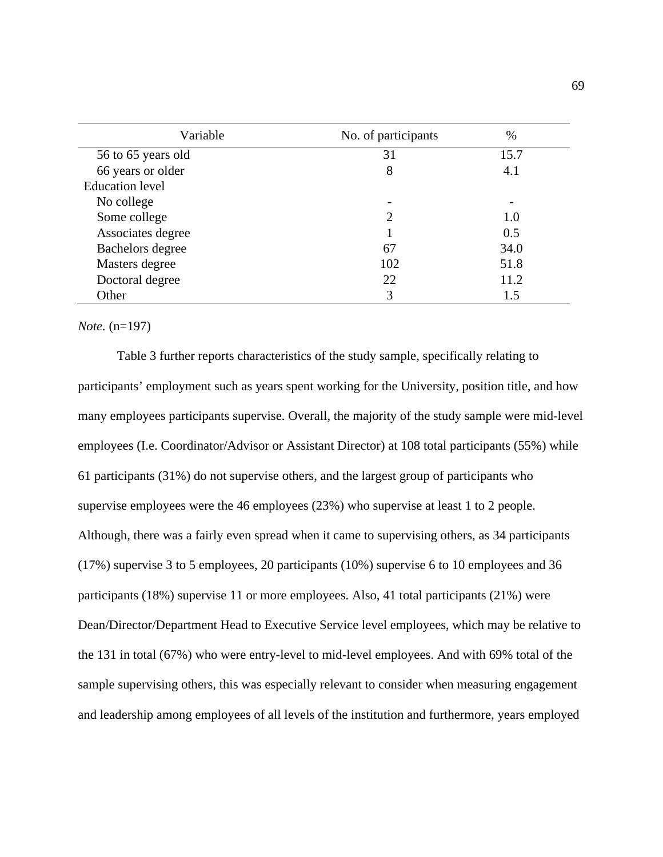| Variable               | No. of participants | $\%$                     |
|------------------------|---------------------|--------------------------|
| 56 to 65 years old     | 31                  | 15.7                     |
| 66 years or older      | 8                   | 4.1                      |
| <b>Education</b> level |                     |                          |
| No college             |                     | $\overline{\phantom{0}}$ |
| Some college           |                     | 1.0                      |
| Associates degree      |                     | 0.5                      |
| Bachelors degree       | 67                  | 34.0                     |
| Masters degree         | 102                 | 51.8                     |
| Doctoral degree        | 22                  | 11.2                     |
| Other                  | 3                   | 1.5                      |

#### *Note.* (n=197)

Table 3 further reports characteristics of the study sample, specifically relating to participants' employment such as years spent working for the University, position title, and how many employees participants supervise. Overall, the majority of the study sample were mid-level employees (I.e. Coordinator/Advisor or Assistant Director) at 108 total participants (55%) while 61 participants (31%) do not supervise others, and the largest group of participants who supervise employees were the 46 employees (23%) who supervise at least 1 to 2 people. Although, there was a fairly even spread when it came to supervising others, as 34 participants (17%) supervise 3 to 5 employees, 20 participants (10%) supervise 6 to 10 employees and 36 participants (18%) supervise 11 or more employees. Also, 41 total participants (21%) were Dean/Director/Department Head to Executive Service level employees, which may be relative to the 131 in total (67%) who were entry-level to mid-level employees. And with 69% total of the sample supervising others, this was especially relevant to consider when measuring engagement and leadership among employees of all levels of the institution and furthermore, years employed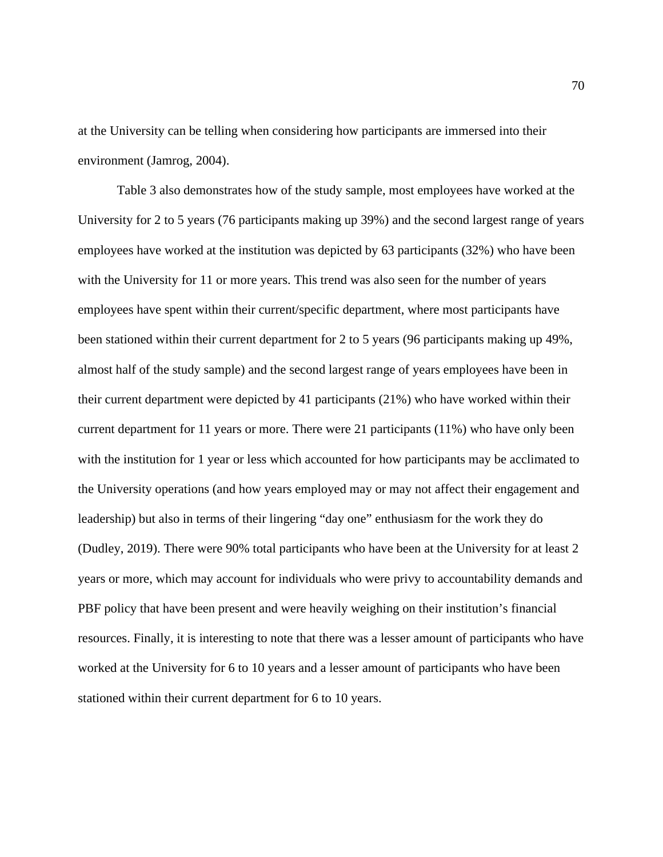at the University can be telling when considering how participants are immersed into their environment (Jamrog, 2004).

Table 3 also demonstrates how of the study sample, most employees have worked at the University for 2 to 5 years (76 participants making up 39%) and the second largest range of years employees have worked at the institution was depicted by 63 participants (32%) who have been with the University for 11 or more years. This trend was also seen for the number of years employees have spent within their current/specific department, where most participants have been stationed within their current department for 2 to 5 years (96 participants making up 49%, almost half of the study sample) and the second largest range of years employees have been in their current department were depicted by 41 participants (21%) who have worked within their current department for 11 years or more. There were 21 participants (11%) who have only been with the institution for 1 year or less which accounted for how participants may be acclimated to the University operations (and how years employed may or may not affect their engagement and leadership) but also in terms of their lingering "day one" enthusiasm for the work they do (Dudley, 2019). There were 90% total participants who have been at the University for at least 2 years or more, which may account for individuals who were privy to accountability demands and PBF policy that have been present and were heavily weighing on their institution's financial resources. Finally, it is interesting to note that there was a lesser amount of participants who have worked at the University for 6 to 10 years and a lesser amount of participants who have been stationed within their current department for 6 to 10 years.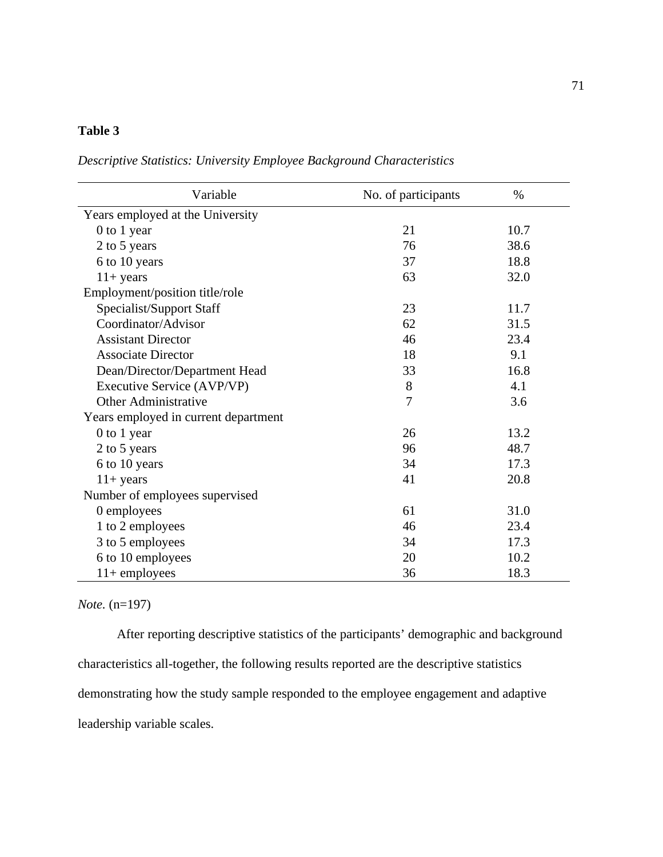# **Table 3**

*Descriptive Statistics: University Employee Background Characteristics*

| Variable                             | No. of participants | $\%$ |
|--------------------------------------|---------------------|------|
| Years employed at the University     |                     |      |
| 0 to 1 year                          | 21                  | 10.7 |
| 2 to 5 years                         | 76                  | 38.6 |
| 6 to 10 years                        | 37                  | 18.8 |
| $11+ years$                          | 63                  | 32.0 |
| Employment/position title/role       |                     |      |
| Specialist/Support Staff             | 23                  | 11.7 |
| Coordinator/Advisor                  | 62                  | 31.5 |
| <b>Assistant Director</b>            | 46                  | 23.4 |
| <b>Associate Director</b>            | 18                  | 9.1  |
| Dean/Director/Department Head        | 33                  | 16.8 |
| Executive Service (AVP/VP)           | 8                   | 4.1  |
| <b>Other Administrative</b>          | 7                   | 3.6  |
| Years employed in current department |                     |      |
| 0 to 1 year                          | 26                  | 13.2 |
| 2 to 5 years                         | 96                  | 48.7 |
| 6 to 10 years                        | 34                  | 17.3 |
| $11+ years$                          | 41                  | 20.8 |
| Number of employees supervised       |                     |      |
| 0 employees                          | 61                  | 31.0 |
| 1 to 2 employees                     | 46                  | 23.4 |
| 3 to 5 employees                     | 34                  | 17.3 |
| 6 to 10 employees                    | 20                  | 10.2 |
| $11+$ employees                      | 36                  | 18.3 |

# *Note.* (n=197)

After reporting descriptive statistics of the participants' demographic and background characteristics all-together, the following results reported are the descriptive statistics demonstrating how the study sample responded to the employee engagement and adaptive leadership variable scales.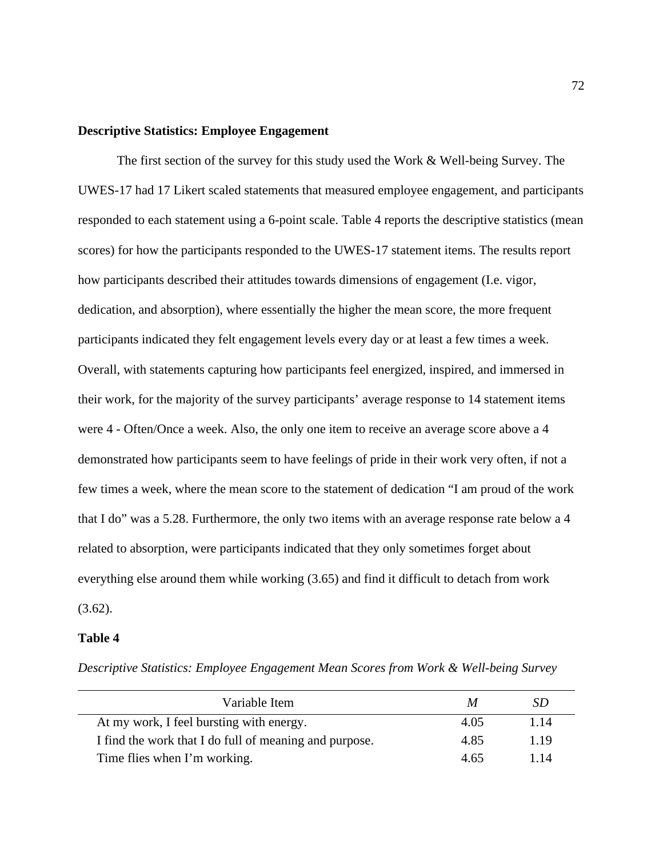# **Descriptive Statistics: Employee Engagement**

The first section of the survey for this study used the Work & Well-being Survey. The UWES-17 had 17 Likert scaled statements that measured employee engagement, and participants responded to each statement using a 6-point scale. Table 4 reports the descriptive statistics (mean scores) for how the participants responded to the UWES-17 statement items. The results report how participants described their attitudes towards dimensions of engagement (I.e. vigor, dedication, and absorption), where essentially the higher the mean score, the more frequent participants indicated they felt engagement levels every day or at least a few times a week. Overall, with statements capturing how participants feel energized, inspired, and immersed in their work, for the majority of the survey participants' average response to 14 statement items were 4 - Often/Once a week. Also, the only one item to receive an average score above a 4 demonstrated how participants seem to have feelings of pride in their work very often, if not a few times a week, where the mean score to the statement of dedication "I am proud of the work that I do" was a 5.28. Furthermore, the only two items with an average response rate below a 4 related to absorption, were participants indicated that they only sometimes forget about everything else around them while working (3.65) and find it difficult to detach from work  $(3.62)$ .

### **Table 4**

*Descriptive Statistics: Employee Engagement Mean Scores from Work & Well-being Survey*

| Variable Item                                          | M    | SD   |
|--------------------------------------------------------|------|------|
| At my work, I feel bursting with energy.               | 4.05 | 1.14 |
| I find the work that I do full of meaning and purpose. | 4.85 | 1.19 |
| Time flies when I'm working.                           | 4.65 | 114  |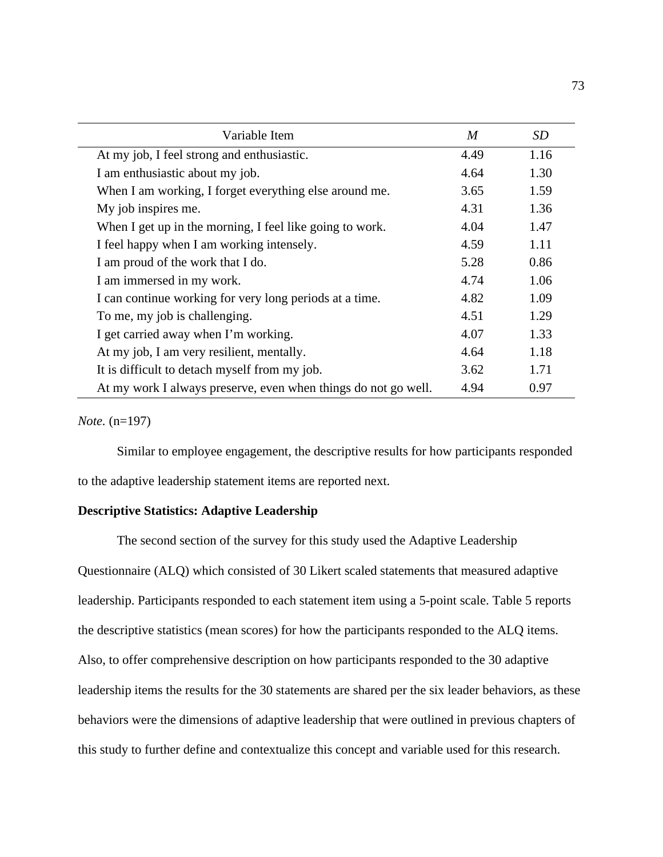| Variable Item                                                  | M    | SD   |
|----------------------------------------------------------------|------|------|
| At my job, I feel strong and enthusiastic.                     | 4.49 | 1.16 |
| I am enthusiastic about my job.                                | 4.64 | 1.30 |
| When I am working, I forget everything else around me.         | 3.65 | 1.59 |
| My job inspires me.                                            | 4.31 | 1.36 |
| When I get up in the morning, I feel like going to work.       | 4.04 | 1.47 |
| I feel happy when I am working intensely.                      | 4.59 | 1.11 |
| I am proud of the work that I do.                              | 5.28 | 0.86 |
| I am immersed in my work.                                      | 4.74 | 1.06 |
| I can continue working for very long periods at a time.        | 4.82 | 1.09 |
| To me, my job is challenging.                                  | 4.51 | 1.29 |
| I get carried away when I'm working.                           | 4.07 | 1.33 |
| At my job, I am very resilient, mentally.                      | 4.64 | 1.18 |
| It is difficult to detach myself from my job.                  | 3.62 | 1.71 |
| At my work I always preserve, even when things do not go well. | 4.94 | 0.97 |

### *Note.* (n=197)

Similar to employee engagement, the descriptive results for how participants responded to the adaptive leadership statement items are reported next.

# **Descriptive Statistics: Adaptive Leadership**

The second section of the survey for this study used the Adaptive Leadership Questionnaire (ALQ) which consisted of 30 Likert scaled statements that measured adaptive leadership. Participants responded to each statement item using a 5-point scale. Table 5 reports the descriptive statistics (mean scores) for how the participants responded to the ALQ items. Also, to offer comprehensive description on how participants responded to the 30 adaptive leadership items the results for the 30 statements are shared per the six leader behaviors, as these behaviors were the dimensions of adaptive leadership that were outlined in previous chapters of this study to further define and contextualize this concept and variable used for this research.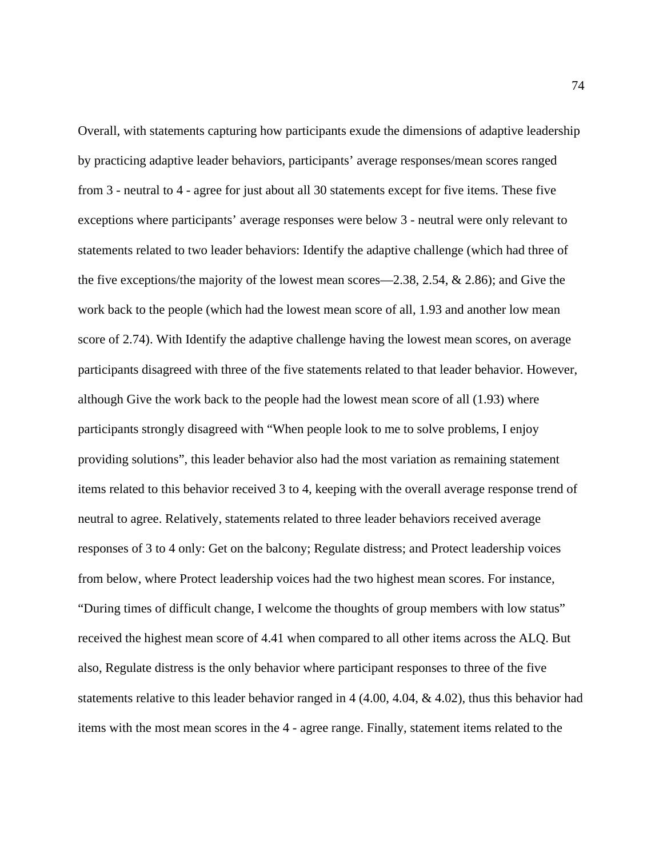Overall, with statements capturing how participants exude the dimensions of adaptive leadership by practicing adaptive leader behaviors, participants' average responses/mean scores ranged from 3 - neutral to 4 - agree for just about all 30 statements except for five items. These five exceptions where participants' average responses were below 3 - neutral were only relevant to statements related to two leader behaviors: Identify the adaptive challenge (which had three of the five exceptions/the majority of the lowest mean scores—2.38, 2.54, & 2.86); and Give the work back to the people (which had the lowest mean score of all, 1.93 and another low mean score of 2.74). With Identify the adaptive challenge having the lowest mean scores, on average participants disagreed with three of the five statements related to that leader behavior. However, although Give the work back to the people had the lowest mean score of all (1.93) where participants strongly disagreed with "When people look to me to solve problems, I enjoy providing solutions", this leader behavior also had the most variation as remaining statement items related to this behavior received 3 to 4, keeping with the overall average response trend of neutral to agree. Relatively, statements related to three leader behaviors received average responses of 3 to 4 only: Get on the balcony; Regulate distress; and Protect leadership voices from below, where Protect leadership voices had the two highest mean scores. For instance, "During times of difficult change, I welcome the thoughts of group members with low status" received the highest mean score of 4.41 when compared to all other items across the ALQ. But also, Regulate distress is the only behavior where participant responses to three of the five statements relative to this leader behavior ranged in 4 (4.00, 4.04, & 4.02), thus this behavior had items with the most mean scores in the 4 - agree range. Finally, statement items related to the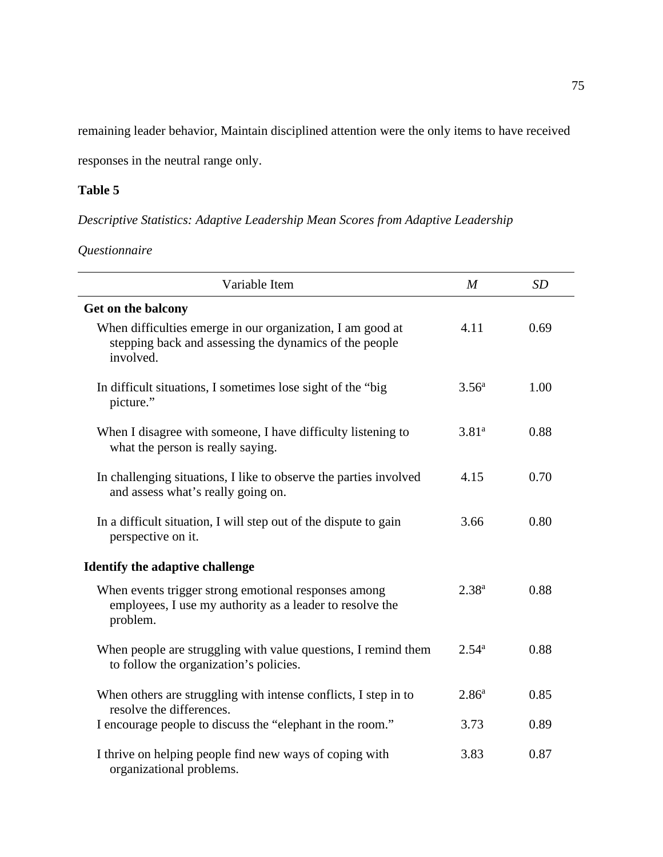remaining leader behavior, Maintain disciplined attention were the only items to have received

responses in the neutral range only.

# **Table 5**

*Descriptive Statistics: Adaptive Leadership Mean Scores from Adaptive Leadership* 

*Questionnaire* 

| Variable Item                                                                                                                     | $\boldsymbol{M}$  | SD   |
|-----------------------------------------------------------------------------------------------------------------------------------|-------------------|------|
| Get on the balcony                                                                                                                |                   |      |
| When difficulties emerge in our organization, I am good at<br>stepping back and assessing the dynamics of the people<br>involved. | 4.11              | 0.69 |
| In difficult situations, I sometimes lose sight of the "big"<br>picture."                                                         | 3.56 <sup>a</sup> | 1.00 |
| When I disagree with someone, I have difficulty listening to<br>what the person is really saying.                                 | $3.81^{a}$        | 0.88 |
| In challenging situations, I like to observe the parties involved<br>and assess what's really going on.                           | 4.15              | 0.70 |
| In a difficult situation, I will step out of the dispute to gain<br>perspective on it.                                            | 3.66              | 0.80 |
| Identify the adaptive challenge                                                                                                   |                   |      |
| When events trigger strong emotional responses among<br>employees, I use my authority as a leader to resolve the<br>problem.      | $2.38^{a}$        | 0.88 |
| When people are struggling with value questions, I remind them<br>to follow the organization's policies.                          | $2.54^{a}$        | 0.88 |
| When others are struggling with intense conflicts, I step in to<br>resolve the differences.                                       | 2.86 <sup>a</sup> | 0.85 |
| I encourage people to discuss the "elephant in the room."                                                                         | 3.73              | 0.89 |
| I thrive on helping people find new ways of coping with<br>organizational problems.                                               | 3.83              | 0.87 |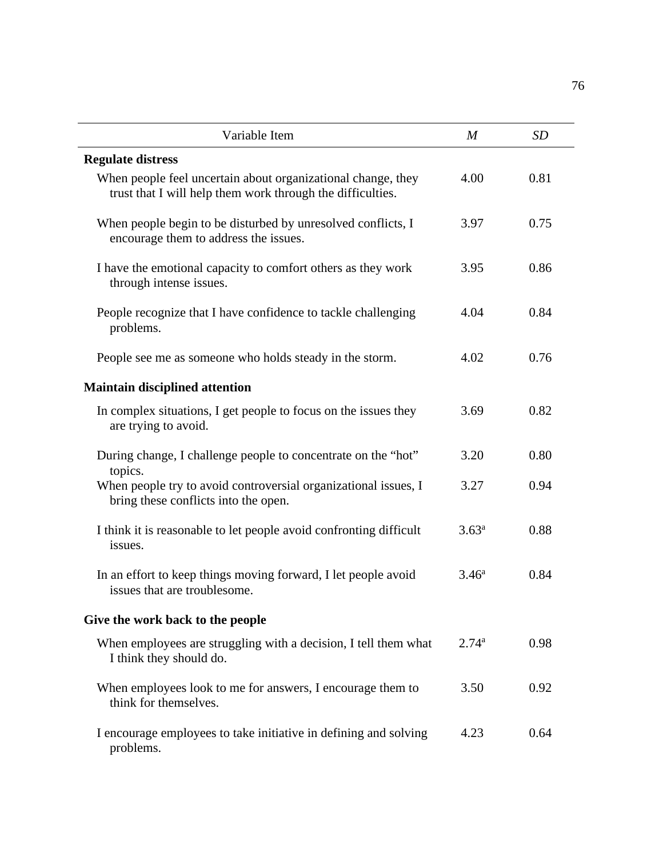| Variable Item                                                                                                              | $\boldsymbol{M}$ | <b>SD</b> |
|----------------------------------------------------------------------------------------------------------------------------|------------------|-----------|
| <b>Regulate distress</b>                                                                                                   |                  |           |
| When people feel uncertain about organizational change, they<br>trust that I will help them work through the difficulties. | 4.00             | 0.81      |
| When people begin to be disturbed by unresolved conflicts, I<br>encourage them to address the issues.                      | 3.97             | 0.75      |
| I have the emotional capacity to comfort others as they work<br>through intense issues.                                    | 3.95             | 0.86      |
| People recognize that I have confidence to tackle challenging<br>problems.                                                 | 4.04             | 0.84      |
| People see me as someone who holds steady in the storm.                                                                    | 4.02             | 0.76      |
| <b>Maintain disciplined attention</b>                                                                                      |                  |           |
| In complex situations, I get people to focus on the issues they<br>are trying to avoid.                                    | 3.69             | 0.82      |
| During change, I challenge people to concentrate on the "hot"<br>topics.                                                   | 3.20             | 0.80      |
| When people try to avoid controversial organizational issues, I<br>bring these conflicts into the open.                    | 3.27             | 0.94      |
| I think it is reasonable to let people avoid confronting difficult<br>issues.                                              | $3.63^{\rm a}$   | 0.88      |
| In an effort to keep things moving forward, I let people avoid<br>issues that are troublesome.                             | $3.46^{\rm a}$   | 0.84      |
| Give the work back to the people                                                                                           |                  |           |
| When employees are struggling with a decision, I tell them what<br>I think they should do.                                 | $2.74^{\rm a}$   | 0.98      |
| When employees look to me for answers, I encourage them to<br>think for themselves.                                        | 3.50             | 0.92      |
| I encourage employees to take initiative in defining and solving<br>problems.                                              | 4.23             | 0.64      |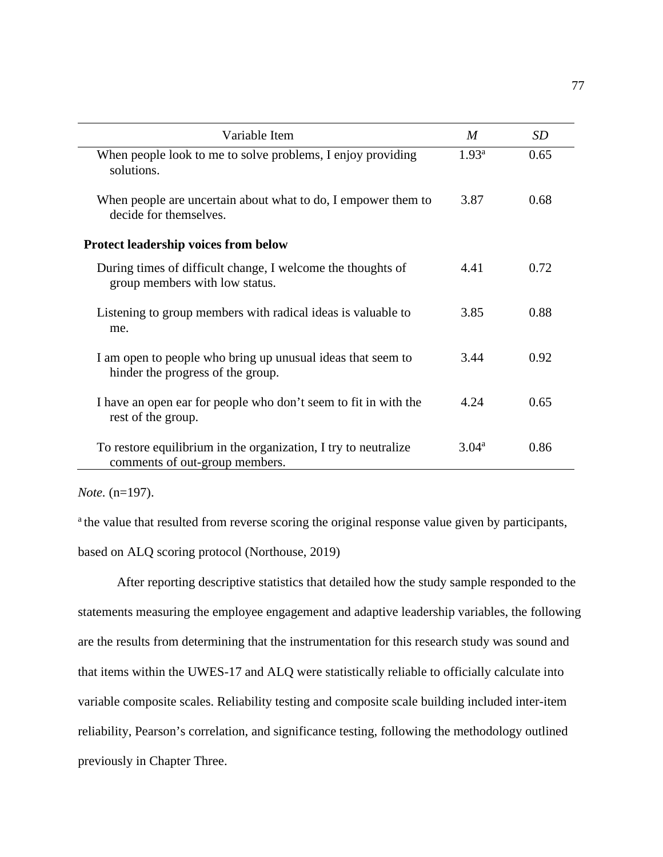| Variable Item                                                                                     | $\boldsymbol{M}$  | <i>SD</i> |
|---------------------------------------------------------------------------------------------------|-------------------|-----------|
| When people look to me to solve problems, I enjoy providing<br>solutions.                         | 1.93 <sup>a</sup> | 0.65      |
| When people are uncertain about what to do, I empower them to<br>decide for themselves.           |                   | 0.68      |
| <b>Protect leadership voices from below</b>                                                       |                   |           |
| During times of difficult change, I welcome the thoughts of<br>group members with low status.     | 4.41              | 0.72      |
| Listening to group members with radical ideas is valuable to<br>me.                               | 3.85              | 0.88      |
| I am open to people who bring up unusual ideas that seem to<br>hinder the progress of the group.  | 3.44              | 0.92      |
| I have an open ear for people who don't seem to fit in with the<br>rest of the group.             | 4.24              | 0.65      |
| To restore equilibrium in the organization, I try to neutralize<br>comments of out-group members. | $3.04^{\rm a}$    | 0.86      |

*Note.* (n=197).

<sup>a</sup> the value that resulted from reverse scoring the original response value given by participants,

based on ALQ scoring protocol (Northouse, 2019)

After reporting descriptive statistics that detailed how the study sample responded to the statements measuring the employee engagement and adaptive leadership variables, the following are the results from determining that the instrumentation for this research study was sound and that items within the UWES-17 and ALQ were statistically reliable to officially calculate into variable composite scales. Reliability testing and composite scale building included inter-item reliability, Pearson's correlation, and significance testing, following the methodology outlined previously in Chapter Three.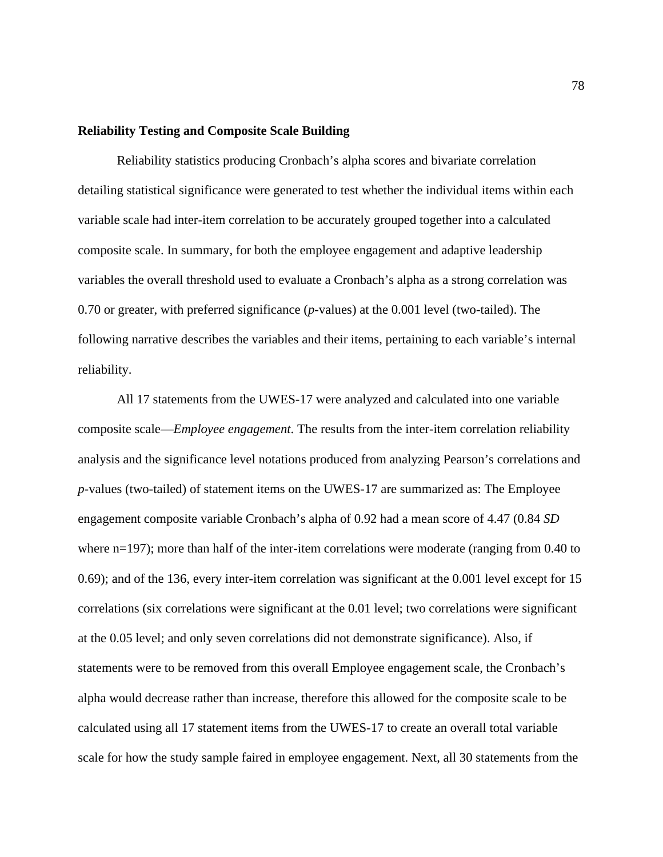# **Reliability Testing and Composite Scale Building**

Reliability statistics producing Cronbach's alpha scores and bivariate correlation detailing statistical significance were generated to test whether the individual items within each variable scale had inter-item correlation to be accurately grouped together into a calculated composite scale. In summary, for both the employee engagement and adaptive leadership variables the overall threshold used to evaluate a Cronbach's alpha as a strong correlation was 0.70 or greater, with preferred significance (*p*-values) at the 0.001 level (two-tailed). The following narrative describes the variables and their items, pertaining to each variable's internal reliability.

All 17 statements from the UWES-17 were analyzed and calculated into one variable composite scale—*Employee engagement*. The results from the inter-item correlation reliability analysis and the significance level notations produced from analyzing Pearson's correlations and *p*-values (two-tailed) of statement items on the UWES-17 are summarized as: The Employee engagement composite variable Cronbach's alpha of 0.92 had a mean score of 4.47 (0.84 *SD*  where n=197); more than half of the inter-item correlations were moderate (ranging from 0.40 to 0.69); and of the 136, every inter-item correlation was significant at the 0.001 level except for 15 correlations (six correlations were significant at the 0.01 level; two correlations were significant at the 0.05 level; and only seven correlations did not demonstrate significance). Also, if statements were to be removed from this overall Employee engagement scale, the Cronbach's alpha would decrease rather than increase, therefore this allowed for the composite scale to be calculated using all 17 statement items from the UWES-17 to create an overall total variable scale for how the study sample faired in employee engagement. Next, all 30 statements from the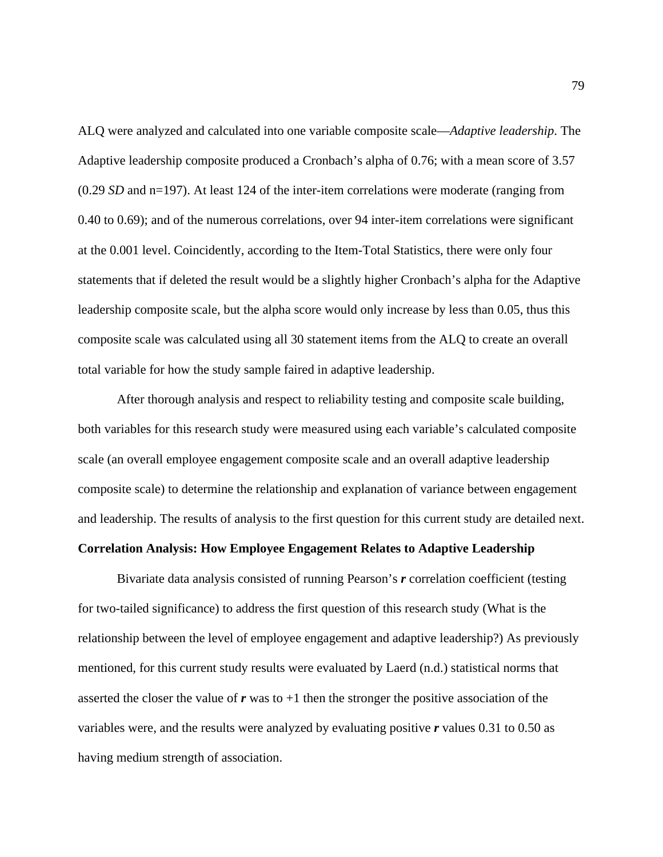ALQ were analyzed and calculated into one variable composite scale—*Adaptive leadership*. The Adaptive leadership composite produced a Cronbach's alpha of 0.76; with a mean score of 3.57 (0.29 *SD* and n=197). At least 124 of the inter-item correlations were moderate (ranging from 0.40 to 0.69); and of the numerous correlations, over 94 inter-item correlations were significant at the 0.001 level. Coincidently, according to the Item-Total Statistics, there were only four statements that if deleted the result would be a slightly higher Cronbach's alpha for the Adaptive leadership composite scale, but the alpha score would only increase by less than 0.05, thus this composite scale was calculated using all 30 statement items from the ALQ to create an overall total variable for how the study sample faired in adaptive leadership.

After thorough analysis and respect to reliability testing and composite scale building, both variables for this research study were measured using each variable's calculated composite scale (an overall employee engagement composite scale and an overall adaptive leadership composite scale) to determine the relationship and explanation of variance between engagement and leadership. The results of analysis to the first question for this current study are detailed next.

#### **Correlation Analysis: How Employee Engagement Relates to Adaptive Leadership**

Bivariate data analysis consisted of running Pearson's *r* correlation coefficient (testing for two-tailed significance) to address the first question of this research study (What is the relationship between the level of employee engagement and adaptive leadership?) As previously mentioned, for this current study results were evaluated by Laerd (n.d.) statistical norms that asserted the closer the value of  $r$  was to  $+1$  then the stronger the positive association of the variables were, and the results were analyzed by evaluating positive *r* values 0.31 to 0.50 as having medium strength of association.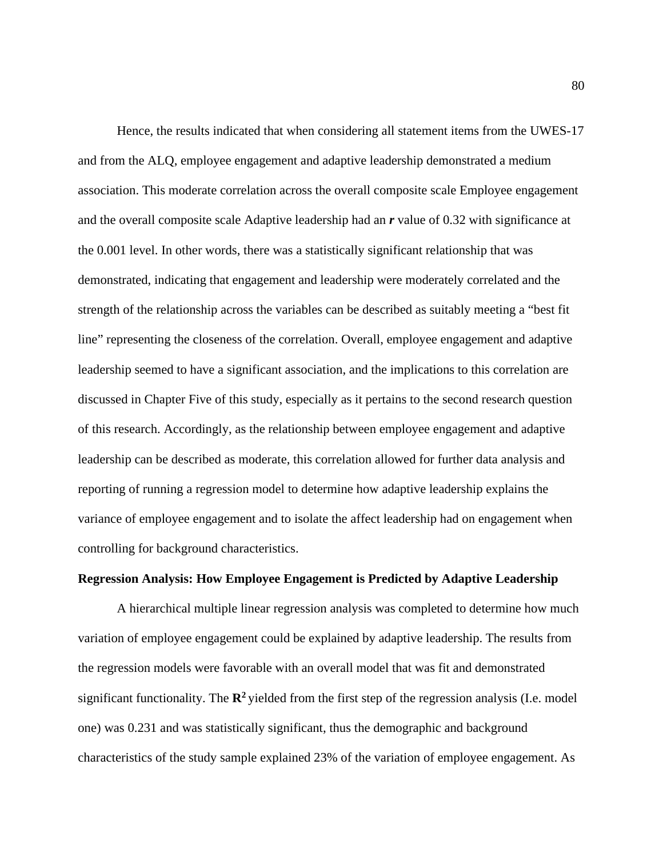Hence, the results indicated that when considering all statement items from the UWES-17 and from the ALQ, employee engagement and adaptive leadership demonstrated a medium association. This moderate correlation across the overall composite scale Employee engagement and the overall composite scale Adaptive leadership had an *r* value of 0.32 with significance at the 0.001 level. In other words, there was a statistically significant relationship that was demonstrated, indicating that engagement and leadership were moderately correlated and the strength of the relationship across the variables can be described as suitably meeting a "best fit line" representing the closeness of the correlation. Overall, employee engagement and adaptive leadership seemed to have a significant association, and the implications to this correlation are discussed in Chapter Five of this study, especially as it pertains to the second research question of this research. Accordingly, as the relationship between employee engagement and adaptive leadership can be described as moderate, this correlation allowed for further data analysis and reporting of running a regression model to determine how adaptive leadership explains the variance of employee engagement and to isolate the affect leadership had on engagement when controlling for background characteristics.

# **Regression Analysis: How Employee Engagement is Predicted by Adaptive Leadership**

A hierarchical multiple linear regression analysis was completed to determine how much variation of employee engagement could be explained by adaptive leadership. The results from the regression models were favorable with an overall model that was fit and demonstrated significant functionality. The  $\mathbb{R}^2$  yielded from the first step of the regression analysis (I.e. model one) was 0.231 and was statistically significant, thus the demographic and background characteristics of the study sample explained 23% of the variation of employee engagement. As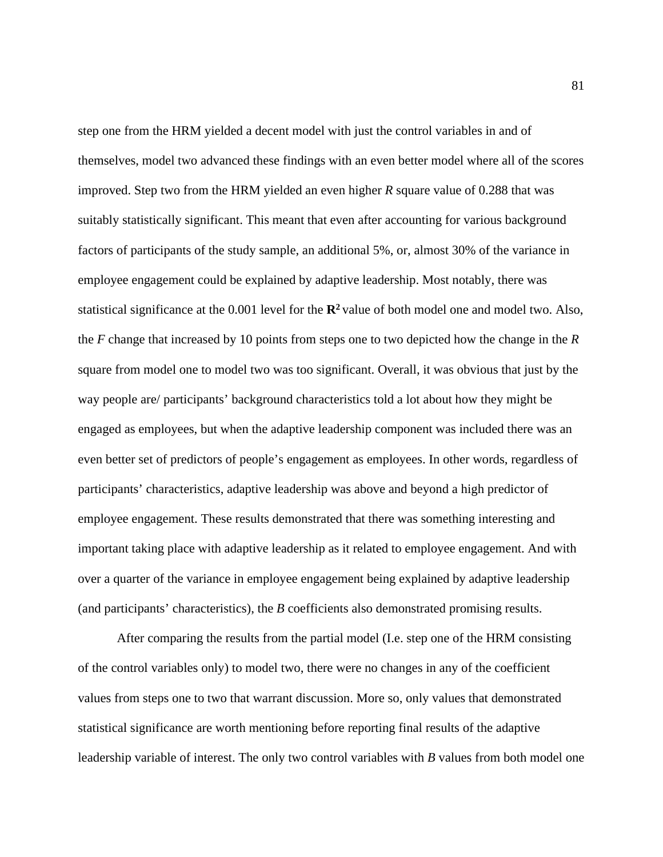step one from the HRM yielded a decent model with just the control variables in and of themselves, model two advanced these findings with an even better model where all of the scores improved. Step two from the HRM yielded an even higher *R* square value of 0.288 that was suitably statistically significant. This meant that even after accounting for various background factors of participants of the study sample, an additional 5%, or, almost 30% of the variance in employee engagement could be explained by adaptive leadership. Most notably, there was statistical significance at the 0.001 level for the **R2** value of both model one and model two. Also, the *F* change that increased by 10 points from steps one to two depicted how the change in the *R* square from model one to model two was too significant. Overall, it was obvious that just by the way people are/ participants' background characteristics told a lot about how they might be engaged as employees, but when the adaptive leadership component was included there was an even better set of predictors of people's engagement as employees. In other words, regardless of participants' characteristics, adaptive leadership was above and beyond a high predictor of employee engagement. These results demonstrated that there was something interesting and important taking place with adaptive leadership as it related to employee engagement. And with over a quarter of the variance in employee engagement being explained by adaptive leadership (and participants' characteristics), the *B* coefficients also demonstrated promising results.

After comparing the results from the partial model (I.e. step one of the HRM consisting of the control variables only) to model two, there were no changes in any of the coefficient values from steps one to two that warrant discussion. More so, only values that demonstrated statistical significance are worth mentioning before reporting final results of the adaptive leadership variable of interest. The only two control variables with *B* values from both model one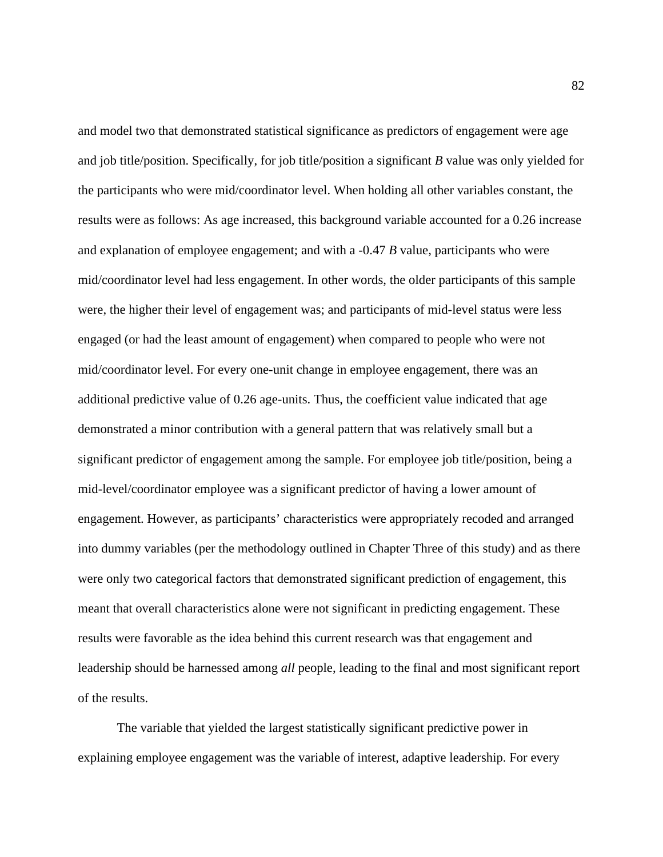and model two that demonstrated statistical significance as predictors of engagement were age and job title/position. Specifically, for job title/position a significant *B* value was only yielded for the participants who were mid/coordinator level. When holding all other variables constant, the results were as follows: As age increased, this background variable accounted for a 0.26 increase and explanation of employee engagement; and with a -0.47 *B* value, participants who were mid/coordinator level had less engagement. In other words, the older participants of this sample were, the higher their level of engagement was; and participants of mid-level status were less engaged (or had the least amount of engagement) when compared to people who were not mid/coordinator level. For every one-unit change in employee engagement, there was an additional predictive value of 0.26 age-units. Thus, the coefficient value indicated that age demonstrated a minor contribution with a general pattern that was relatively small but a significant predictor of engagement among the sample. For employee job title/position, being a mid-level/coordinator employee was a significant predictor of having a lower amount of engagement. However, as participants' characteristics were appropriately recoded and arranged into dummy variables (per the methodology outlined in Chapter Three of this study) and as there were only two categorical factors that demonstrated significant prediction of engagement, this meant that overall characteristics alone were not significant in predicting engagement. These results were favorable as the idea behind this current research was that engagement and leadership should be harnessed among *all* people, leading to the final and most significant report of the results.

The variable that yielded the largest statistically significant predictive power in explaining employee engagement was the variable of interest, adaptive leadership. For every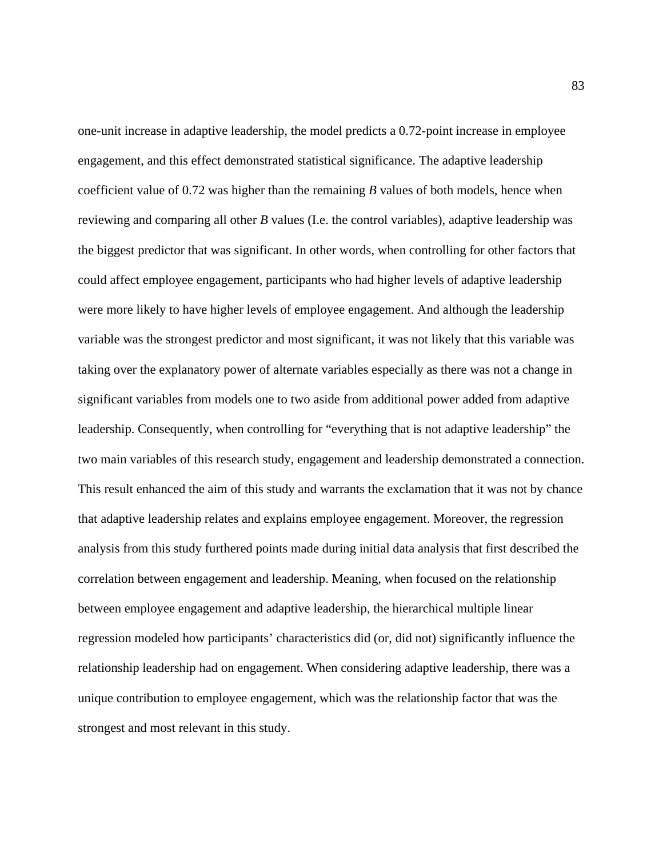one-unit increase in adaptive leadership, the model predicts a 0.72-point increase in employee engagement, and this effect demonstrated statistical significance. The adaptive leadership coefficient value of 0.72 was higher than the remaining *B* values of both models, hence when reviewing and comparing all other *B* values (I.e. the control variables), adaptive leadership was the biggest predictor that was significant. In other words, when controlling for other factors that could affect employee engagement, participants who had higher levels of adaptive leadership were more likely to have higher levels of employee engagement. And although the leadership variable was the strongest predictor and most significant, it was not likely that this variable was taking over the explanatory power of alternate variables especially as there was not a change in significant variables from models one to two aside from additional power added from adaptive leadership. Consequently, when controlling for "everything that is not adaptive leadership" the two main variables of this research study, engagement and leadership demonstrated a connection. This result enhanced the aim of this study and warrants the exclamation that it was not by chance that adaptive leadership relates and explains employee engagement. Moreover, the regression analysis from this study furthered points made during initial data analysis that first described the correlation between engagement and leadership. Meaning, when focused on the relationship between employee engagement and adaptive leadership, the hierarchical multiple linear regression modeled how participants' characteristics did (or, did not) significantly influence the relationship leadership had on engagement. When considering adaptive leadership, there was a unique contribution to employee engagement, which was the relationship factor that was the strongest and most relevant in this study.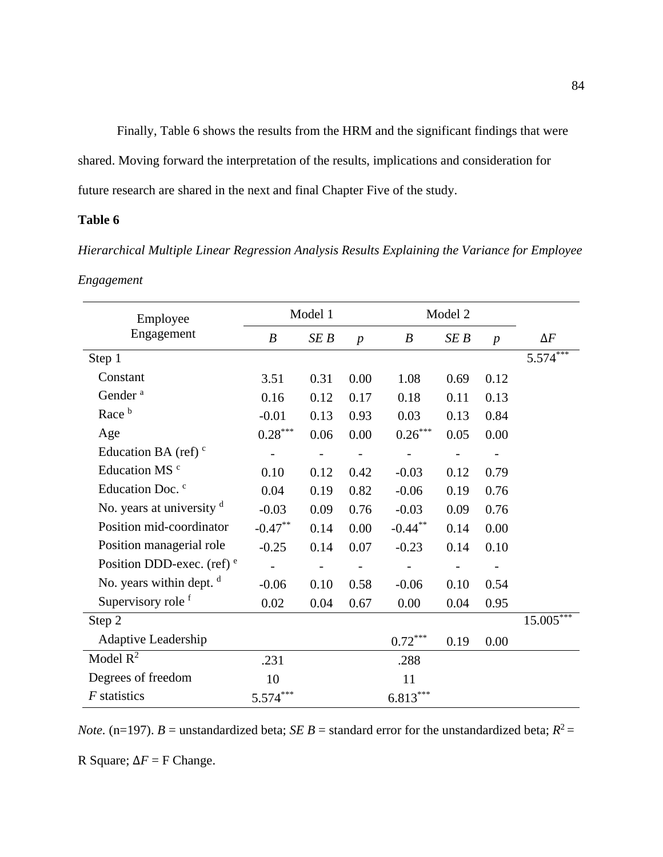Finally, Table 6 shows the results from the HRM and the significant findings that were shared. Moving forward the interpretation of the results, implications and consideration for future research are shared in the next and final Chapter Five of the study.

# **Table 6**

*Hierarchical Multiple Linear Regression Analysis Results Explaining the Variance for Employee Engagement* 

| Employee                     |                       | Model 1                  |                          | Model 2               |                   |                  |             |
|------------------------------|-----------------------|--------------------------|--------------------------|-----------------------|-------------------|------------------|-------------|
| Engagement                   | $\boldsymbol{B}$      | SE B                     | $\boldsymbol{p}$         | B                     | SE B              | $\boldsymbol{p}$ | $\Delta F$  |
| Step 1                       |                       |                          |                          |                       |                   |                  | $5.574***$  |
| Constant                     | 3.51                  | 0.31                     | 0.00                     | 1.08                  | 0.69              | 0.12             |             |
| Gender <sup>a</sup>          | 0.16                  | 0.12                     | 0.17                     | 0.18                  | 0.11              | 0.13             |             |
| Race <sup>b</sup>            | $-0.01$               | 0.13                     | 0.93                     | 0.03                  | 0.13              | 0.84             |             |
| Age                          | $0.28^{\ast\ast\ast}$ | 0.06                     | 0.00                     | $0.26^{\ast\ast\ast}$ | 0.05              | 0.00             |             |
| Education BA (ref) $\degree$ |                       |                          |                          |                       |                   |                  |             |
| Education MS <sup>c</sup>    | 0.10                  | 0.12                     | 0.42                     | $-0.03$               | 0.12              | 0.79             |             |
| Education Doc. <sup>c</sup>  | 0.04                  | 0.19                     | 0.82                     | $-0.06$               | 0.19              | 0.76             |             |
| No. years at university $d$  | $-0.03$               | 0.09                     | 0.76                     | $-0.03$               | 0.09              | 0.76             |             |
| Position mid-coordinator     | $-0.47**$             | 0.14                     | 0.00                     | $-0.44***$            | 0.14              | 0.00             |             |
| Position managerial role     | $-0.25$               | 0.14                     | 0.07                     | $-0.23$               | 0.14              | 0.10             |             |
| Position DDD-exec. (ref) $e$ | $\qquad \qquad -$     | $\overline{\phantom{0}}$ | $\overline{\phantom{a}}$ | $\qquad \qquad -$     | $\qquad \qquad -$ |                  |             |
| No. years within dept. $d$   | $-0.06$               | 0.10                     | 0.58                     | $-0.06$               | 0.10              | 0.54             |             |
| Supervisory role f           | 0.02                  | 0.04                     | 0.67                     | 0.00                  | 0.04              | 0.95             |             |
| Step 2                       |                       |                          |                          |                       |                   |                  | $15.005***$ |
| Adaptive Leadership          |                       |                          |                          | $0.72***$             | 0.19              | 0.00             |             |
| Model $R^2$                  | .231                  |                          |                          | .288                  |                   |                  |             |
| Degrees of freedom           | 10                    |                          |                          | 11                    |                   |                  |             |
| $F$ statistics               | $5.574***$            |                          |                          | $6.813***$            |                   |                  |             |

*Note.* (n=197). *B* = unstandardized beta; *SE B* = standard error for the unstandardized beta;  $R^2$  =

R Square;  $\Delta F = F$  Change.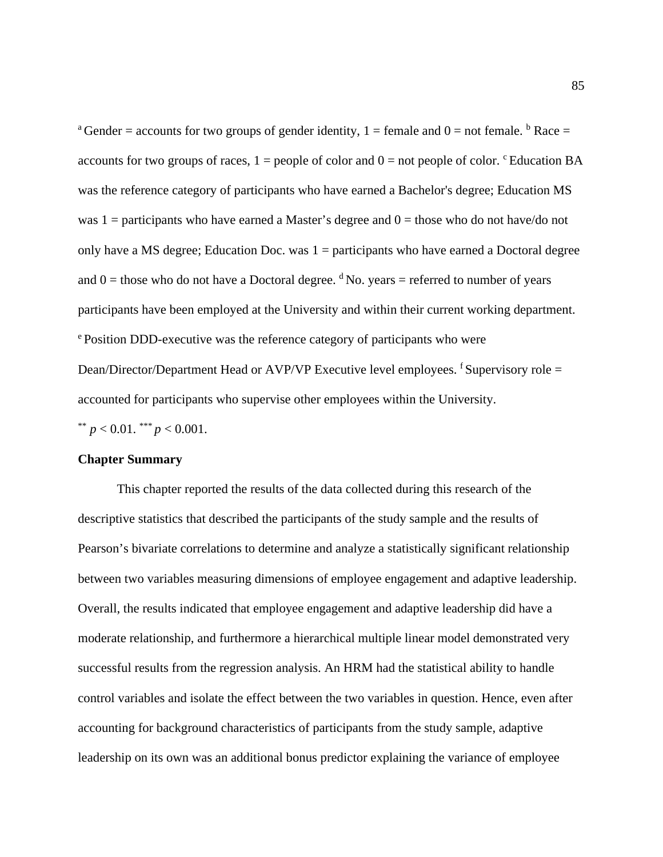<sup>a</sup> Gender = accounts for two groups of gender identity,  $1 =$  female and  $0 =$  not female. <sup>b</sup> Race = accounts for two groups of races,  $1 =$  people of color and  $0 =$  not people of color. <sup>c</sup> Education BA was the reference category of participants who have earned a Bachelor's degree; Education MS was  $1 =$  participants who have earned a Master's degree and  $0 =$  those who do not have/do not only have a MS degree; Education Doc. was  $1 =$  participants who have earned a Doctoral degree and  $0 =$  those who do not have a Doctoral degree. <sup>d</sup> No. years = referred to number of years participants have been employed at the University and within their current working department. e Position DDD-executive was the reference category of participants who were Dean/Director/Department Head or AVP/VP Executive level employees. <sup>f</sup> Supervisory role = accounted for participants who supervise other employees within the University.

\*\*  $p < 0.01$ . \*\*\*  $p < 0.001$ .

# **Chapter Summary**

This chapter reported the results of the data collected during this research of the descriptive statistics that described the participants of the study sample and the results of Pearson's bivariate correlations to determine and analyze a statistically significant relationship between two variables measuring dimensions of employee engagement and adaptive leadership. Overall, the results indicated that employee engagement and adaptive leadership did have a moderate relationship, and furthermore a hierarchical multiple linear model demonstrated very successful results from the regression analysis. An HRM had the statistical ability to handle control variables and isolate the effect between the two variables in question. Hence, even after accounting for background characteristics of participants from the study sample, adaptive leadership on its own was an additional bonus predictor explaining the variance of employee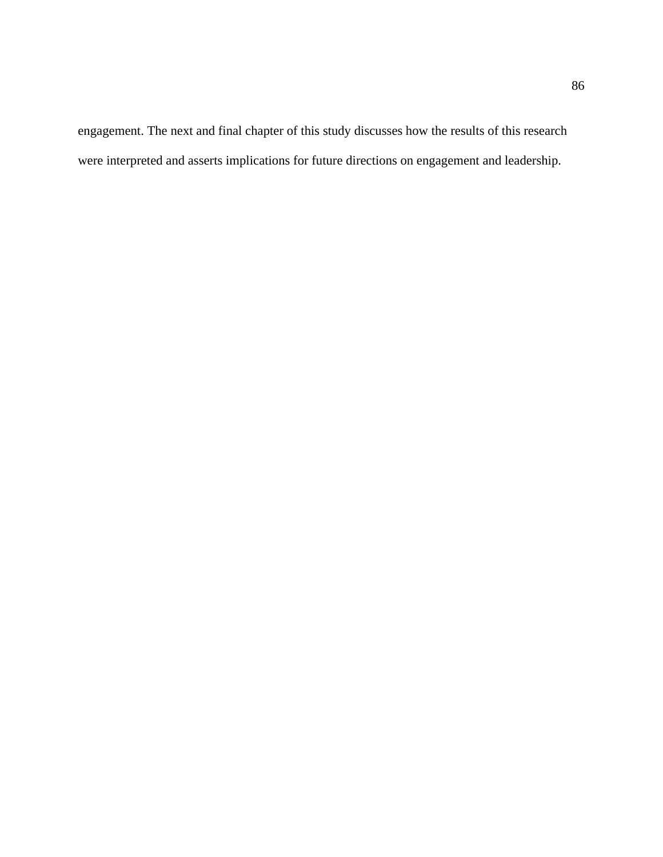engagement. The next and final chapter of this study discusses how the results of this research were interpreted and asserts implications for future directions on engagement and leadership.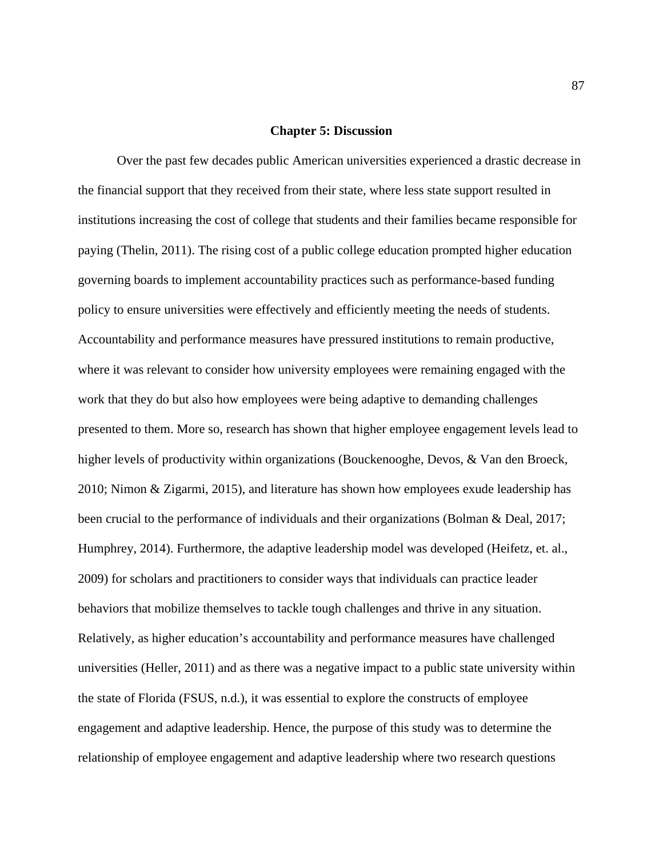### **Chapter 5: Discussion**

Over the past few decades public American universities experienced a drastic decrease in the financial support that they received from their state, where less state support resulted in institutions increasing the cost of college that students and their families became responsible for paying (Thelin, 2011). The rising cost of a public college education prompted higher education governing boards to implement accountability practices such as performance-based funding policy to ensure universities were effectively and efficiently meeting the needs of students. Accountability and performance measures have pressured institutions to remain productive, where it was relevant to consider how university employees were remaining engaged with the work that they do but also how employees were being adaptive to demanding challenges presented to them. More so, research has shown that higher employee engagement levels lead to higher levels of productivity within organizations (Bouckenooghe, Devos, & Van den Broeck, 2010; Nimon & Zigarmi, 2015), and literature has shown how employees exude leadership has been crucial to the performance of individuals and their organizations (Bolman & Deal, 2017; Humphrey, 2014). Furthermore, the adaptive leadership model was developed (Heifetz, et. al., 2009) for scholars and practitioners to consider ways that individuals can practice leader behaviors that mobilize themselves to tackle tough challenges and thrive in any situation. Relatively, as higher education's accountability and performance measures have challenged universities (Heller, 2011) and as there was a negative impact to a public state university within the state of Florida (FSUS, n.d.), it was essential to explore the constructs of employee engagement and adaptive leadership. Hence, the purpose of this study was to determine the relationship of employee engagement and adaptive leadership where two research questions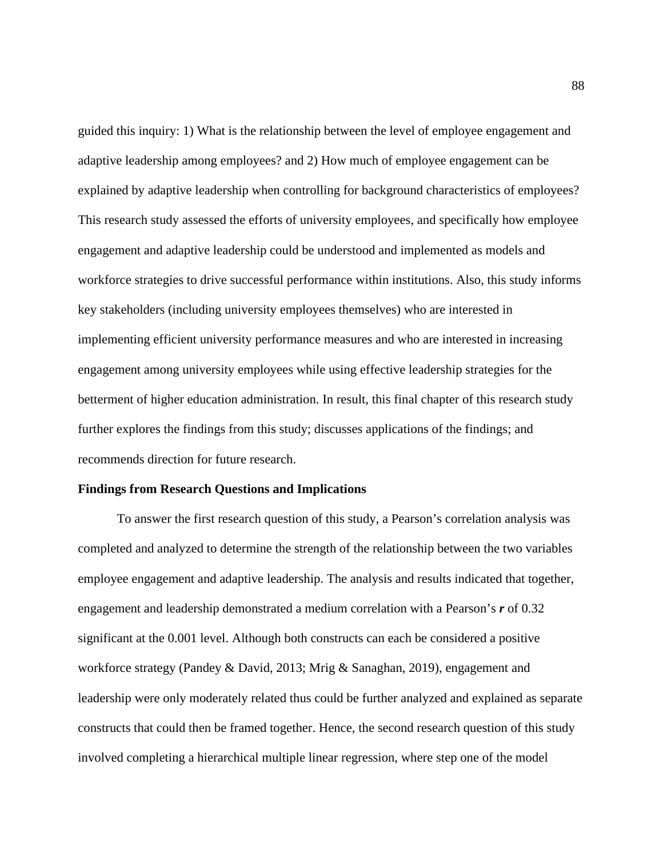guided this inquiry: 1) What is the relationship between the level of employee engagement and adaptive leadership among employees? and 2) How much of employee engagement can be explained by adaptive leadership when controlling for background characteristics of employees? This research study assessed the efforts of university employees, and specifically how employee engagement and adaptive leadership could be understood and implemented as models and workforce strategies to drive successful performance within institutions. Also, this study informs key stakeholders (including university employees themselves) who are interested in implementing efficient university performance measures and who are interested in increasing engagement among university employees while using effective leadership strategies for the betterment of higher education administration. In result, this final chapter of this research study further explores the findings from this study; discusses applications of the findings; and recommends direction for future research.

# **Findings from Research Questions and Implications**

To answer the first research question of this study, a Pearson's correlation analysis was completed and analyzed to determine the strength of the relationship between the two variables employee engagement and adaptive leadership. The analysis and results indicated that together, engagement and leadership demonstrated a medium correlation with a Pearson's *r* of 0.32 significant at the 0.001 level. Although both constructs can each be considered a positive workforce strategy (Pandey & David, 2013; Mrig & Sanaghan, 2019), engagement and leadership were only moderately related thus could be further analyzed and explained as separate constructs that could then be framed together. Hence, the second research question of this study involved completing a hierarchical multiple linear regression, where step one of the model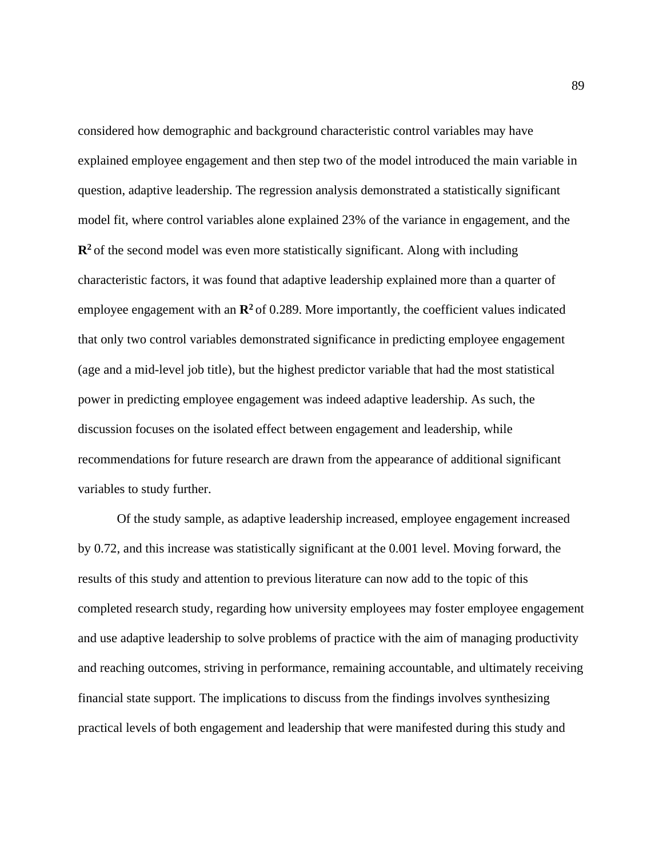considered how demographic and background characteristic control variables may have explained employee engagement and then step two of the model introduced the main variable in question, adaptive leadership. The regression analysis demonstrated a statistically significant model fit, where control variables alone explained 23% of the variance in engagement, and the **R2** of the second model was even more statistically significant. Along with including characteristic factors, it was found that adaptive leadership explained more than a quarter of employee engagement with an  $\mathbb{R}^2$  of 0.289. More importantly, the coefficient values indicated that only two control variables demonstrated significance in predicting employee engagement (age and a mid-level job title), but the highest predictor variable that had the most statistical power in predicting employee engagement was indeed adaptive leadership. As such, the discussion focuses on the isolated effect between engagement and leadership, while recommendations for future research are drawn from the appearance of additional significant variables to study further.

Of the study sample, as adaptive leadership increased, employee engagement increased by 0.72, and this increase was statistically significant at the 0.001 level. Moving forward, the results of this study and attention to previous literature can now add to the topic of this completed research study, regarding how university employees may foster employee engagement and use adaptive leadership to solve problems of practice with the aim of managing productivity and reaching outcomes, striving in performance, remaining accountable, and ultimately receiving financial state support. The implications to discuss from the findings involves synthesizing practical levels of both engagement and leadership that were manifested during this study and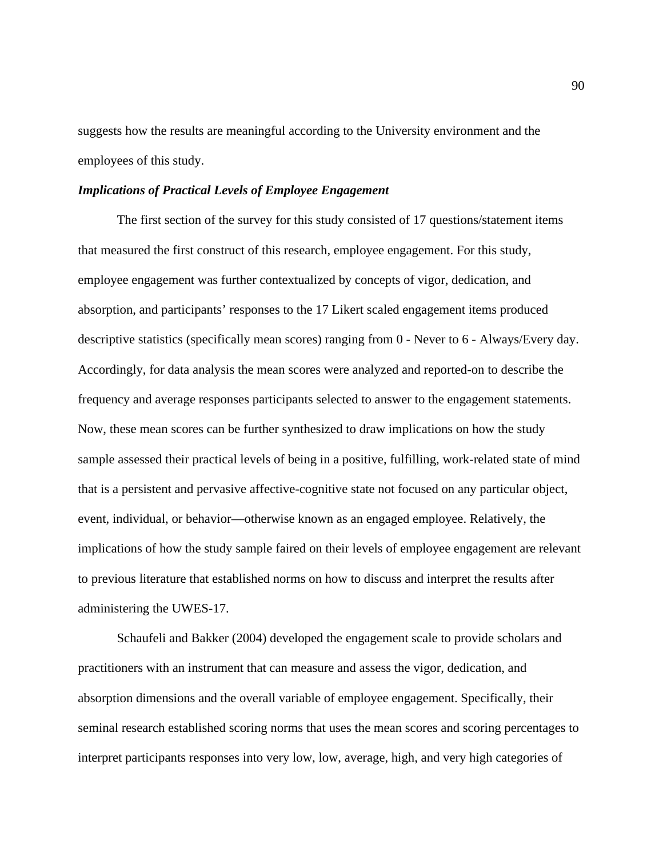suggests how the results are meaningful according to the University environment and the employees of this study.

# *Implications of Practical Levels of Employee Engagement*

The first section of the survey for this study consisted of 17 questions/statement items that measured the first construct of this research, employee engagement. For this study, employee engagement was further contextualized by concepts of vigor, dedication, and absorption, and participants' responses to the 17 Likert scaled engagement items produced descriptive statistics (specifically mean scores) ranging from 0 - Never to 6 - Always/Every day. Accordingly, for data analysis the mean scores were analyzed and reported-on to describe the frequency and average responses participants selected to answer to the engagement statements. Now, these mean scores can be further synthesized to draw implications on how the study sample assessed their practical levels of being in a positive, fulfilling, work-related state of mind that is a persistent and pervasive affective-cognitive state not focused on any particular object, event, individual, or behavior—otherwise known as an engaged employee. Relatively, the implications of how the study sample faired on their levels of employee engagement are relevant to previous literature that established norms on how to discuss and interpret the results after administering the UWES-17.

Schaufeli and Bakker (2004) developed the engagement scale to provide scholars and practitioners with an instrument that can measure and assess the vigor, dedication, and absorption dimensions and the overall variable of employee engagement. Specifically, their seminal research established scoring norms that uses the mean scores and scoring percentages to interpret participants responses into very low, low, average, high, and very high categories of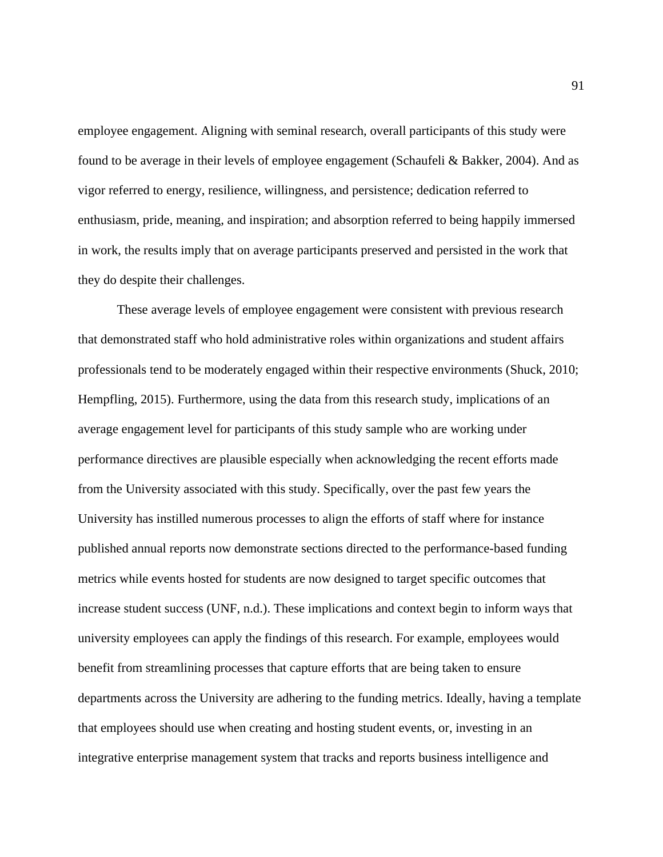employee engagement. Aligning with seminal research, overall participants of this study were found to be average in their levels of employee engagement (Schaufeli & Bakker, 2004). And as vigor referred to energy, resilience, willingness, and persistence; dedication referred to enthusiasm, pride, meaning, and inspiration; and absorption referred to being happily immersed in work, the results imply that on average participants preserved and persisted in the work that they do despite their challenges.

These average levels of employee engagement were consistent with previous research that demonstrated staff who hold administrative roles within organizations and student affairs professionals tend to be moderately engaged within their respective environments (Shuck, 2010; Hempfling, 2015). Furthermore, using the data from this research study, implications of an average engagement level for participants of this study sample who are working under performance directives are plausible especially when acknowledging the recent efforts made from the University associated with this study. Specifically, over the past few years the University has instilled numerous processes to align the efforts of staff where for instance published annual reports now demonstrate sections directed to the performance-based funding metrics while events hosted for students are now designed to target specific outcomes that increase student success (UNF, n.d.). These implications and context begin to inform ways that university employees can apply the findings of this research. For example, employees would benefit from streamlining processes that capture efforts that are being taken to ensure departments across the University are adhering to the funding metrics. Ideally, having a template that employees should use when creating and hosting student events, or, investing in an integrative enterprise management system that tracks and reports business intelligence and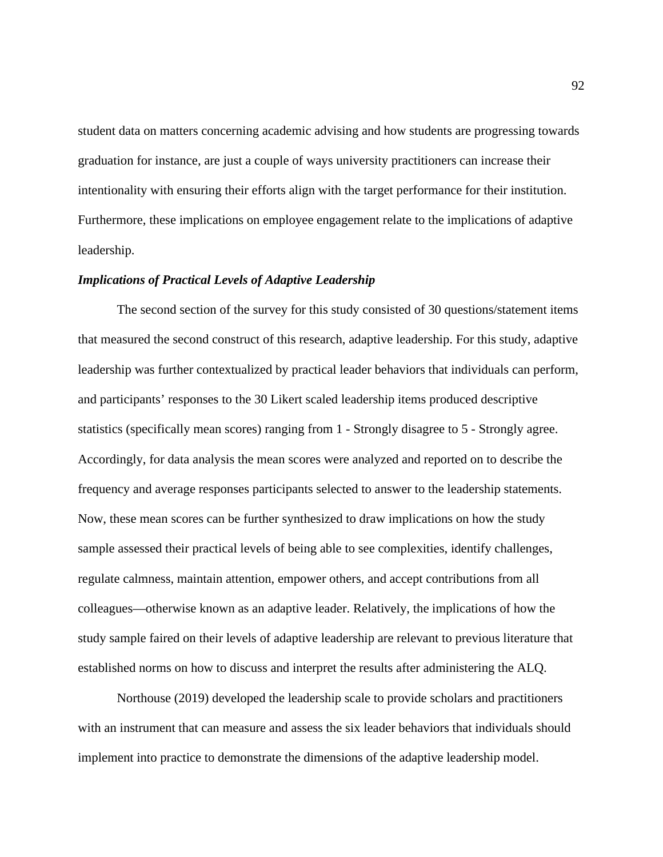student data on matters concerning academic advising and how students are progressing towards graduation for instance, are just a couple of ways university practitioners can increase their intentionality with ensuring their efforts align with the target performance for their institution. Furthermore, these implications on employee engagement relate to the implications of adaptive leadership.

# *Implications of Practical Levels of Adaptive Leadership*

The second section of the survey for this study consisted of 30 questions/statement items that measured the second construct of this research, adaptive leadership. For this study, adaptive leadership was further contextualized by practical leader behaviors that individuals can perform, and participants' responses to the 30 Likert scaled leadership items produced descriptive statistics (specifically mean scores) ranging from 1 - Strongly disagree to 5 - Strongly agree. Accordingly, for data analysis the mean scores were analyzed and reported on to describe the frequency and average responses participants selected to answer to the leadership statements. Now, these mean scores can be further synthesized to draw implications on how the study sample assessed their practical levels of being able to see complexities, identify challenges, regulate calmness, maintain attention, empower others, and accept contributions from all colleagues—otherwise known as an adaptive leader. Relatively, the implications of how the study sample faired on their levels of adaptive leadership are relevant to previous literature that established norms on how to discuss and interpret the results after administering the ALQ.

Northouse (2019) developed the leadership scale to provide scholars and practitioners with an instrument that can measure and assess the six leader behaviors that individuals should implement into practice to demonstrate the dimensions of the adaptive leadership model.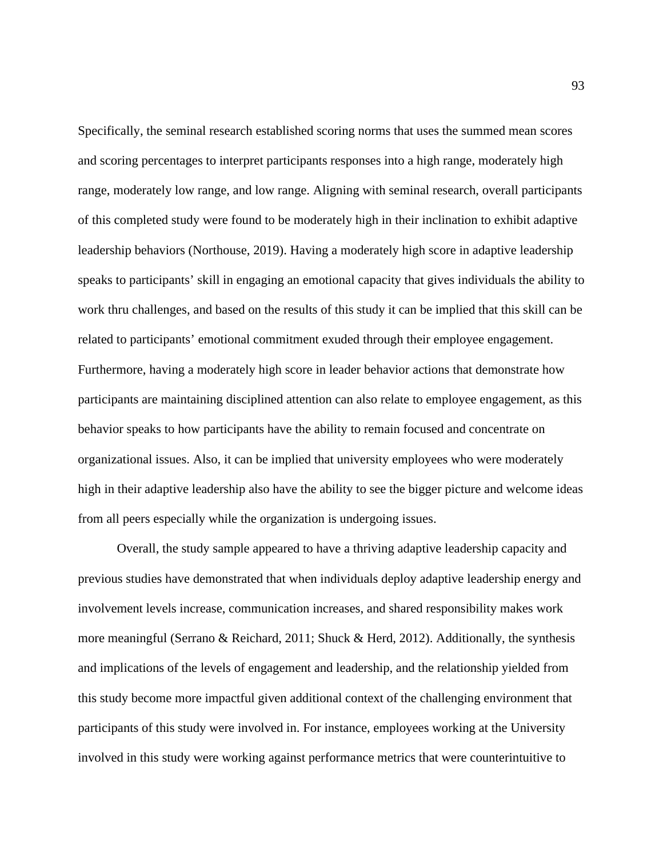Specifically, the seminal research established scoring norms that uses the summed mean scores and scoring percentages to interpret participants responses into a high range, moderately high range, moderately low range, and low range. Aligning with seminal research, overall participants of this completed study were found to be moderately high in their inclination to exhibit adaptive leadership behaviors (Northouse, 2019). Having a moderately high score in adaptive leadership speaks to participants' skill in engaging an emotional capacity that gives individuals the ability to work thru challenges, and based on the results of this study it can be implied that this skill can be related to participants' emotional commitment exuded through their employee engagement. Furthermore, having a moderately high score in leader behavior actions that demonstrate how participants are maintaining disciplined attention can also relate to employee engagement, as this behavior speaks to how participants have the ability to remain focused and concentrate on organizational issues. Also, it can be implied that university employees who were moderately high in their adaptive leadership also have the ability to see the bigger picture and welcome ideas from all peers especially while the organization is undergoing issues.

Overall, the study sample appeared to have a thriving adaptive leadership capacity and previous studies have demonstrated that when individuals deploy adaptive leadership energy and involvement levels increase, communication increases, and shared responsibility makes work more meaningful (Serrano & Reichard, 2011; Shuck & Herd, 2012). Additionally, the synthesis and implications of the levels of engagement and leadership, and the relationship yielded from this study become more impactful given additional context of the challenging environment that participants of this study were involved in. For instance, employees working at the University involved in this study were working against performance metrics that were counterintuitive to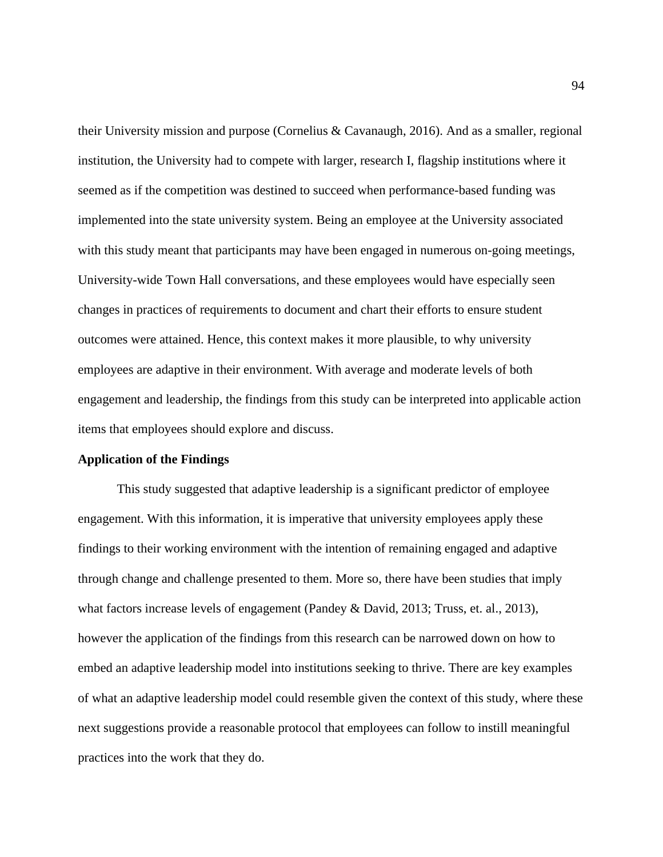their University mission and purpose (Cornelius & Cavanaugh, 2016). And as a smaller, regional institution, the University had to compete with larger, research I, flagship institutions where it seemed as if the competition was destined to succeed when performance-based funding was implemented into the state university system. Being an employee at the University associated with this study meant that participants may have been engaged in numerous on-going meetings, University-wide Town Hall conversations, and these employees would have especially seen changes in practices of requirements to document and chart their efforts to ensure student outcomes were attained. Hence, this context makes it more plausible, to why university employees are adaptive in their environment. With average and moderate levels of both engagement and leadership, the findings from this study can be interpreted into applicable action items that employees should explore and discuss.

# **Application of the Findings**

This study suggested that adaptive leadership is a significant predictor of employee engagement. With this information, it is imperative that university employees apply these findings to their working environment with the intention of remaining engaged and adaptive through change and challenge presented to them. More so, there have been studies that imply what factors increase levels of engagement (Pandey & David, 2013; Truss, et. al., 2013), however the application of the findings from this research can be narrowed down on how to embed an adaptive leadership model into institutions seeking to thrive. There are key examples of what an adaptive leadership model could resemble given the context of this study, where these next suggestions provide a reasonable protocol that employees can follow to instill meaningful practices into the work that they do.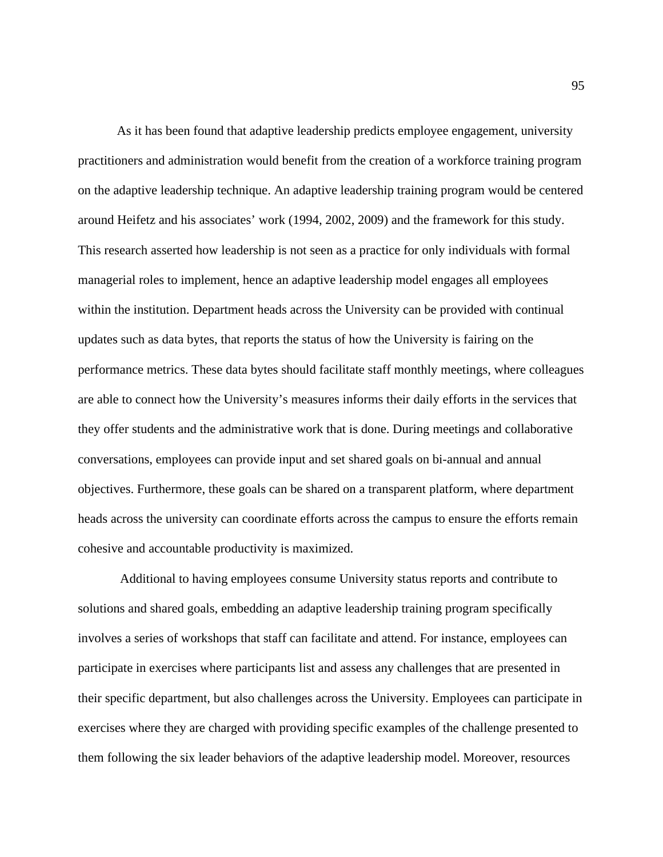As it has been found that adaptive leadership predicts employee engagement, university practitioners and administration would benefit from the creation of a workforce training program on the adaptive leadership technique. An adaptive leadership training program would be centered around Heifetz and his associates' work (1994, 2002, 2009) and the framework for this study. This research asserted how leadership is not seen as a practice for only individuals with formal managerial roles to implement, hence an adaptive leadership model engages all employees within the institution. Department heads across the University can be provided with continual updates such as data bytes, that reports the status of how the University is fairing on the performance metrics. These data bytes should facilitate staff monthly meetings, where colleagues are able to connect how the University's measures informs their daily efforts in the services that they offer students and the administrative work that is done. During meetings and collaborative conversations, employees can provide input and set shared goals on bi-annual and annual objectives. Furthermore, these goals can be shared on a transparent platform, where department heads across the university can coordinate efforts across the campus to ensure the efforts remain cohesive and accountable productivity is maximized.

 Additional to having employees consume University status reports and contribute to solutions and shared goals, embedding an adaptive leadership training program specifically involves a series of workshops that staff can facilitate and attend. For instance, employees can participate in exercises where participants list and assess any challenges that are presented in their specific department, but also challenges across the University. Employees can participate in exercises where they are charged with providing specific examples of the challenge presented to them following the six leader behaviors of the adaptive leadership model. Moreover, resources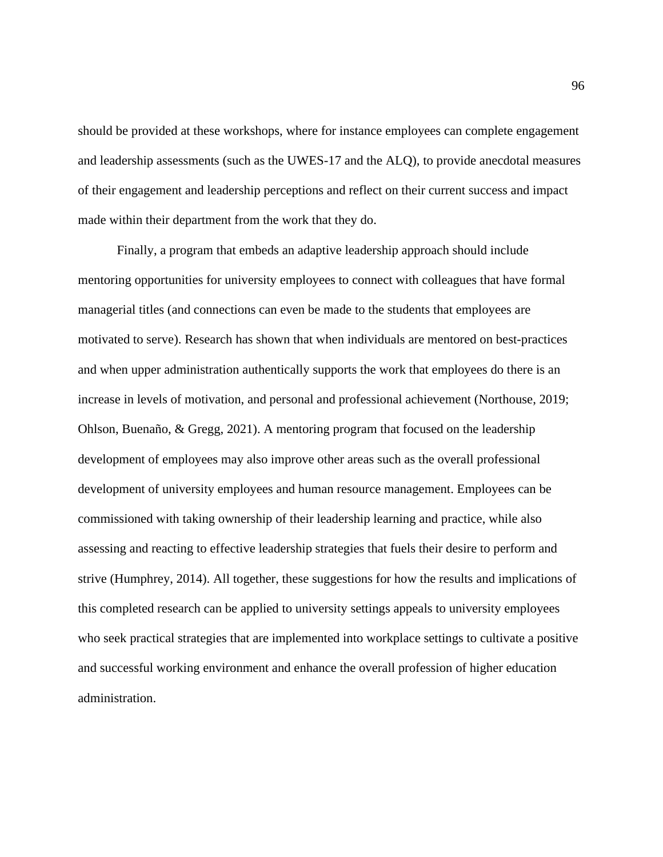should be provided at these workshops, where for instance employees can complete engagement and leadership assessments (such as the UWES-17 and the ALQ), to provide anecdotal measures of their engagement and leadership perceptions and reflect on their current success and impact made within their department from the work that they do.

Finally, a program that embeds an adaptive leadership approach should include mentoring opportunities for university employees to connect with colleagues that have formal managerial titles (and connections can even be made to the students that employees are motivated to serve). Research has shown that when individuals are mentored on best-practices and when upper administration authentically supports the work that employees do there is an increase in levels of motivation, and personal and professional achievement (Northouse, 2019; Ohlson, Buenaño, & Gregg, 2021). A mentoring program that focused on the leadership development of employees may also improve other areas such as the overall professional development of university employees and human resource management. Employees can be commissioned with taking ownership of their leadership learning and practice, while also assessing and reacting to effective leadership strategies that fuels their desire to perform and strive (Humphrey, 2014). All together, these suggestions for how the results and implications of this completed research can be applied to university settings appeals to university employees who seek practical strategies that are implemented into workplace settings to cultivate a positive and successful working environment and enhance the overall profession of higher education administration.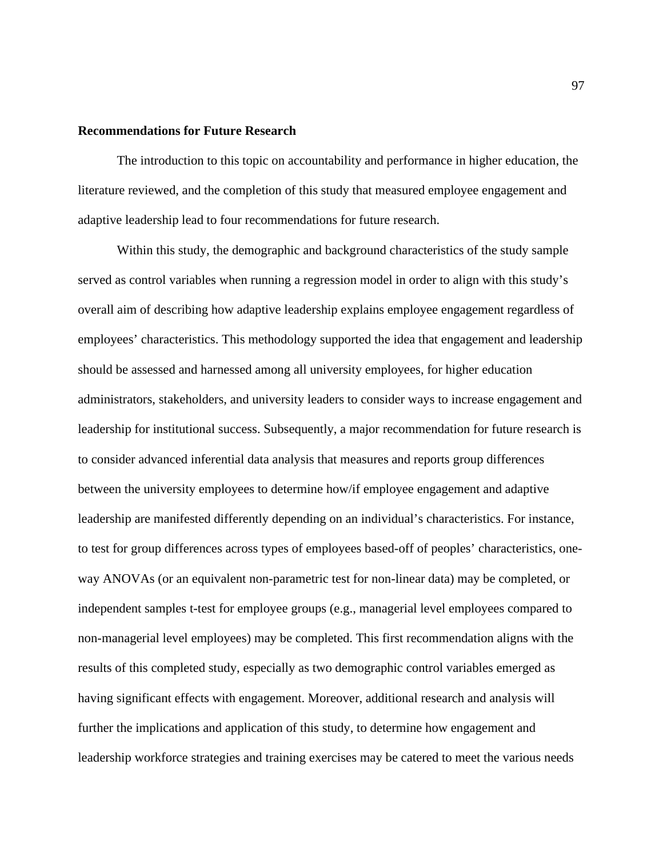# **Recommendations for Future Research**

The introduction to this topic on accountability and performance in higher education, the literature reviewed, and the completion of this study that measured employee engagement and adaptive leadership lead to four recommendations for future research.

Within this study, the demographic and background characteristics of the study sample served as control variables when running a regression model in order to align with this study's overall aim of describing how adaptive leadership explains employee engagement regardless of employees' characteristics. This methodology supported the idea that engagement and leadership should be assessed and harnessed among all university employees, for higher education administrators, stakeholders, and university leaders to consider ways to increase engagement and leadership for institutional success. Subsequently, a major recommendation for future research is to consider advanced inferential data analysis that measures and reports group differences between the university employees to determine how/if employee engagement and adaptive leadership are manifested differently depending on an individual's characteristics. For instance, to test for group differences across types of employees based-off of peoples' characteristics, oneway ANOVAs (or an equivalent non-parametric test for non-linear data) may be completed, or independent samples t-test for employee groups (e.g., managerial level employees compared to non-managerial level employees) may be completed. This first recommendation aligns with the results of this completed study, especially as two demographic control variables emerged as having significant effects with engagement. Moreover, additional research and analysis will further the implications and application of this study, to determine how engagement and leadership workforce strategies and training exercises may be catered to meet the various needs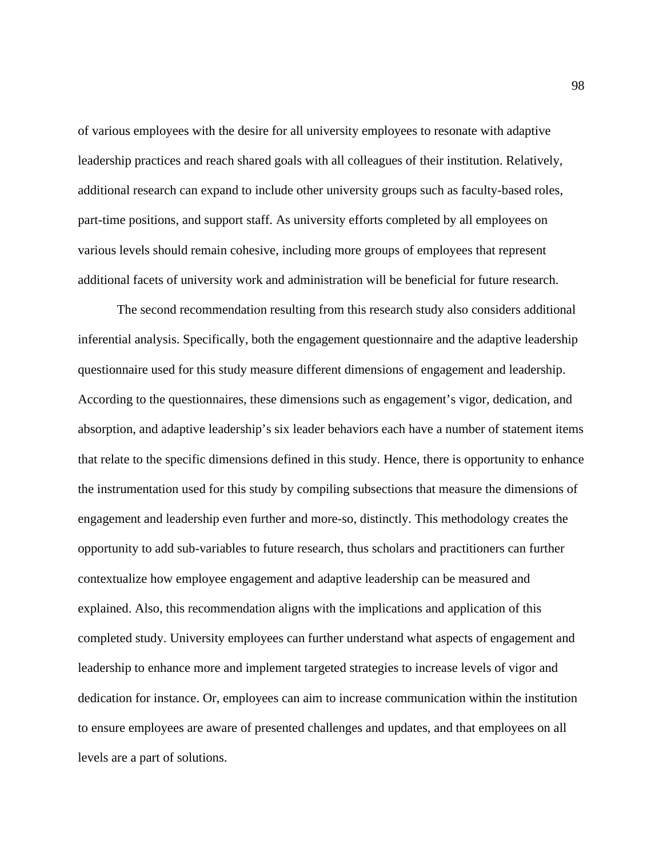of various employees with the desire for all university employees to resonate with adaptive leadership practices and reach shared goals with all colleagues of their institution. Relatively, additional research can expand to include other university groups such as faculty-based roles, part-time positions, and support staff. As university efforts completed by all employees on various levels should remain cohesive, including more groups of employees that represent additional facets of university work and administration will be beneficial for future research.

The second recommendation resulting from this research study also considers additional inferential analysis. Specifically, both the engagement questionnaire and the adaptive leadership questionnaire used for this study measure different dimensions of engagement and leadership. According to the questionnaires, these dimensions such as engagement's vigor, dedication, and absorption, and adaptive leadership's six leader behaviors each have a number of statement items that relate to the specific dimensions defined in this study. Hence, there is opportunity to enhance the instrumentation used for this study by compiling subsections that measure the dimensions of engagement and leadership even further and more-so, distinctly. This methodology creates the opportunity to add sub-variables to future research, thus scholars and practitioners can further contextualize how employee engagement and adaptive leadership can be measured and explained. Also, this recommendation aligns with the implications and application of this completed study. University employees can further understand what aspects of engagement and leadership to enhance more and implement targeted strategies to increase levels of vigor and dedication for instance. Or, employees can aim to increase communication within the institution to ensure employees are aware of presented challenges and updates, and that employees on all levels are a part of solutions.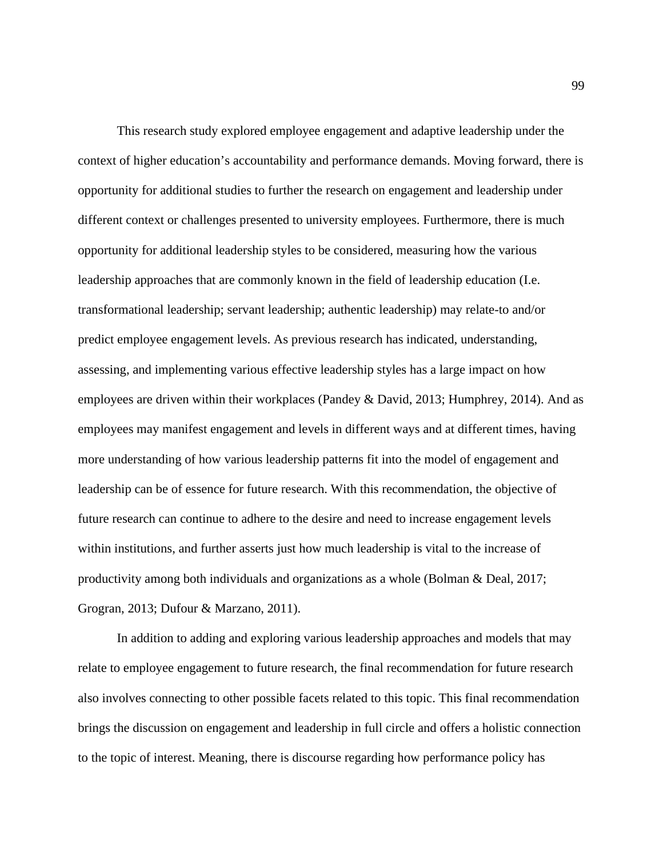This research study explored employee engagement and adaptive leadership under the context of higher education's accountability and performance demands. Moving forward, there is opportunity for additional studies to further the research on engagement and leadership under different context or challenges presented to university employees. Furthermore, there is much opportunity for additional leadership styles to be considered, measuring how the various leadership approaches that are commonly known in the field of leadership education (I.e. transformational leadership; servant leadership; authentic leadership) may relate-to and/or predict employee engagement levels. As previous research has indicated, understanding, assessing, and implementing various effective leadership styles has a large impact on how employees are driven within their workplaces (Pandey & David, 2013; Humphrey, 2014). And as employees may manifest engagement and levels in different ways and at different times, having more understanding of how various leadership patterns fit into the model of engagement and leadership can be of essence for future research. With this recommendation, the objective of future research can continue to adhere to the desire and need to increase engagement levels within institutions, and further asserts just how much leadership is vital to the increase of productivity among both individuals and organizations as a whole (Bolman & Deal, 2017; Grogran, 2013; Dufour & Marzano, 2011).

In addition to adding and exploring various leadership approaches and models that may relate to employee engagement to future research, the final recommendation for future research also involves connecting to other possible facets related to this topic. This final recommendation brings the discussion on engagement and leadership in full circle and offers a holistic connection to the topic of interest. Meaning, there is discourse regarding how performance policy has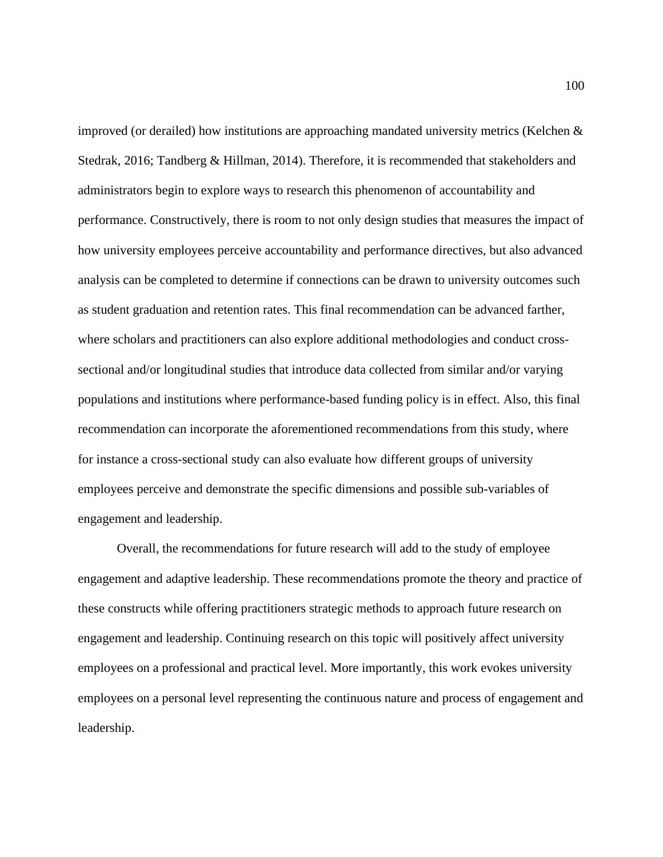improved (or derailed) how institutions are approaching mandated university metrics (Kelchen & Stedrak, 2016; Tandberg & Hillman, 2014). Therefore, it is recommended that stakeholders and administrators begin to explore ways to research this phenomenon of accountability and performance. Constructively, there is room to not only design studies that measures the impact of how university employees perceive accountability and performance directives, but also advanced analysis can be completed to determine if connections can be drawn to university outcomes such as student graduation and retention rates. This final recommendation can be advanced farther, where scholars and practitioners can also explore additional methodologies and conduct crosssectional and/or longitudinal studies that introduce data collected from similar and/or varying populations and institutions where performance-based funding policy is in effect. Also, this final recommendation can incorporate the aforementioned recommendations from this study, where for instance a cross-sectional study can also evaluate how different groups of university employees perceive and demonstrate the specific dimensions and possible sub-variables of engagement and leadership.

Overall, the recommendations for future research will add to the study of employee engagement and adaptive leadership. These recommendations promote the theory and practice of these constructs while offering practitioners strategic methods to approach future research on engagement and leadership. Continuing research on this topic will positively affect university employees on a professional and practical level. More importantly, this work evokes university employees on a personal level representing the continuous nature and process of engagement and leadership.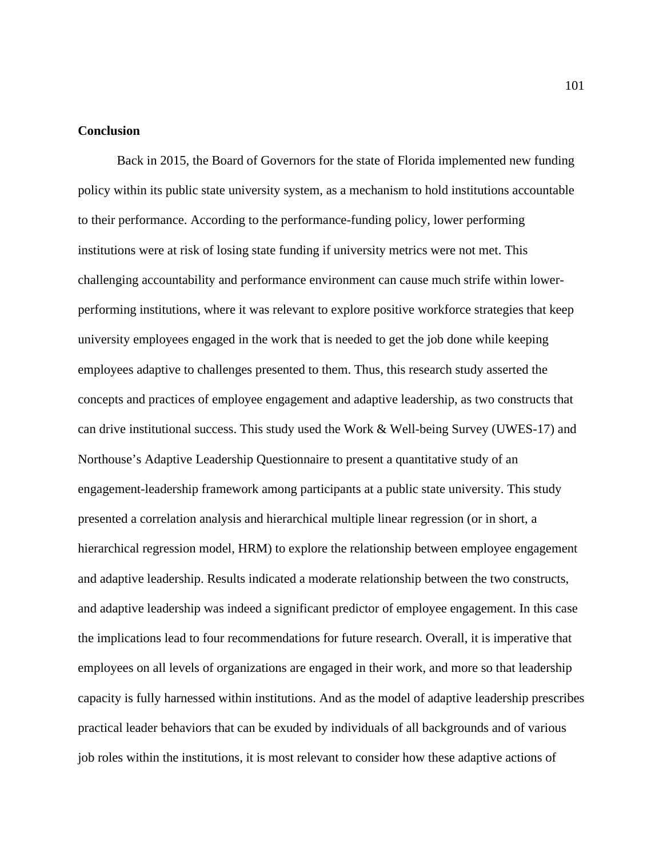# **Conclusion**

Back in 2015, the Board of Governors for the state of Florida implemented new funding policy within its public state university system, as a mechanism to hold institutions accountable to their performance. According to the performance-funding policy, lower performing institutions were at risk of losing state funding if university metrics were not met. This challenging accountability and performance environment can cause much strife within lowerperforming institutions, where it was relevant to explore positive workforce strategies that keep university employees engaged in the work that is needed to get the job done while keeping employees adaptive to challenges presented to them. Thus, this research study asserted the concepts and practices of employee engagement and adaptive leadership, as two constructs that can drive institutional success. This study used the Work & Well-being Survey (UWES-17) and Northouse's Adaptive Leadership Questionnaire to present a quantitative study of an engagement-leadership framework among participants at a public state university. This study presented a correlation analysis and hierarchical multiple linear regression (or in short, a hierarchical regression model, HRM) to explore the relationship between employee engagement and adaptive leadership. Results indicated a moderate relationship between the two constructs, and adaptive leadership was indeed a significant predictor of employee engagement. In this case the implications lead to four recommendations for future research. Overall, it is imperative that employees on all levels of organizations are engaged in their work, and more so that leadership capacity is fully harnessed within institutions. And as the model of adaptive leadership prescribes practical leader behaviors that can be exuded by individuals of all backgrounds and of various job roles within the institutions, it is most relevant to consider how these adaptive actions of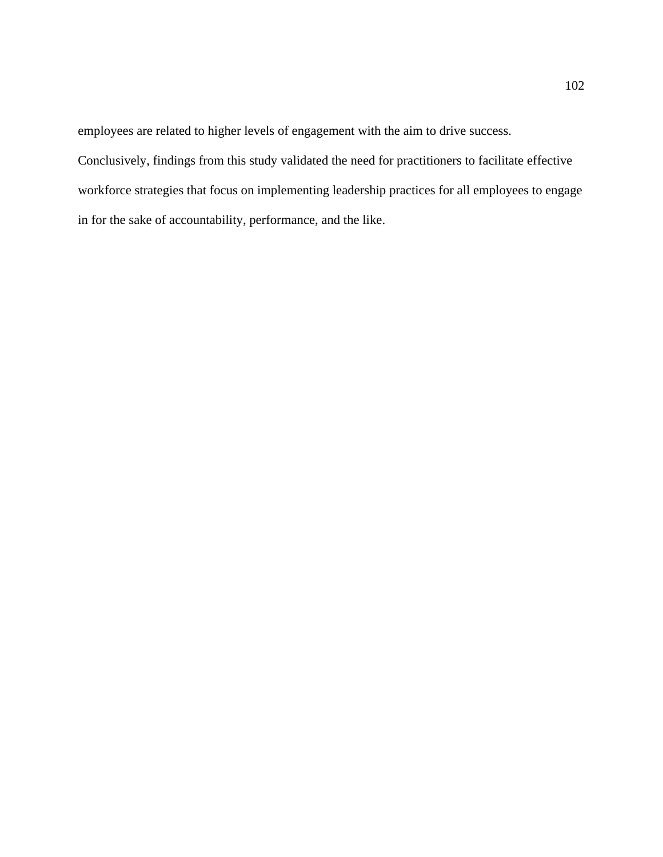employees are related to higher levels of engagement with the aim to drive success.

Conclusively, findings from this study validated the need for practitioners to facilitate effective workforce strategies that focus on implementing leadership practices for all employees to engage in for the sake of accountability, performance, and the like.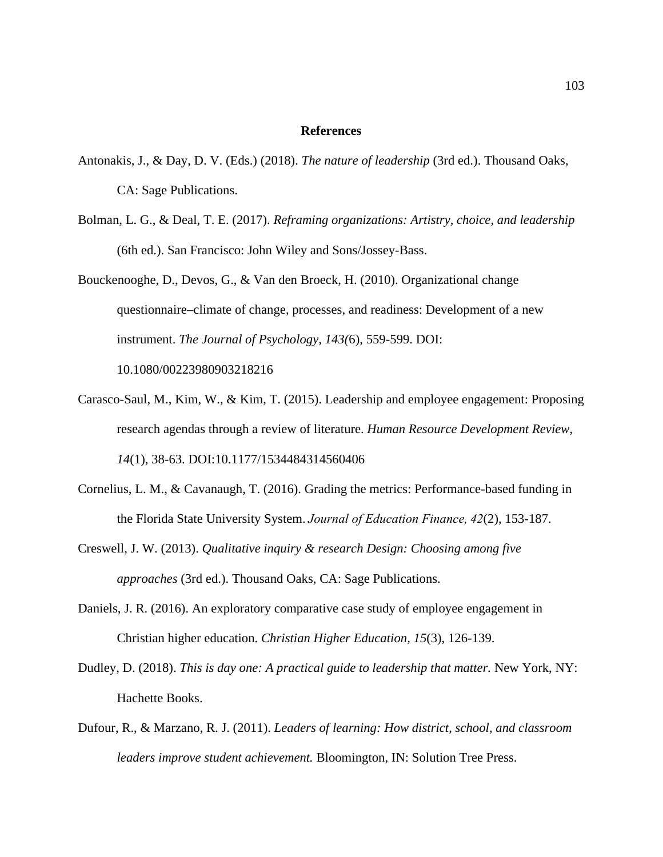### **References**

- Antonakis, J., & Day, D. V. (Eds.) (2018). *The nature of leadership* (3rd ed.). Thousand Oaks, CA: Sage Publications.
- Bolman, L. G., & Deal, T. E. (2017). *Reframing organizations: Artistry, choice, and leadership*  (6th ed.). San Francisco: John Wiley and Sons/Jossey-Bass.
- Bouckenooghe, D., Devos, G., & Van den Broeck, H. (2010). Organizational change questionnaire–climate of change, processes, and readiness: Development of a new instrument. *The Journal of Psychology, 143(*6), 559-599. DOI: 10.1080/00223980903218216
- Carasco-Saul, M., Kim, W., & Kim, T. (2015). Leadership and employee engagement: Proposing research agendas through a review of literature. *Human Resource Development Review*, *14*(1), 38-63. DOI:10.1177/1534484314560406
- Cornelius, L. M., & Cavanaugh, T. (2016). Grading the metrics: Performance-based funding in the Florida State University System.*Journal of Education Finance, 42*(2), 153-187.
- Creswell, J. W. (2013). *Qualitative inquiry & research Design: Choosing among five approaches* (3rd ed.). Thousand Oaks, CA: Sage Publications.
- Daniels, J. R. (2016). An exploratory comparative case study of employee engagement in Christian higher education. *Christian Higher Education, 15*(3), 126-139.
- Dudley, D. (2018). *This is day one: A practical guide to leadership that matter.* New York, NY: Hachette Books.
- Dufour, R., & Marzano, R. J. (2011). *Leaders of learning: How district, school, and classroom leaders improve student achievement.* Bloomington, IN: Solution Tree Press.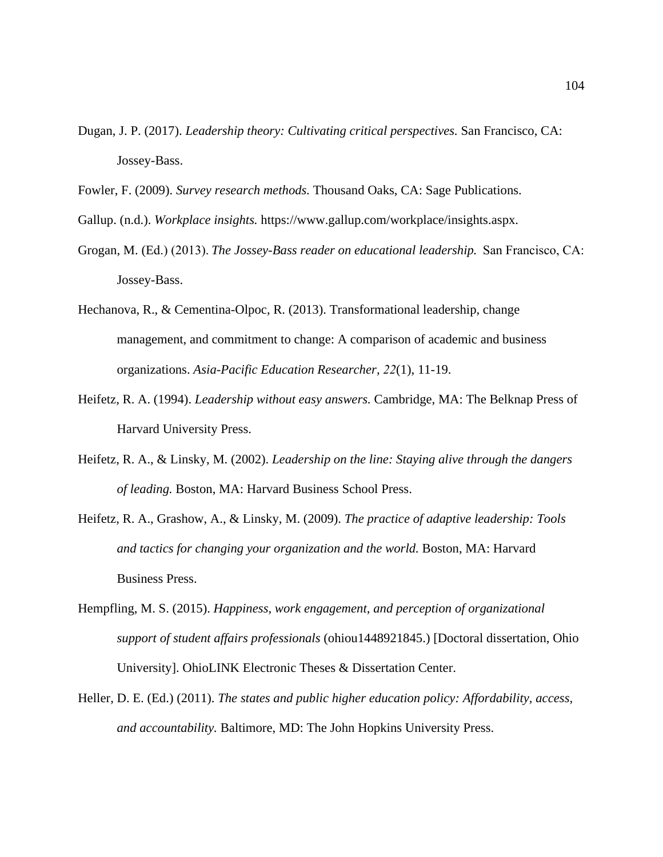- Dugan, J. P. (2017). *Leadership theory: Cultivating critical perspectives.* San Francisco, CA: Jossey-Bass.
- Fowler, F. (2009). *Survey research methods.* Thousand Oaks, CA: Sage Publications.
- Gallup. (n.d.). *Workplace insights.* https://www.gallup.com/workplace/insights.aspx.
- Grogan, M. (Ed.) (2013). *The Jossey-Bass reader on educational leadership.*  San Francisco, CA: Jossey-Bass.
- Hechanova, R., & Cementina-Olpoc, R. (2013). Transformational leadership, change management, and commitment to change: A comparison of academic and business organizations. *Asia-Pacific Education Researcher, 22*(1), 11-19.
- Heifetz, R. A. (1994). *Leadership without easy answers.* Cambridge, MA: The Belknap Press of Harvard University Press.
- Heifetz, R. A., & Linsky, M. (2002). *Leadership on the line: Staying alive through the dangers of leading.* Boston, MA: Harvard Business School Press.
- Heifetz, R. A., Grashow, A., & Linsky, M. (2009). *The practice of adaptive leadership: Tools and tactics for changing your organization and the world.* Boston, MA: Harvard Business Press.
- Hempfling, M. S. (2015). *Happiness, work engagement, and perception of organizational support of student affairs professionals* (ohiou1448921845.) [Doctoral dissertation, Ohio University]. OhioLINK Electronic Theses & Dissertation Center.
- Heller, D. E. (Ed.) (2011). *The states and public higher education policy: Affordability, access, and accountability.* Baltimore, MD: The John Hopkins University Press.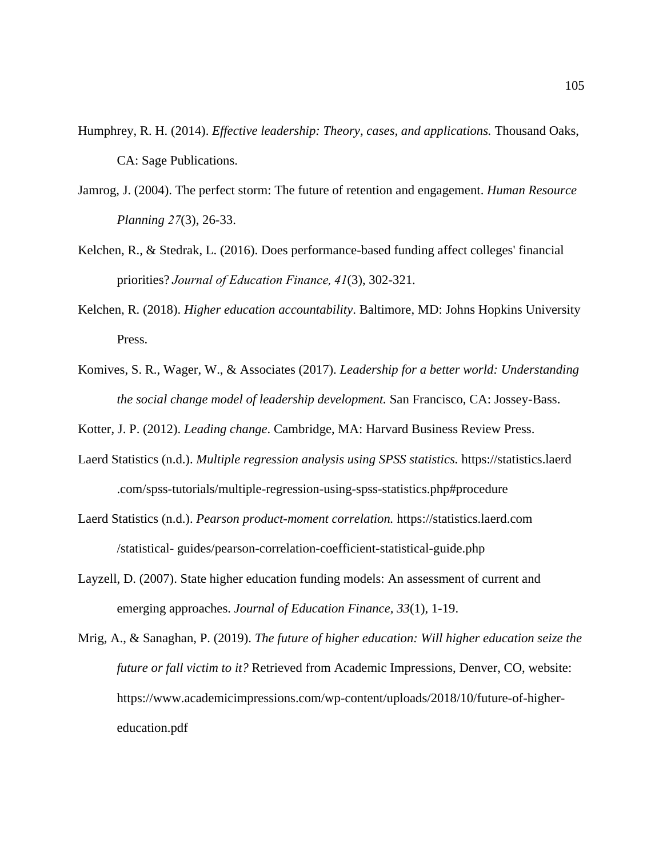- Humphrey, R. H. (2014). *Effective leadership: Theory, cases, and applications.* Thousand Oaks, CA: Sage Publications.
- Jamrog, J. (2004). The perfect storm: The future of retention and engagement. *Human Resource Planning 27*(3), 26-33.
- Kelchen, R., & Stedrak, L. (2016). Does performance-based funding affect colleges' financial priorities?*Journal of Education Finance, 41*(3), 302-321.
- Kelchen, R. (2018). *Higher education accountability*. Baltimore, MD: Johns Hopkins University Press.
- Komives, S. R., Wager, W., & Associates (2017). *Leadership for a better world: Understanding the social change model of leadership development.* San Francisco, CA: Jossey-Bass.

Kotter, J. P. (2012). *Leading change*. Cambridge, MA: Harvard Business Review Press.

- Laerd Statistics (n.d.). *Multiple regression analysis using SPSS statistics.* https://statistics.laerd .com/spss-tutorials/multiple-regression-using-spss-statistics.php#procedure
- Laerd Statistics (n.d.). *Pearson product-moment correlation.* https://statistics.laerd.com /statistical- guides/pearson-correlation-coefficient-statistical-guide.php
- Layzell, D. (2007). State higher education funding models: An assessment of current and emerging approaches. *Journal of Education Finance, 33*(1), 1-19.
- Mrig, A., & Sanaghan, P. (2019). *The future of higher education: Will higher education seize the future or fall victim to it?* Retrieved from Academic Impressions, Denver, CO, website: https://www.academicimpressions.com/wp-content/uploads/2018/10/future-of-highereducation.pdf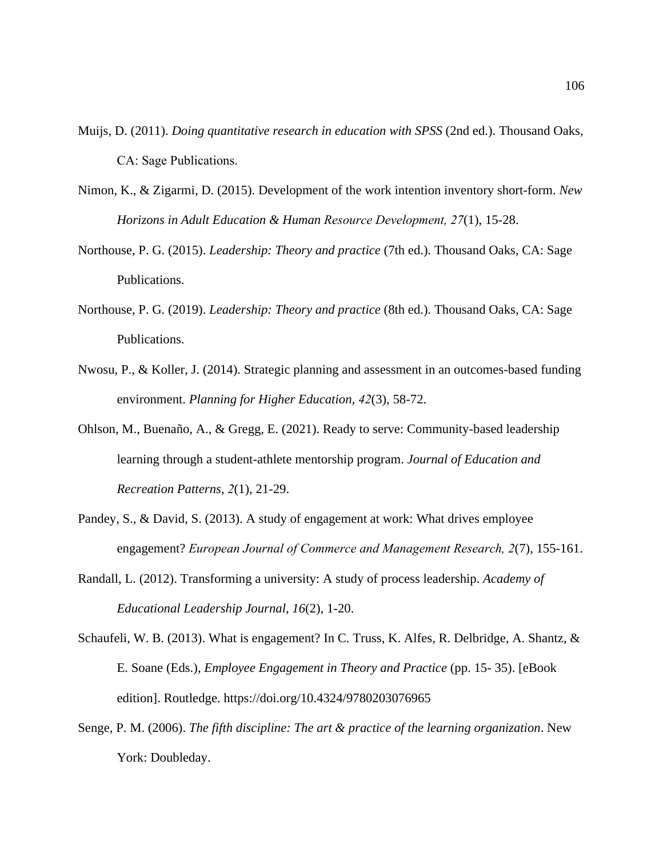- Muijs, D. (2011). *Doing quantitative research in education with SPSS* (2nd ed.). Thousand Oaks, CA: Sage Publications.
- Nimon, K., & Zigarmi, D. (2015). Development of the work intention inventory short-form. *New Horizons in Adult Education & Human Resource Development, 27*(1), 15-28.
- Northouse, P. G. (2015). *Leadership: Theory and practice* (7th ed.)*.* Thousand Oaks, CA: Sage Publications.
- Northouse, P. G. (2019). *Leadership: Theory and practice* (8th ed.)*.* Thousand Oaks, CA: Sage Publications.
- Nwosu, P., & Koller, J. (2014). Strategic planning and assessment in an outcomes-based funding environment. *Planning for Higher Education, 42*(3), 58-72.
- Ohlson, M., Buenaño, A., & Gregg, E. (2021). Ready to serve: Community-based leadership learning through a student-athlete mentorship program. *Journal of Education and Recreation Patterns*, *2*(1), 21-29.
- Pandey, S., & David, S. (2013). A study of engagement at work: What drives employee engagement? *European Journal of Commerce and Management Research, 2*(7), 155-161.
- Randall, L. (2012). Transforming a university: A study of process leadership. *Academy of Educational Leadership Journal, 16*(2), 1-20.
- Schaufeli, W. B. (2013). What is engagement? In C. Truss, K. Alfes, R. Delbridge, A. Shantz, & E. Soane (Eds.), *Employee Engagement in Theory and Practice* (pp. 15- 35). [eBook edition]. Routledge. https://doi.org/10.4324/9780203076965
- Senge, P. M. (2006). *The fifth discipline: The art & practice of the learning organization*. New York: Doubleday.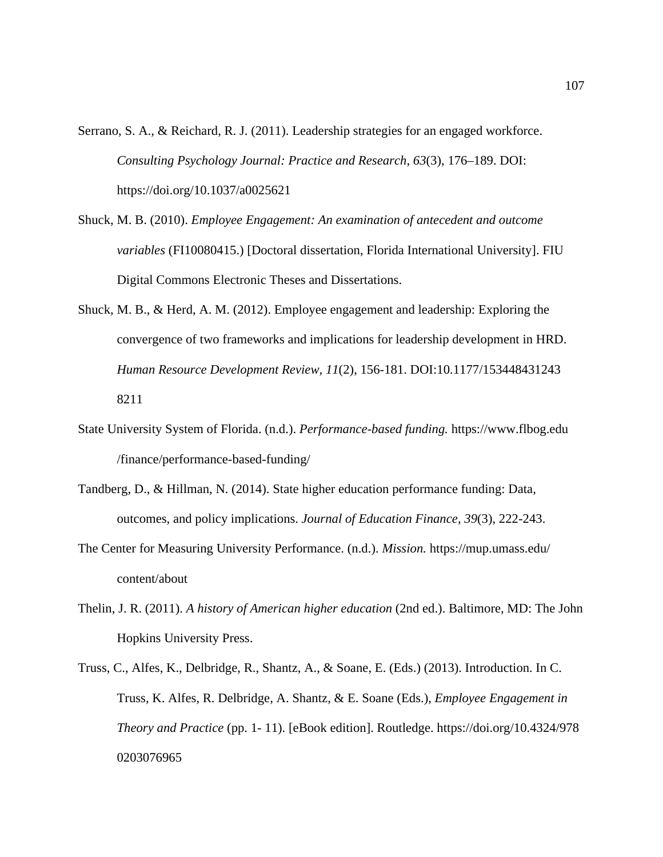Serrano, S. A., & Reichard, R. J. (2011). Leadership strategies for an engaged workforce. *Consulting Psychology Journal: Practice and Research*, *63*(3), 176–189. DOI: https://doi.org/10.1037/a0025621

- Shuck, M. B. (2010). *Employee Engagement: An examination of antecedent and outcome variables* (FI10080415.) [Doctoral dissertation, Florida International University]. FIU Digital Commons Electronic Theses and Dissertations.
- Shuck, M. B., & Herd, A. M. (2012). Employee engagement and leadership: Exploring the convergence of two frameworks and implications for leadership development in HRD. *Human Resource Development Review, 11*(2), 156-181. DOI:10.1177/153448431243 8211
- State University System of Florida. (n.d.). *Performance-based funding.* https://www.flbog.edu /finance/performance-based-funding/
- Tandberg, D., & Hillman, N. (2014). State higher education performance funding: Data, outcomes, and policy implications. *Journal of Education Finance, 39*(3), 222-243.
- The Center for Measuring University Performance. (n.d.). *Mission.* https://mup.umass.edu/ content/about
- Thelin, J. R. (2011). *A history of American higher education* (2nd ed.). Baltimore, MD: The John Hopkins University Press.
- Truss, C., Alfes, K., Delbridge, R., Shantz, A., & Soane, E. (Eds.) (2013). Introduction. In C. Truss, K. Alfes, R. Delbridge, A. Shantz, & E. Soane (Eds.), *Employee Engagement in Theory and Practice* (pp. 1- 11). [eBook edition]. Routledge. https://doi.org/10.4324/978 0203076965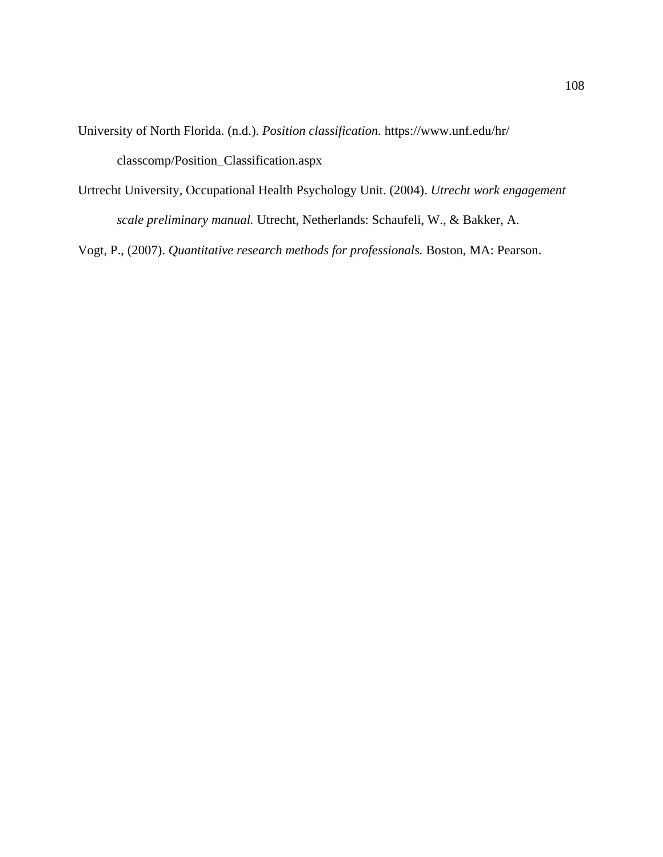University of North Florida. (n.d.). *Position classification.* https://www.unf.edu/hr/ classcomp/Position\_Classification.aspx

Urtrecht University, Occupational Health Psychology Unit. (2004). *Utrecht work engagement scale preliminary manual.* Utrecht, Netherlands: Schaufeli, W., & Bakker, A.

Vogt, P., (2007). *Quantitative research methods for professionals.* Boston, MA: Pearson.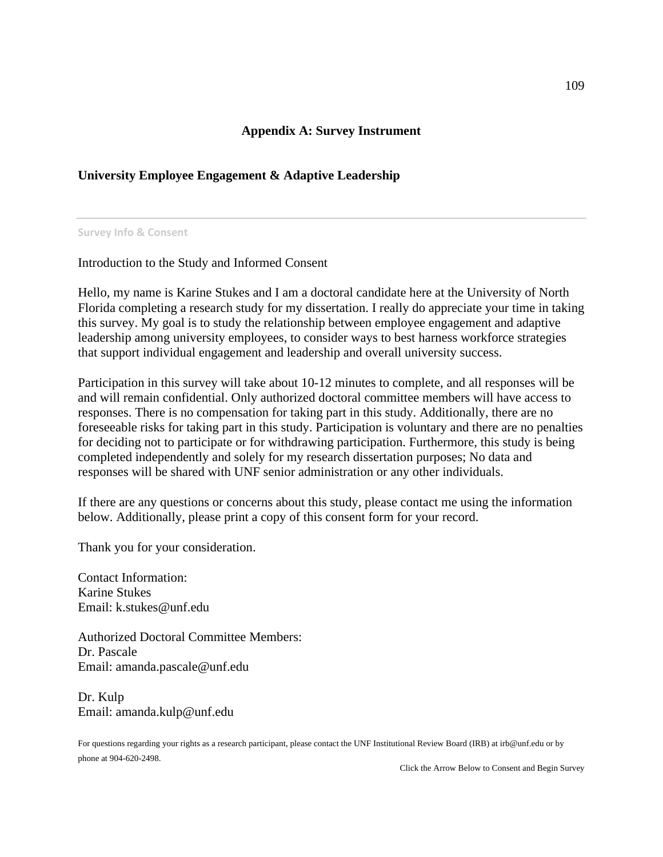# **Appendix A: Survey Instrument**

# **University Employee Engagement & Adaptive Leadership**

**Survey Info & Consent**

Introduction to the Study and Informed Consent

Hello, my name is Karine Stukes and I am a doctoral candidate here at the University of North Florida completing a research study for my dissertation. I really do appreciate your time in taking this survey. My goal is to study the relationship between employee engagement and adaptive leadership among university employees, to consider ways to best harness workforce strategies that support individual engagement and leadership and overall university success.

Participation in this survey will take about 10-12 minutes to complete, and all responses will be and will remain confidential. Only authorized doctoral committee members will have access to responses. There is no compensation for taking part in this study. Additionally, there are no foreseeable risks for taking part in this study. Participation is voluntary and there are no penalties for deciding not to participate or for withdrawing participation. Furthermore, this study is being completed independently and solely for my research dissertation purposes; No data and responses will be shared with UNF senior administration or any other individuals.

If there are any questions or concerns about this study, please contact me using the information below. Additionally, please print a copy of this consent form for your record.

Thank you for your consideration.

Contact Information: Karine Stukes Email: k.stukes@unf.edu

Authorized Doctoral Committee Members: Dr. Pascale Email: amanda.pascale@unf.edu

Dr. Kulp Email: amanda.kulp@unf.edu

For questions regarding your rights as a research participant, please contact the UNF Institutional Review Board (IRB) at irb@unf.edu or by phone at 904-620-2498.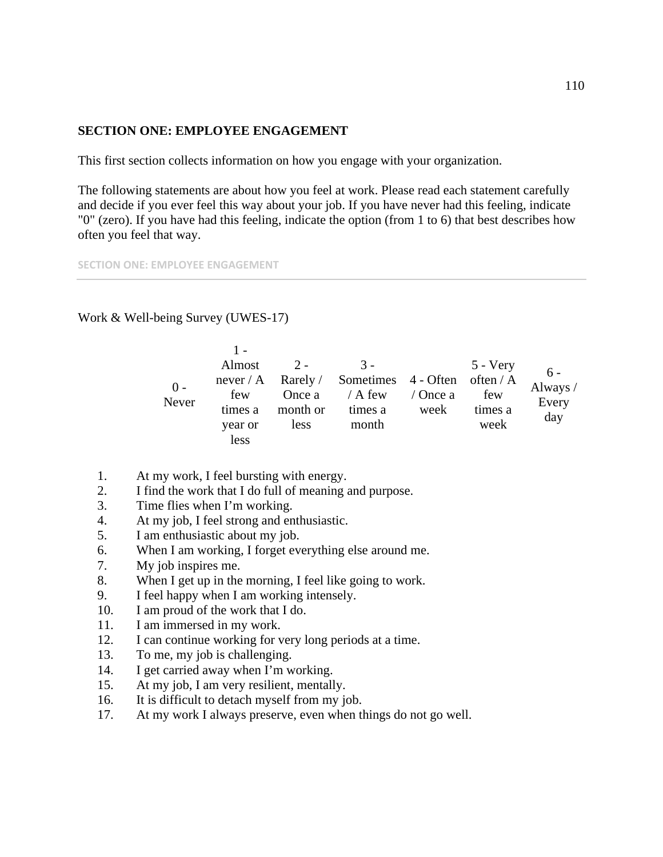# **SECTION ONE: EMPLOYEE ENGAGEMENT**

This first section collects information on how you engage with your organization.

The following statements are about how you feel at work. Please read each statement carefully and decide if you ever feel this way about your job. If you have never had this feeling, indicate "0" (zero). If you have had this feeling, indicate the option (from 1 to 6) that best describes how often you feel that way.

**SECTION ONE: EMPLOYEE ENGAGEMENT**

Work & Well-being Survey (UWES-17)

| $0 -$<br>Never | Almost  | $2 -$    | $3 -$                                            |          | $5 - V$ ery<br>$6 -$ |                                 |
|----------------|---------|----------|--------------------------------------------------|----------|----------------------|---------------------------------|
|                |         |          | never / A Rarely / Sometimes 4 - Often often / A |          |                      | Always $\overline{\phantom{a}}$ |
|                | few     | Once a   | $/$ A few                                        | / Once a | few                  | Every                           |
|                | times a | month or | times a                                          | week     | times a              | day                             |
|                | year or | less     | month                                            |          | week                 |                                 |
|                | less    |          |                                                  |          |                      |                                 |

- 1. At my work, I feel bursting with energy.
- 2. I find the work that I do full of meaning and purpose.
- 3. Time flies when I'm working.
- 4. At my job, I feel strong and enthusiastic.
- 5. I am enthusiastic about my job.
- 6. When I am working, I forget everything else around me.
- 7. My job inspires me.
- 8. When I get up in the morning, I feel like going to work.
- 9. I feel happy when I am working intensely.
- 10. I am proud of the work that I do.
- 11. I am immersed in my work.
- 12. I can continue working for very long periods at a time.
- 13. To me, my job is challenging.
- 14. I get carried away when I'm working.
- 15. At my job, I am very resilient, mentally.
- 16. It is difficult to detach myself from my job.
- 17. At my work I always preserve, even when things do not go well.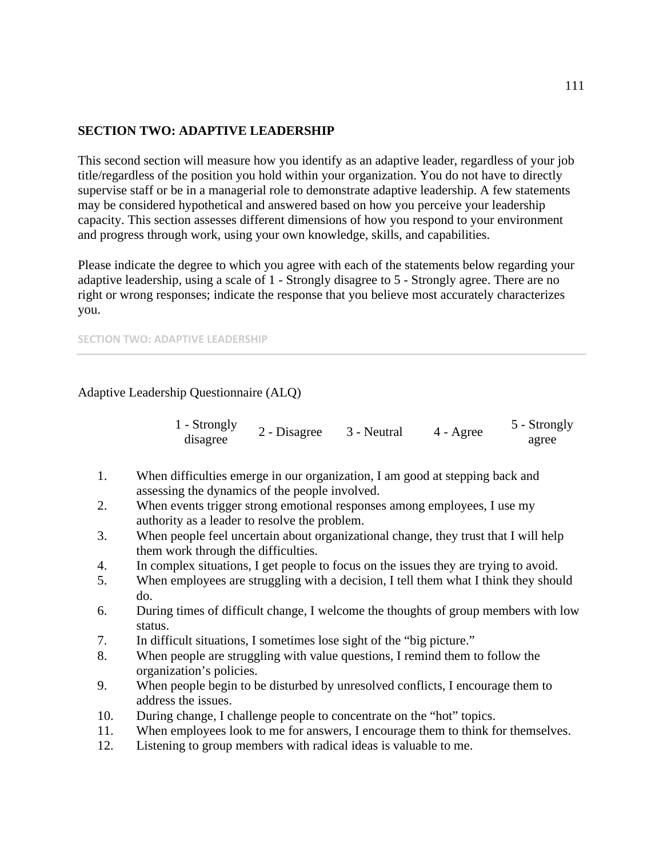# **SECTION TWO: ADAPTIVE LEADERSHIP**

This second section will measure how you identify as an adaptive leader, regardless of your job title/regardless of the position you hold within your organization. You do not have to directly supervise staff or be in a managerial role to demonstrate adaptive leadership. A few statements may be considered hypothetical and answered based on how you perceive your leadership capacity. This section assesses different dimensions of how you respond to your environment and progress through work, using your own knowledge, skills, and capabilities.

Please indicate the degree to which you agree with each of the statements below regarding your adaptive leadership, using a scale of 1 - Strongly disagree to 5 - Strongly agree. There are no right or wrong responses; indicate the response that you believe most accurately characterizes you.

**SECTION TWO: ADAPTIVE LEADERSHIP**

# Adaptive Leadership Questionnaire (ALQ)

| 1 - Strongly | 2 - Disagree | 3 - Neutral | $4 - \text{Agree}$ | 5 - Strongly |
|--------------|--------------|-------------|--------------------|--------------|
| disagree     |              |             |                    | agree        |

- 1. When difficulties emerge in our organization, I am good at stepping back and assessing the dynamics of the people involved.
- 2. When events trigger strong emotional responses among employees, I use my authority as a leader to resolve the problem.
- 3. When people feel uncertain about organizational change, they trust that I will help them work through the difficulties.
- 4. In complex situations, I get people to focus on the issues they are trying to avoid.
- 5. When employees are struggling with a decision, I tell them what I think they should do.
- 6. During times of difficult change, I welcome the thoughts of group members with low status.
- 7. In difficult situations, I sometimes lose sight of the "big picture."
- 8. When people are struggling with value questions, I remind them to follow the organization's policies.
- 9. When people begin to be disturbed by unresolved conflicts, I encourage them to address the issues.
- 10. During change, I challenge people to concentrate on the "hot" topics.
- 11. When employees look to me for answers, I encourage them to think for themselves.
- 12. Listening to group members with radical ideas is valuable to me.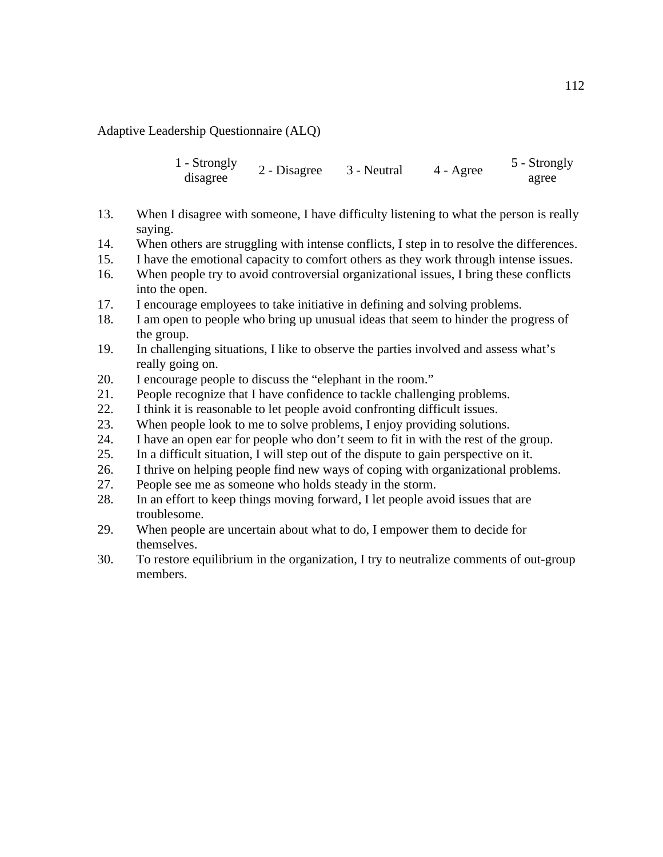Adaptive Leadership Questionnaire (ALQ)

1 - Strongly disagree 2 - Disagree 3 - Neutral 4 - Agree 5 - Strongly agree

- 13. When I disagree with someone, I have difficulty listening to what the person is really saying.
- 14. When others are struggling with intense conflicts, I step in to resolve the differences.
- 15. I have the emotional capacity to comfort others as they work through intense issues.
- 16. When people try to avoid controversial organizational issues, I bring these conflicts into the open.
- 17. I encourage employees to take initiative in defining and solving problems.
- 18. I am open to people who bring up unusual ideas that seem to hinder the progress of the group.
- 19. In challenging situations, I like to observe the parties involved and assess what's really going on.
- 20. I encourage people to discuss the "elephant in the room."
- 21. People recognize that I have confidence to tackle challenging problems.
- 22. I think it is reasonable to let people avoid confronting difficult issues.
- 23. When people look to me to solve problems, I enjoy providing solutions.
- 24. I have an open ear for people who don't seem to fit in with the rest of the group.
- 25. In a difficult situation, I will step out of the dispute to gain perspective on it.
- 26. I thrive on helping people find new ways of coping with organizational problems.
- 27. People see me as someone who holds steady in the storm.
- 28. In an effort to keep things moving forward, I let people avoid issues that are troublesome.
- 29. When people are uncertain about what to do, I empower them to decide for themselves.
- 30. To restore equilibrium in the organization, I try to neutralize comments of out-group members.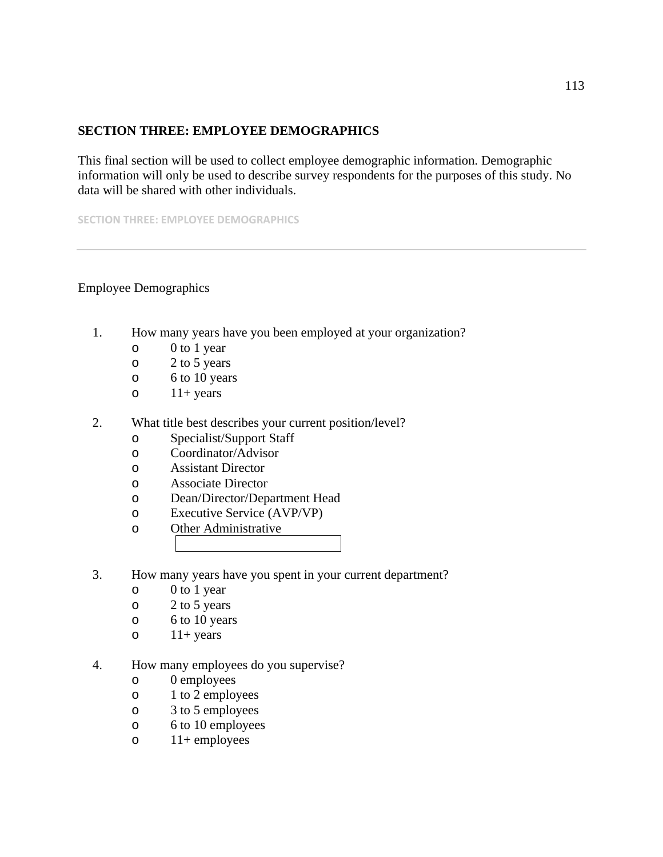# **SECTION THREE: EMPLOYEE DEMOGRAPHICS**

This final section will be used to collect employee demographic information. Demographic information will only be used to describe survey respondents for the purposes of this study. No data will be shared with other individuals.

**SECTION THREE: EMPLOYEE DEMOGRAPHICS**

# Employee Demographics

- 1. How many years have you been employed at your organization?
	- $\begin{array}{cc}\n 0 & 0 \text{ to } 1 \text{ year} \\
	 \hline\n 0 & 2 \text{ to } 5 \text{ years}\n \end{array}$
	- $2$  to 5 years
	- $\circ$  6 to 10 years<br> $\circ$  11+ years
	- $11+$  years
- 2. What title best describes your current position/level?
	- o Specialist/Support Staff
	- o Coordinator/Advisor
	- o Assistant Director
	- o Associate Director<br>
	o Dean/Director/Dep
	- Dean/Director/Department Head
	- o Executive Service (AVP/VP)
	- Other Administrative
- 3. How many years have you spent in your current department?
	- o 0 to 1 year
	- o 2 to 5 years
	- o 6 to 10 years
	- $\circ$  11+ years
- 4. How many employees do you supervise?
	- o 0 employees
	- o 1 to 2 employees
	- o 3 to 5 employees
	- o 6 to 10 employees
	- $\circ$  11+ employees